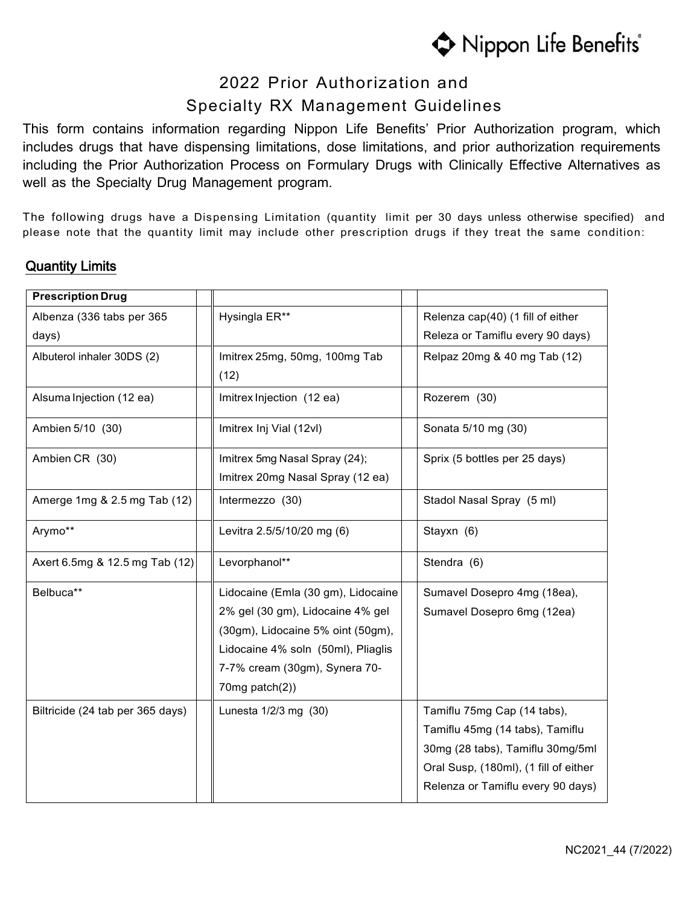

# 2022 Prior Authorization and Specialty RX Management Guidelines

This form contains information regarding Nippon Life Benefits' Prior Authorization program, which includes drugs that have dispensing limitations, dose limitations, and prior authorization requirements including the Prior Authorization Process on Formulary Drugs with Clinically Effective Alternatives as well as the Specialty Drug Management program.

The following drugs have a Dispensing Limitation (quantity limit per 30 days unless otherwise specified) and please note that the quantity limit may include other prescription drugs if they treat the same condition:

### Quantity Limits

| <b>Prescription Drug</b>         |                                    |                                       |
|----------------------------------|------------------------------------|---------------------------------------|
| Albenza (336 tabs per 365        | Hysingla ER**                      | Relenza cap(40) (1 fill of either     |
| days)                            |                                    | Releza or Tamiflu every 90 days)      |
| Albuterol inhaler 30DS (2)       | Imitrex 25mg, 50mg, 100mg Tab      | Relpaz 20mg & 40 mg Tab (12)          |
|                                  | (12)                               |                                       |
| Alsuma Injection (12 ea)         | Imitrex Injection (12 ea)          | Rozerem (30)                          |
| Ambien 5/10 (30)                 | Imitrex Inj Vial (12vl)            | Sonata 5/10 mg (30)                   |
| Ambien CR (30)                   | Imitrex 5mg Nasal Spray (24);      | Sprix (5 bottles per 25 days)         |
|                                  | Imitrex 20mg Nasal Spray (12 ea)   |                                       |
| Amerge 1mg & 2.5 mg Tab (12)     | Intermezzo (30)                    | Stadol Nasal Spray (5 ml)             |
| Arymo**                          | Levitra 2.5/5/10/20 mg (6)         | Stayxn (6)                            |
| Axert 6.5mg & 12.5 mg Tab (12)   | Levorphanol**                      | Stendra (6)                           |
| Belbuca**                        | Lidocaine (Emla (30 gm), Lidocaine | Sumavel Dosepro 4mg (18ea),           |
|                                  | 2% gel (30 gm), Lidocaine 4% gel   | Sumavel Dosepro 6mg (12ea)            |
|                                  | (30gm), Lidocaine 5% oint (50gm),  |                                       |
|                                  | Lidocaine 4% soln (50ml), Pliaglis |                                       |
|                                  | 7-7% cream (30gm), Synera 70-      |                                       |
|                                  | 70mg patch(2))                     |                                       |
| Biltricide (24 tab per 365 days) | Lunesta 1/2/3 mg (30)              | Tamiflu 75mg Cap (14 tabs),           |
|                                  |                                    | Tamiflu 45mg (14 tabs), Tamiflu       |
|                                  |                                    | 30mg (28 tabs), Tamiflu 30mg/5ml      |
|                                  |                                    | Oral Susp, (180ml), (1 fill of either |
|                                  |                                    | Relenza or Tamiflu every 90 days)     |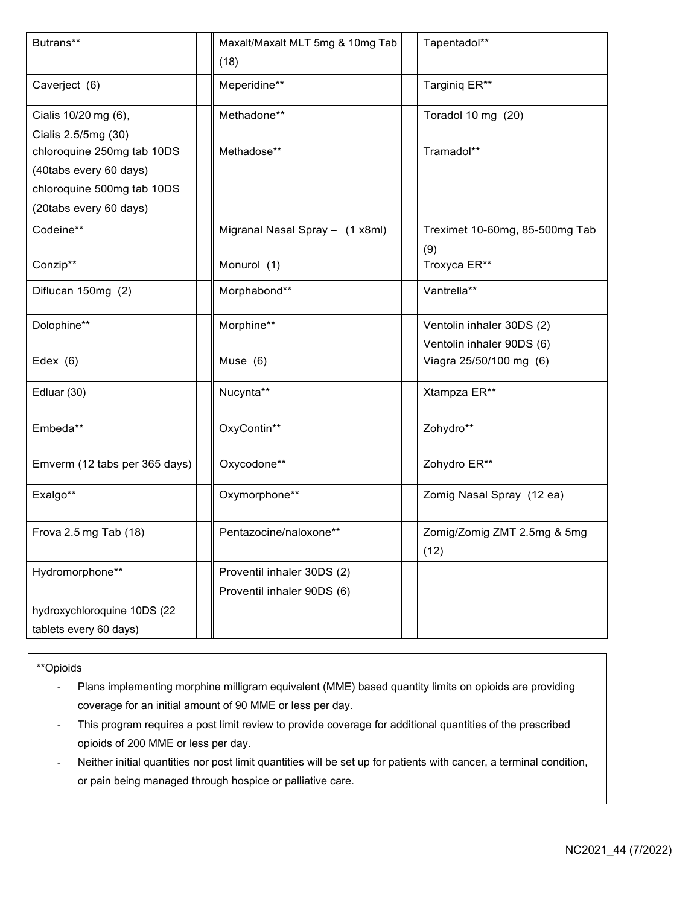| Butrans**                                                                                                    | Maxalt/Maxalt MLT 5mg & 10mg Tab<br>(18)                 | Tapentadol**                                           |
|--------------------------------------------------------------------------------------------------------------|----------------------------------------------------------|--------------------------------------------------------|
| Caverject (6)                                                                                                | Meperidine**                                             | Targiniq ER**                                          |
| Cialis 10/20 mg (6),<br>Cialis 2.5/5mg (30)                                                                  | Methadone**                                              | Toradol 10 mg (20)                                     |
| chloroquine 250mg tab 10DS<br>(40tabs every 60 days)<br>chloroquine 500mg tab 10DS<br>(20tabs every 60 days) | Methadose**                                              | Tramadol**                                             |
| Codeine**                                                                                                    | Migranal Nasal Spray - (1 x8ml)                          | Treximet 10-60mg, 85-500mg Tab<br>(9)                  |
| Conzip**                                                                                                     | Monurol (1)                                              | Troxyca ER**                                           |
| Diflucan 150mg (2)                                                                                           | Morphabond**                                             | Vantrella**                                            |
| Dolophine**                                                                                                  | Morphine**                                               | Ventolin inhaler 30DS (2)<br>Ventolin inhaler 90DS (6) |
| Edex $(6)$                                                                                                   | Muse (6)                                                 | Viagra 25/50/100 mg (6)                                |
| Edluar (30)                                                                                                  | Nucynta**                                                | Xtampza ER**                                           |
| Embeda**                                                                                                     | OxyContin**                                              | Zohydro**                                              |
| Emverm (12 tabs per 365 days)                                                                                | Oxycodone**                                              | Zohydro ER**                                           |
| Exalgo**                                                                                                     | Oxymorphone**                                            | Zomig Nasal Spray (12 ea)                              |
| Frova 2.5 mg Tab (18)                                                                                        | Pentazocine/naloxone**                                   | Zomig/Zomig ZMT 2.5mg & 5mg<br>(12)                    |
| Hydromorphone**                                                                                              | Proventil inhaler 30DS (2)<br>Proventil inhaler 90DS (6) |                                                        |
| hydroxychloroquine 10DS (22                                                                                  |                                                          |                                                        |
| tablets every 60 days)                                                                                       |                                                          |                                                        |

#### \*\*Opioids

- Plans implementing morphine milligram equivalent (MME) based quantity limits on opioids are providing coverage for an initial amount of 90 MME or less per day.

- This program requires a post limit review to provide coverage for additional quantities of the prescribed opioids of 200 MME or less per day.
- Neither initial quantities nor post limit quantities will be set up for patients with cancer, a terminal condition, or pain being managed through hospice or palliative care.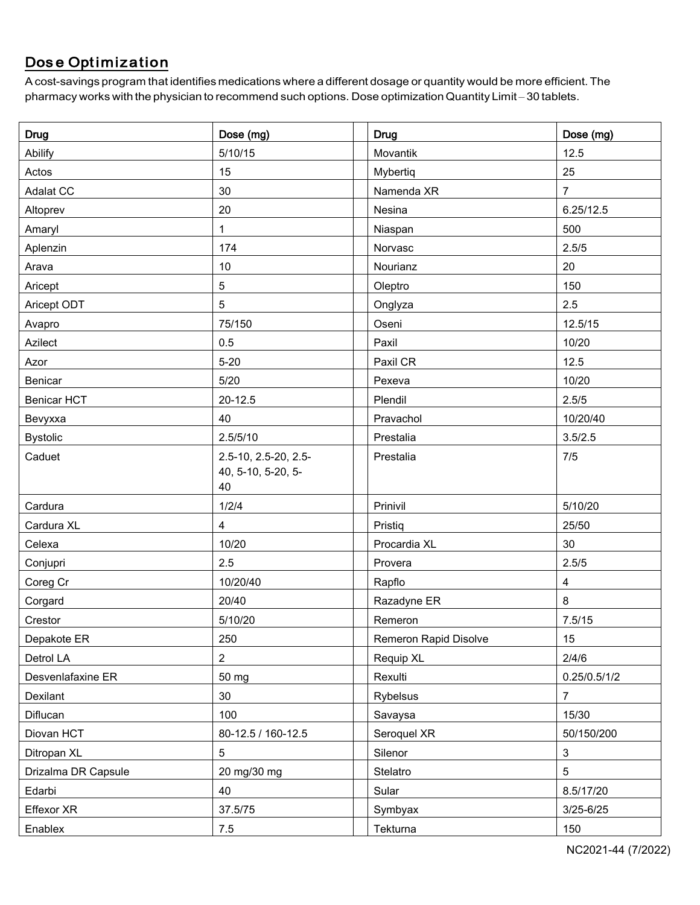## Dose Optimization

A cost-savings program that identifies medications where a different dosage or quantity would be more efficient. The pharmacy works with the physician to recommend such options. Dose optimizationQuantity Limit – 30 tablets.

| <b>Drug</b>         | Dose (mg)                                        | <b>Drug</b>           | Dose (mg)               |
|---------------------|--------------------------------------------------|-----------------------|-------------------------|
| Abilify             | 5/10/15                                          | Movantik              | 12.5                    |
| Actos               | 15                                               | Mybertiq              | 25                      |
| Adalat CC           | 30                                               | Namenda XR            | $\overline{7}$          |
| Altoprev            | 20                                               | Nesina                | 6.25/12.5               |
| Amaryl              | 1                                                | Niaspan               | 500                     |
| Aplenzin            | 174                                              | Norvasc               | 2.5/5                   |
| Arava               | 10                                               | Nourianz              | 20                      |
| Aricept             | 5                                                | Oleptro               | 150                     |
| Aricept ODT         | 5                                                | Onglyza               | 2.5                     |
| Avapro              | 75/150                                           | Oseni                 | 12.5/15                 |
| Azilect             | 0.5                                              | Paxil                 | 10/20                   |
| Azor                | $5 - 20$                                         | Paxil CR              | 12.5                    |
| Benicar             | 5/20                                             | Pexeva                | 10/20                   |
| <b>Benicar HCT</b>  | $20 - 12.5$                                      | Plendil               | 2.5/5                   |
| Bevyxxa             | 40                                               | Pravachol             | 10/20/40                |
| <b>Bystolic</b>     | 2.5/5/10                                         | Prestalia             | 3.5/2.5                 |
| Caduet              | 2.5-10, 2.5-20, 2.5-<br>40, 5-10, 5-20, 5-<br>40 | Prestalia             | 7/5                     |
| Cardura             | 1/2/4                                            | Prinivil              | 5/10/20                 |
| Cardura XL          | 4                                                | Pristiq               | 25/50                   |
| Celexa              | 10/20                                            | Procardia XL          | 30                      |
| Conjupri            | 2.5                                              | Provera               | 2.5/5                   |
| Coreg Cr            | 10/20/40                                         | Rapflo                | $\overline{\mathbf{4}}$ |
| Corgard             | 20/40                                            | Razadyne ER           | 8                       |
| Crestor             | 5/10/20                                          | Remeron               | 7.5/15                  |
| Depakote ER         | 250                                              | Remeron Rapid Disolve | 15                      |
| Detrol LA           | $\overline{2}$                                   | Requip XL             | 2/4/6                   |
| Desvenlafaxine ER   | 50 mg                                            | Rexulti               | 0.25/0.5/1/2            |
| Dexilant            | 30                                               | Rybelsus              | $\overline{7}$          |
| Diflucan            | 100                                              | Savaysa               | 15/30                   |
| Diovan HCT          | 80-12.5 / 160-12.5                               | Seroquel XR           | 50/150/200              |
| Ditropan XL         | 5                                                | Silenor               | $\mathbf{3}$            |
| Drizalma DR Capsule | 20 mg/30 mg                                      | Stelatro              | 5                       |
| Edarbi              | 40                                               | Sular                 | 8.5/17/20               |
| Effexor XR          | 37.5/75                                          | Symbyax               | $3/25 - 6/25$           |
| Enablex             | $7.5\,$                                          | Tekturna              | 150                     |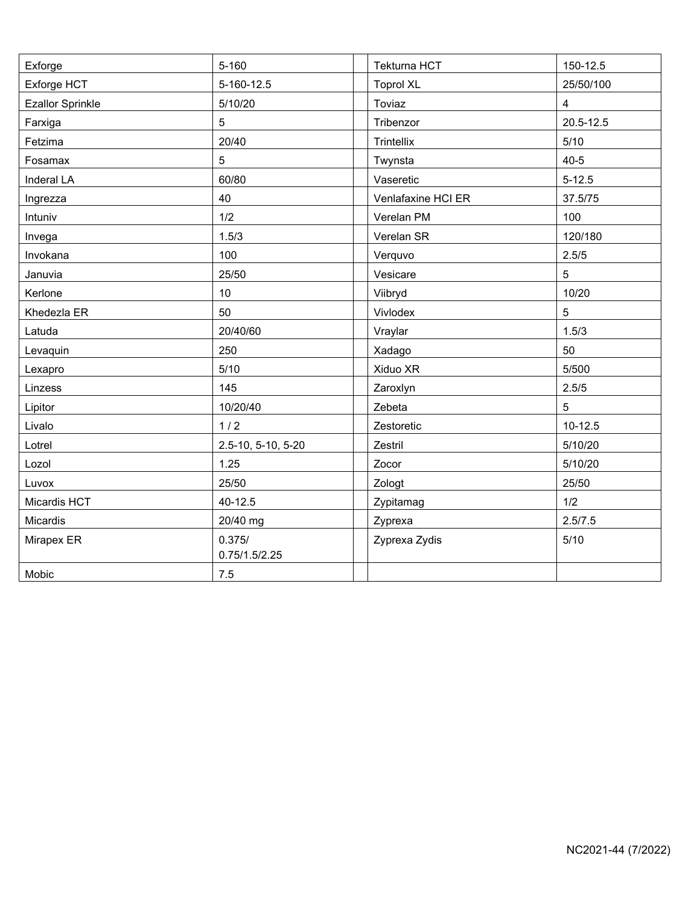| Exforge                 | $5 - 160$               | Tekturna HCT       | 150-12.5    |
|-------------------------|-------------------------|--------------------|-------------|
| Exforge HCT             | 5-160-12.5              | <b>Toprol XL</b>   | 25/50/100   |
| <b>Ezallor Sprinkle</b> | 5/10/20                 | Toviaz             | 4           |
| Farxiga                 | 5                       | Tribenzor          | 20.5-12.5   |
| Fetzima                 | 20/40                   | Trintellix         | $5/10$      |
| Fosamax                 | 5                       | Twynsta            | $40 - 5$    |
| Inderal LA              | 60/80                   | Vaseretic          | $5 - 12.5$  |
| Ingrezza                | 40                      | Venlafaxine HCI ER | 37.5/75     |
| Intuniv                 | 1/2                     | Verelan PM         | 100         |
| Invega                  | 1.5/3                   | Verelan SR         | 120/180     |
| Invokana                | 100                     | Verquvo            | 2.5/5       |
| Januvia                 | 25/50                   | Vesicare           | 5           |
| Kerlone                 | 10                      | Viibryd            | 10/20       |
| Khedezla ER             | 50                      | Vivlodex           | 5           |
| Latuda                  | 20/40/60                | Vraylar            | 1.5/3       |
| Levaquin                | 250                     | Xadago             | 50          |
| Lexapro                 | 5/10                    | Xiduo XR           | 5/500       |
| Linzess                 | 145                     | Zaroxlyn           | 2.5/5       |
| Lipitor                 | 10/20/40                | Zebeta             | 5           |
| Livalo                  | 1/2                     | Zestoretic         | $10 - 12.5$ |
| Lotrel                  | 2.5-10, 5-10, 5-20      | Zestril            | 5/10/20     |
| Lozol                   | 1.25                    | Zocor              | 5/10/20     |
| Luvox                   | 25/50                   | Zologt             | 25/50       |
| Micardis HCT            | 40-12.5                 | Zypitamag          | 1/2         |
| Micardis                | 20/40 mg                | Zyprexa            | 2.5/7.5     |
| Mirapex ER              | 0.375/<br>0.75/1.5/2.25 | Zyprexa Zydis      | $5/10$      |
| Mobic                   | 7.5                     |                    |             |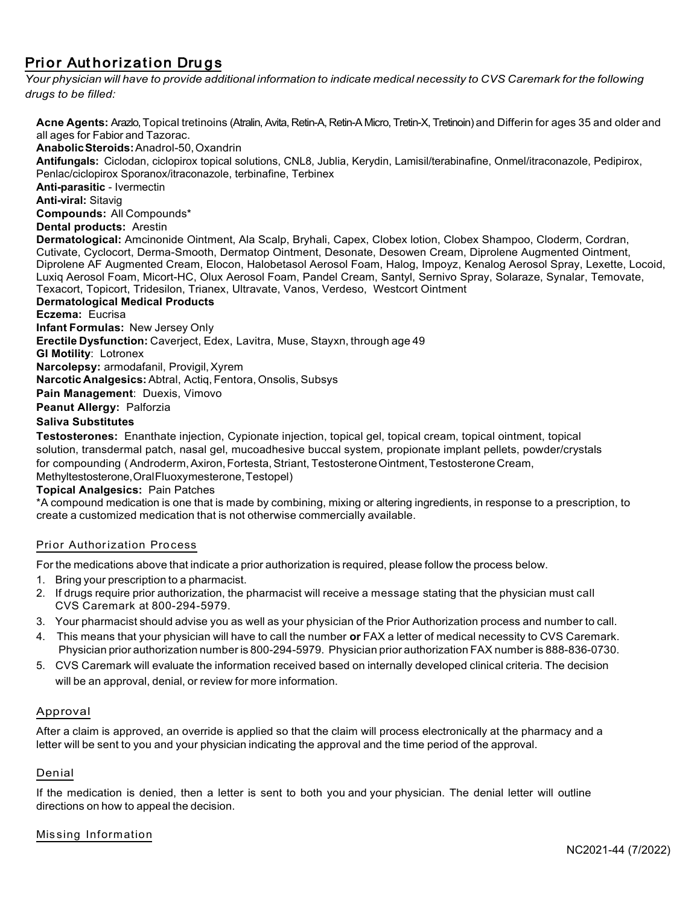### Prior Authorization Drugs

Your physician will have to provide additional information to indicate medical necessity to CVS Caremark for the following *drugs to be filled:*

**Acne Agents:** Arazlo,Topical tretinoins (Atralin, Avita, Retin-A, Retin-A Micro, Tretin-X, Tretinoin) and Differin for ages 35 and older and all ages for Fabior and Tazorac. **AnabolicSteroids:**Anadrol-50,Oxandrin **Antifungals:** Ciclodan, ciclopirox topical solutions, CNL8, Jublia, Kerydin, Lamisil/terabinafine, Onmel/itraconazole, Pedipirox, Penlac/ciclopirox Sporanox/itraconazole, terbinafine, Terbinex **Anti-parasitic** - Ivermectin **Anti-viral:** Sitavig **Compounds:** All Compounds\* **Dental products:** Arestin **Dermatological:** Amcinonide Ointment, Ala Scalp, Bryhali, Capex, Clobex lotion, Clobex Shampoo, Cloderm, Cordran, Cutivate, Cyclocort, Derma-Smooth, Dermatop Ointment, Desonate, Desowen Cream, Diprolene Augmented Ointment, Diprolene AF Augmented Cream, Elocon, Halobetasol Aerosol Foam, Halog, Impoyz, Kenalog Aerosol Spray, Lexette, Locoid, Luxiq Aerosol Foam, Micort-HC, Olux Aerosol Foam, Pandel Cream, Santyl, Sernivo Spray, Solaraze, Synalar, Temovate, Texacort, Topicort, Tridesilon, Trianex, Ultravate, Vanos, Verdeso, Westcort Ointment **Dermatological Medical Products Eczema:** Eucrisa **Infant Formulas:** New Jersey Only **Erectile Dysfunction:** Caverject, Edex, Lavitra, Muse, Stayxn, through age 49 **GI Motility**: Lotronex **Narcolepsy:** armodafanil, Provigil, Xyrem **Narcotic Analgesics:** Abtral, Actiq,Fentora, Onsolis, Subsys **Pain Management**: Duexis, Vimovo **Peanut Allergy:** Palforzia **Saliva Substitutes**

**Testosterones:** Enanthate injection, Cypionate injection, topical gel, topical cream, topical ointment, topical solution, transdermal patch, nasal gel, mucoadhesive buccal system, propionate implant pellets, powder/crystals for compounding (Androderm, Axiron, Fortesta, Striant, Testosterone Ointment, Testosterone Cream, Methyltestosterone,OralFluoxymesterone, Testopel)

#### **Topical Analgesics:** Pain Patches

\*A compound medication is one that is made by combining, mixing or altering ingredients, in response to a prescription, to create a customized medication that is not otherwise commercially available.

#### Prior Authorization Process

For the medications above that indicate a prior authorization is required, please follow the process below.

- 1. Bring your prescription to a pharmacist.
- 2. If drugs require prior authorization, the pharmacist will receive a message stating that the physician must call CVS Caremark at 800-294-5979.
- 3. Your pharmacist should advise you as well as your physician of the Prior Authorization process and number to call.
- 4. This means that your physician will have to call the number **or** FAX a letter of medical necessity to CVS Caremark. Physician prior authorization number is 800-294-5979. Physician prior authorization FAX number is 888-836-0730.
- 5. CVS Caremark will evaluate the information received based on internally developed clinical criteria. The decision will be an approval, denial, or review for more information.

#### Approval

After a claim is approved, an override is applied so that the claim will process electronically at the pharmacy and a letter will be sent to you and your physician indicating the approval and the time period of the approval.

#### Denial

If the medication is denied, then a letter is sent to both you and your physician. The denial letter will outline directions on how to appeal the decision.

#### Missing Information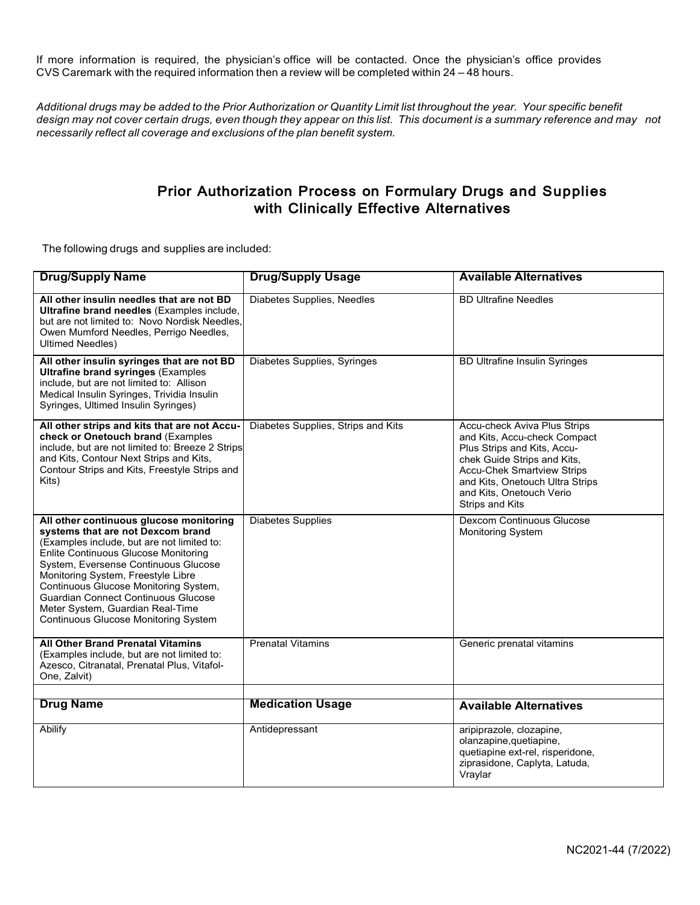If more information is required, the physician's office will be contacted. Once the physician's office provides CVS Caremark with the required information then a review will be completed within 24 – 48 hours.

Additional drugs may be added to the Prior Authorization or Quantity Limit list throughout the year. Your specific benefit design may not cover certain drugs, even though they appear on this list. This document is a summary reference and may not *necessarily reflect all coverage and exclusions of the plan benefit system.*

### Prior Authorization Process on Formulary Drugs and Supplies with Clinically Effective Alternatives

The following drugs and supplies are included:

| <b>Drug/Supply Name</b>                                                                                                                                                                                                                                                                                                                                                                                                           | <b>Drug/Supply Usage</b>           | <b>Available Alternatives</b>                                                                                                                                                                                                                            |
|-----------------------------------------------------------------------------------------------------------------------------------------------------------------------------------------------------------------------------------------------------------------------------------------------------------------------------------------------------------------------------------------------------------------------------------|------------------------------------|----------------------------------------------------------------------------------------------------------------------------------------------------------------------------------------------------------------------------------------------------------|
| All other insulin needles that are not BD<br>Ultrafine brand needles (Examples include,<br>but are not limited to: Novo Nordisk Needles,<br>Owen Mumford Needles, Perrigo Needles,<br><b>Ultimed Needles)</b>                                                                                                                                                                                                                     | Diabetes Supplies, Needles         | <b>BD Ultrafine Needles</b>                                                                                                                                                                                                                              |
| All other insulin syringes that are not BD<br><b>Ultrafine brand syringes (Examples</b><br>include, but are not limited to: Allison<br>Medical Insulin Syringes, Trividia Insulin<br>Syringes, Ultimed Insulin Syringes)                                                                                                                                                                                                          | Diabetes Supplies, Syringes        | <b>BD Ultrafine Insulin Syringes</b>                                                                                                                                                                                                                     |
| All other strips and kits that are not Accu-<br>check or Onetouch brand (Examples<br>include, but are not limited to: Breeze 2 Strips<br>and Kits, Contour Next Strips and Kits,<br>Contour Strips and Kits, Freestyle Strips and<br>Kits)                                                                                                                                                                                        | Diabetes Supplies, Strips and Kits | Accu-check Aviva Plus Strips<br>and Kits, Accu-check Compact<br>Plus Strips and Kits, Accu-<br>chek Guide Strips and Kits,<br><b>Accu-Chek Smartview Strips</b><br>and Kits, Onetouch Ultra Strips<br>and Kits, Onetouch Verio<br><b>Strips and Kits</b> |
| All other continuous glucose monitoring<br>systems that are not Dexcom brand<br>(Examples include, but are not limited to:<br><b>Enlite Continuous Glucose Monitoring</b><br>System, Eversense Continuous Glucose<br>Monitoring System, Freestyle Libre<br>Continuous Glucose Monitoring System,<br><b>Guardian Connect Continuous Glucose</b><br>Meter System, Guardian Real-Time<br><b>Continuous Glucose Monitoring System</b> | <b>Diabetes Supplies</b>           | Dexcom Continuous Glucose<br><b>Monitoring System</b>                                                                                                                                                                                                    |
| <b>All Other Brand Prenatal Vitamins</b><br>(Examples include, but are not limited to:<br>Azesco, Citranatal, Prenatal Plus, Vitafol-<br>One, Zalvit)                                                                                                                                                                                                                                                                             | <b>Prenatal Vitamins</b>           | Generic prenatal vitamins                                                                                                                                                                                                                                |
|                                                                                                                                                                                                                                                                                                                                                                                                                                   |                                    |                                                                                                                                                                                                                                                          |
| <b>Drug Name</b>                                                                                                                                                                                                                                                                                                                                                                                                                  | <b>Medication Usage</b>            | <b>Available Alternatives</b>                                                                                                                                                                                                                            |
| <b>Abilify</b>                                                                                                                                                                                                                                                                                                                                                                                                                    | Antidepressant                     | aripiprazole, clozapine,<br>olanzapine, quetiapine,<br>quetiapine ext-rel, risperidone,<br>ziprasidone, Caplyta, Latuda,<br>Vraylar                                                                                                                      |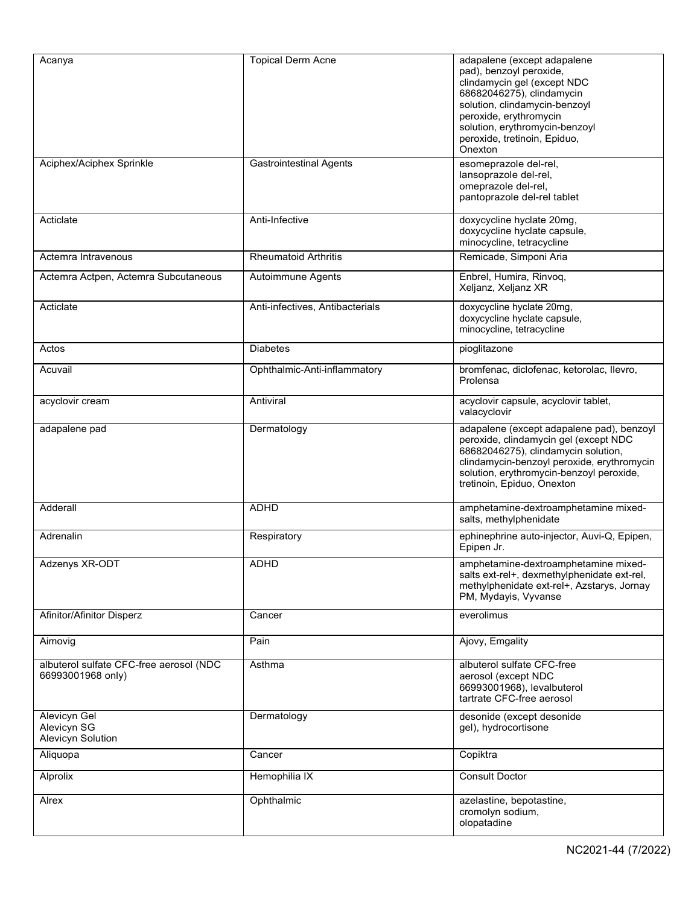| Acanya                                                       | <b>Topical Derm Acne</b>        | adapalene (except adapalene<br>pad), benzoyl peroxide,<br>clindamycin gel (except NDC<br>68682046275), clindamycin<br>solution, clindamycin-benzoyl<br>peroxide, erythromycin<br>solution, erythromycin-benzoyl<br>peroxide, tretinoin, Epiduo,<br>Onexton |
|--------------------------------------------------------------|---------------------------------|------------------------------------------------------------------------------------------------------------------------------------------------------------------------------------------------------------------------------------------------------------|
| Aciphex/Aciphex Sprinkle                                     | <b>Gastrointestinal Agents</b>  | esomeprazole del-rel,<br>lansoprazole del-rel,<br>omeprazole del-rel,<br>pantoprazole del-rel tablet                                                                                                                                                       |
| Acticlate                                                    | Anti-Infective                  | doxycycline hyclate 20mg,<br>doxycycline hyclate capsule,<br>minocycline, tetracycline                                                                                                                                                                     |
| Actemra Intravenous                                          | <b>Rheumatoid Arthritis</b>     | Remicade, Simponi Aria                                                                                                                                                                                                                                     |
| Actemra Actpen, Actemra Subcutaneous                         | Autoimmune Agents               | Enbrel, Humira, Rinvoq,<br>Xeljanz, Xeljanz XR                                                                                                                                                                                                             |
| Acticlate                                                    | Anti-infectives, Antibacterials | doxycycline hyclate 20mg,<br>doxycycline hyclate capsule,<br>minocycline, tetracycline                                                                                                                                                                     |
| Actos                                                        | <b>Diabetes</b>                 | pioglitazone                                                                                                                                                                                                                                               |
| Acuvail                                                      | Ophthalmic-Anti-inflammatory    | bromfenac, diclofenac, ketorolac, llevro,<br>Prolensa                                                                                                                                                                                                      |
| acyclovir cream                                              | Antiviral                       | acyclovir capsule, acyclovir tablet,<br>valacyclovir                                                                                                                                                                                                       |
| adapalene pad                                                | Dermatology                     | adapalene (except adapalene pad), benzoyl<br>peroxide, clindamycin gel (except NDC<br>68682046275), clindamycin solution,<br>clindamycin-benzoyl peroxide, erythromycin<br>solution, erythromycin-benzoyl peroxide,<br>tretinoin, Epiduo, Onexton          |
| Adderall                                                     | <b>ADHD</b>                     | amphetamine-dextroamphetamine mixed-<br>salts, methylphenidate                                                                                                                                                                                             |
| Adrenalin                                                    | Respiratory                     | ephinephrine auto-injector, Auvi-Q, Epipen,<br>Epipen Jr.                                                                                                                                                                                                  |
| Adzenys XR-ODT                                               | ADHD                            | amphetamine-dextroamphetamine mixed-<br>salts ext-rel+, dexmethylphenidate ext-rel,<br>methylphenidate ext-rel+, Azstarys, Jornay<br>PM, Mydayis, Vyvanse                                                                                                  |
| Afinitor/Afinitor Disperz                                    | Cancer                          | everolimus                                                                                                                                                                                                                                                 |
| Aimovig                                                      | Pain                            | Ajovy, Emgality                                                                                                                                                                                                                                            |
| albuterol sulfate CFC-free aerosol (NDC<br>66993001968 only) | Asthma                          | albuterol sulfate CFC-free<br>aerosol (except NDC<br>66993001968), levalbuterol<br>tartrate CFC-free aerosol                                                                                                                                               |
| Alevicyn Gel<br>Alevicyn SG<br>Alevicyn Solution             | Dermatology                     | desonide (except desonide<br>gel), hydrocortisone                                                                                                                                                                                                          |
| Aliquopa                                                     | Cancer                          | Copiktra                                                                                                                                                                                                                                                   |
| Alprolix                                                     | Hemophilia IX                   | <b>Consult Doctor</b>                                                                                                                                                                                                                                      |
| Alrex                                                        | Ophthalmic                      | azelastine, bepotastine,<br>cromolyn sodium,<br>olopatadine                                                                                                                                                                                                |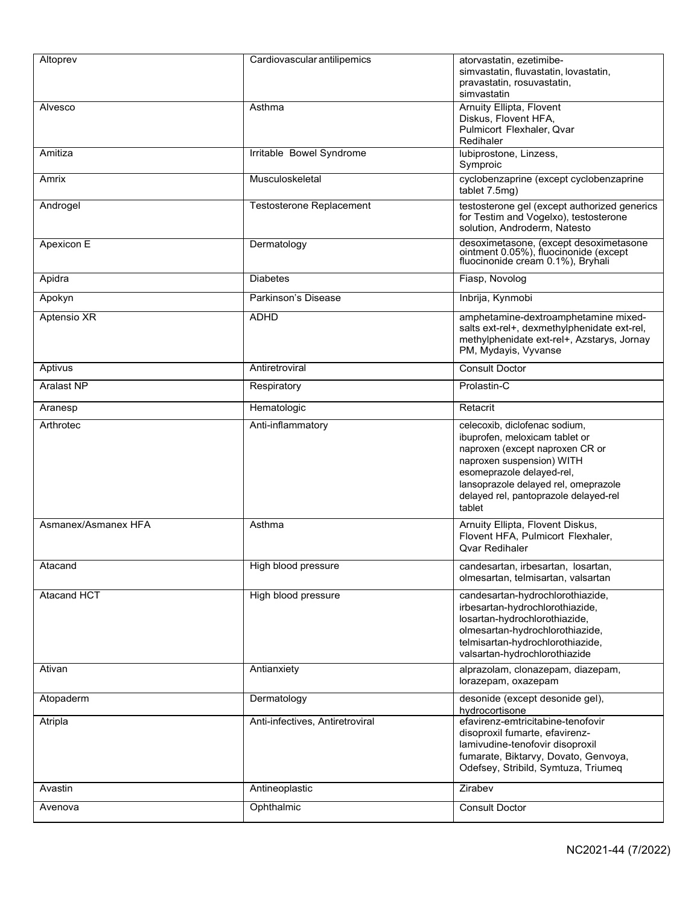| Altoprev            | Cardiovascular antilipemics     | atorvastatin, ezetimibe-<br>simvastatin, fluvastatin, lovastatin,<br>pravastatin, rosuvastatin,<br>simvastatin                                                                                                                                          |
|---------------------|---------------------------------|---------------------------------------------------------------------------------------------------------------------------------------------------------------------------------------------------------------------------------------------------------|
| Alvesco             | Asthma                          | Arnuity Ellipta, Flovent<br>Diskus, Flovent HFA,<br>Pulmicort Flexhaler, Qvar<br>Redihaler                                                                                                                                                              |
| Amitiza             | Irritable Bowel Syndrome        | lubiprostone, Linzess,<br>Symproic                                                                                                                                                                                                                      |
| Amrix               | Musculoskeletal                 | cyclobenzaprine (except cyclobenzaprine<br>tablet 7.5mg)                                                                                                                                                                                                |
| Androgel            | <b>Testosterone Replacement</b> | testosterone gel (except authorized generics<br>for Testim and Vogelxo), testosterone<br>solution, Androderm, Natesto                                                                                                                                   |
| Apexicon E          | Dermatology                     | desoximetasone, (except desoximetasone<br>ointment 0.05%), fluocinonide (except<br>fluocinonide cream 0.1%), Bryhali                                                                                                                                    |
| Apidra              | <b>Diabetes</b>                 | Fiasp, Novolog                                                                                                                                                                                                                                          |
| Apokyn              | Parkinson's Disease             | Inbrija, Kynmobi                                                                                                                                                                                                                                        |
| Aptensio XR         | <b>ADHD</b>                     | amphetamine-dextroamphetamine mixed-<br>salts ext-rel+, dexmethylphenidate ext-rel,<br>methylphenidate ext-rel+, Azstarys, Jornay<br>PM, Mydayis, Vyvanse                                                                                               |
| Aptivus             | Antiretroviral                  | <b>Consult Doctor</b>                                                                                                                                                                                                                                   |
| <b>Aralast NP</b>   | Respiratory                     | Prolastin-C                                                                                                                                                                                                                                             |
| Aranesp             | Hematologic                     | Retacrit                                                                                                                                                                                                                                                |
| Arthrotec           | Anti-inflammatory               | celecoxib, diclofenac sodium,<br>ibuprofen, meloxicam tablet or<br>naproxen (except naproxen CR or<br>naproxen suspension) WITH<br>esomeprazole delayed-rel,<br>lansoprazole delayed rel, omeprazole<br>delayed rel, pantoprazole delayed-rel<br>tablet |
| Asmanex/Asmanex HFA | Asthma                          | Arnuity Ellipta, Flovent Diskus,<br>Flovent HFA, Pulmicort Flexhaler,<br><b>Ovar Redihaler</b>                                                                                                                                                          |
| Atacand             | High blood pressure             | candesartan, irbesartan, losartan,<br>olmesartan, telmisartan, valsartan                                                                                                                                                                                |
| <b>Atacand HCT</b>  | High blood pressure             | candesartan-hydrochlorothiazide,<br>irbesartan-hydrochlorothiazide,<br>losartan-hydrochlorothiazide,<br>olmesartan-hydrochlorothiazide,<br>telmisartan-hydrochlorothiazide,<br>valsartan-hydrochlorothiazide                                            |
| Ativan              | Antianxiety                     | alprazolam, clonazepam, diazepam,<br>lorazepam, oxazepam                                                                                                                                                                                                |
| Atopaderm           | Dermatology                     | desonide (except desonide gel),<br>hydrocortisone                                                                                                                                                                                                       |
| Atripla             | Anti-infectives, Antiretroviral | efavirenz-emtricitabine-tenofovir<br>disoproxil fumarte, efavirenz-<br>lamivudine-tenofovir disoproxil<br>fumarate, Biktarvy, Dovato, Genvoya,<br>Odefsey, Stribild, Symtuza, Triumeq                                                                   |
| Avastin             | Antineoplastic                  | Zirabev                                                                                                                                                                                                                                                 |
| Avenova             | Ophthalmic                      | <b>Consult Doctor</b>                                                                                                                                                                                                                                   |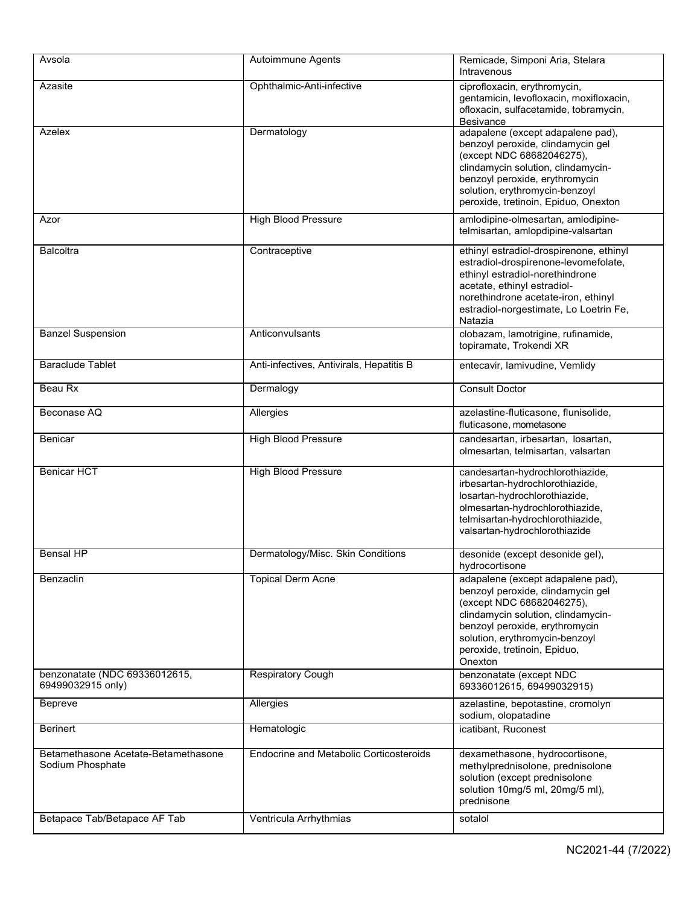| Avsola                                                  | Autoimmune Agents                              | Remicade, Simponi Aria, Stelara<br>Intravenous                                                                                                                                                                                                           |
|---------------------------------------------------------|------------------------------------------------|----------------------------------------------------------------------------------------------------------------------------------------------------------------------------------------------------------------------------------------------------------|
| Azasite                                                 | Ophthalmic-Anti-infective                      | ciprofloxacin, erythromycin,<br>gentamicin, levofloxacin, moxifloxacin,<br>ofloxacin, sulfacetamide, tobramycin,<br>Besivance                                                                                                                            |
| Azelex                                                  | Dermatology                                    | adapalene (except adapalene pad),<br>benzoyl peroxide, clindamycin gel<br>(except NDC 68682046275),<br>clindamycin solution, clindamycin-<br>benzoyl peroxide, erythromycin<br>solution, erythromycin-benzoyl<br>peroxide, tretinoin, Epiduo, Onexton    |
| Azor                                                    | <b>High Blood Pressure</b>                     | amlodipine-olmesartan, amlodipine-<br>telmisartan, amlopdipine-valsartan                                                                                                                                                                                 |
| <b>Balcoltra</b>                                        | Contraceptive                                  | ethinyl estradiol-drospirenone, ethinyl<br>estradiol-drospirenone-levomefolate,<br>ethinyl estradiol-norethindrone<br>acetate, ethinyl estradiol-<br>norethindrone acetate-iron, ethinyl<br>estradiol-norgestimate, Lo Loetrin Fe,<br>Natazia            |
| <b>Banzel Suspension</b>                                | Anticonvulsants                                | clobazam, lamotrigine, rufinamide,<br>topiramate, Trokendi XR                                                                                                                                                                                            |
| <b>Baraclude Tablet</b>                                 | Anti-infectives, Antivirals, Hepatitis B       | entecavir, lamivudine, Vemlidy                                                                                                                                                                                                                           |
| Beau Rx                                                 | Dermalogy                                      | <b>Consult Doctor</b>                                                                                                                                                                                                                                    |
| Beconase AQ                                             | Allergies                                      | azelastine-fluticasone, flunisolide,<br>fluticasone, mometasone                                                                                                                                                                                          |
| <b>Benicar</b>                                          | <b>High Blood Pressure</b>                     | candesartan, irbesartan, losartan,<br>olmesartan, telmisartan, valsartan                                                                                                                                                                                 |
| <b>Benicar HCT</b>                                      | <b>High Blood Pressure</b>                     | candesartan-hydrochlorothiazide,<br>irbesartan-hydrochlorothiazide,<br>losartan-hydrochlorothiazide,<br>olmesartan-hydrochlorothiazide,<br>telmisartan-hydrochlorothiazide,<br>valsartan-hydrochlorothiazide                                             |
| <b>Bensal HP</b>                                        | Dermatology/Misc. Skin Conditions              | desonide (except desonide gel),<br>hydrocortisone                                                                                                                                                                                                        |
| Benzaclin                                               | <b>Topical Derm Acne</b>                       | adapalene (except adapalene pad),<br>benzoyl peroxide, clindamycin gel<br>(except NDC 68682046275),<br>clindamycin solution, clindamycin-<br>benzoyl peroxide, erythromycin<br>solution, erythromycin-benzoyl<br>peroxide, tretinoin, Epiduo,<br>Onexton |
| benzonatate (NDC 69336012615,<br>69499032915 only)      | <b>Respiratory Cough</b>                       | benzonatate (except NDC<br>69336012615, 69499032915)                                                                                                                                                                                                     |
| <b>Bepreve</b>                                          | Allergies                                      | azelastine, bepotastine, cromolyn<br>sodium, olopatadine                                                                                                                                                                                                 |
| <b>Berinert</b>                                         | Hematologic                                    | icatibant, Ruconest                                                                                                                                                                                                                                      |
| Betamethasone Acetate-Betamethasone<br>Sodium Phosphate | <b>Endocrine and Metabolic Corticosteroids</b> | dexamethasone, hydrocortisone,<br>methylprednisolone, prednisolone<br>solution (except prednisolone<br>solution 10mg/5 ml, 20mg/5 ml),<br>prednisone                                                                                                     |
| Betapace Tab/Betapace AF Tab                            | Ventricula Arrhythmias                         | sotalol                                                                                                                                                                                                                                                  |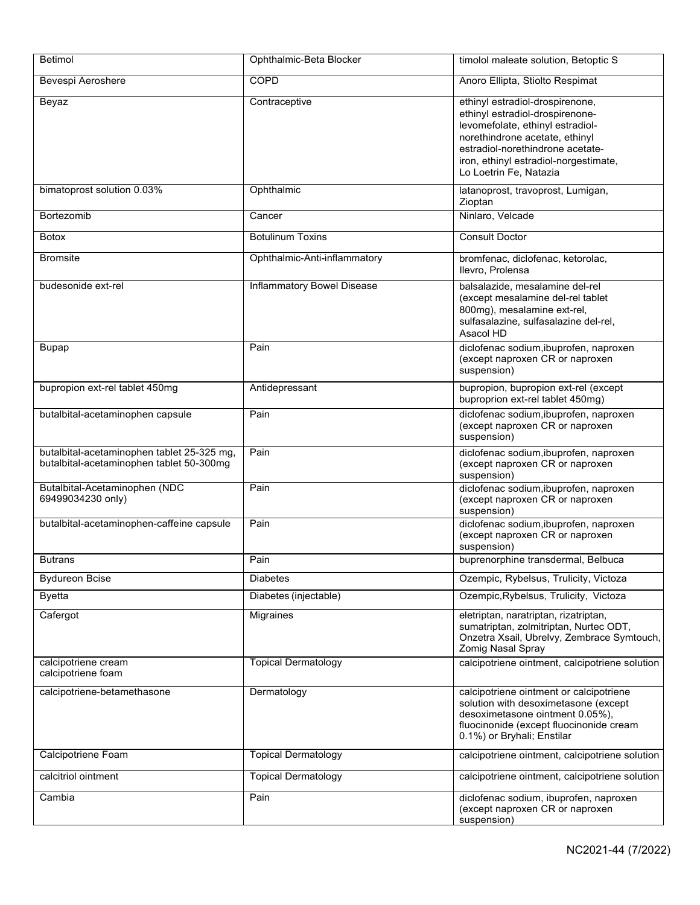| <b>Betimol</b>                                                                         | Ophthalmic-Beta Blocker           | timolol maleate solution, Betoptic S                                                                                                                                                                                                            |
|----------------------------------------------------------------------------------------|-----------------------------------|-------------------------------------------------------------------------------------------------------------------------------------------------------------------------------------------------------------------------------------------------|
| Bevespi Aeroshere                                                                      | <b>COPD</b>                       | Anoro Ellipta, Stiolto Respimat                                                                                                                                                                                                                 |
| Beyaz                                                                                  | Contraceptive                     | ethinyl estradiol-drospirenone,<br>ethinyl estradiol-drospirenone-<br>levomefolate, ethinyl estradiol-<br>norethindrone acetate, ethinyl<br>estradiol-norethindrone acetate-<br>iron, ethinyl estradiol-norgestimate,<br>Lo Loetrin Fe, Natazia |
| bimatoprost solution 0.03%                                                             | Ophthalmic                        | latanoprost, travoprost, Lumigan,<br>Zioptan                                                                                                                                                                                                    |
| <b>Bortezomib</b>                                                                      | Cancer                            | Ninlaro, Velcade                                                                                                                                                                                                                                |
| Botox                                                                                  | <b>Botulinum Toxins</b>           | <b>Consult Doctor</b>                                                                                                                                                                                                                           |
| <b>Bromsite</b>                                                                        | Ophthalmic-Anti-inflammatory      | bromfenac, diclofenac, ketorolac,<br>Ilevro, Prolensa                                                                                                                                                                                           |
| budesonide ext-rel                                                                     | <b>Inflammatory Bowel Disease</b> | balsalazide, mesalamine del-rel<br>(except mesalamine del-rel tablet<br>800mg), mesalamine ext-rel,<br>sulfasalazine, sulfasalazine del-rel,<br>Asacol HD                                                                                       |
| <b>Bupap</b>                                                                           | Pain                              | diclofenac sodium, ibuprofen, naproxen<br>(except naproxen CR or naproxen<br>suspension)                                                                                                                                                        |
| bupropion ext-rel tablet 450mg                                                         | Antidepressant                    | bupropion, bupropion ext-rel (except<br>buproprion ext-rel tablet 450mg)                                                                                                                                                                        |
| butalbital-acetaminophen capsule                                                       | Pain                              | diclofenac sodium, ibuprofen, naproxen<br>(except naproxen CR or naproxen<br>suspension)                                                                                                                                                        |
| butalbital-acetaminophen tablet 25-325 mg,<br>butalbital-acetaminophen tablet 50-300mg | Pain                              | diclofenac sodium, ibuprofen, naproxen<br>(except naproxen CR or naproxen<br>suspension)                                                                                                                                                        |
| Butalbital-Acetaminophen (NDC<br>69499034230 only)                                     | Pain                              | diclofenac sodium, ibuprofen, naproxen<br>(except naproxen CR or naproxen<br>suspension)                                                                                                                                                        |
| butalbital-acetaminophen-caffeine capsule                                              | Pain                              | diclofenac sodium, ibuprofen, naproxen<br>(except naproxen CR or naproxen<br>suspension)                                                                                                                                                        |
| <b>Butrans</b>                                                                         | Pain                              | buprenorphine transdermal, Belbuca                                                                                                                                                                                                              |
| <b>Bydureon Bcise</b>                                                                  | <b>Diabetes</b>                   | Ozempic, Rybelsus, Trulicity, Victoza                                                                                                                                                                                                           |
| <b>Byetta</b>                                                                          | Diabetes (injectable)             | Ozempic, Rybelsus, Trulicity, Victoza                                                                                                                                                                                                           |
| Cafergot                                                                               | Migraines                         | eletriptan, naratriptan, rizatriptan,<br>sumatriptan, zolmitriptan, Nurtec ODT,<br>Onzetra Xsail, Ubrelvy, Zembrace Symtouch,<br>Zomig Nasal Spray                                                                                              |
| calcipotriene cream<br>calcipotriene foam                                              | <b>Topical Dermatology</b>        | calcipotriene ointment, calcipotriene solution                                                                                                                                                                                                  |
| calcipotriene-betamethasone                                                            | Dermatology                       | calcipotriene ointment or calcipotriene<br>solution with desoximetasone (except<br>desoximetasone ointment 0.05%),<br>fluocinonide (except fluocinonide cream<br>0.1%) or Bryhali; Enstilar                                                     |
| Calcipotriene Foam                                                                     | <b>Topical Dermatology</b>        | calcipotriene ointment, calcipotriene solution                                                                                                                                                                                                  |
| calcitriol ointment                                                                    | <b>Topical Dermatology</b>        | calcipotriene ointment, calcipotriene solution                                                                                                                                                                                                  |
| Cambia                                                                                 | Pain                              | diclofenac sodium, ibuprofen, naproxen<br>(except naproxen CR or naproxen<br>suspension)                                                                                                                                                        |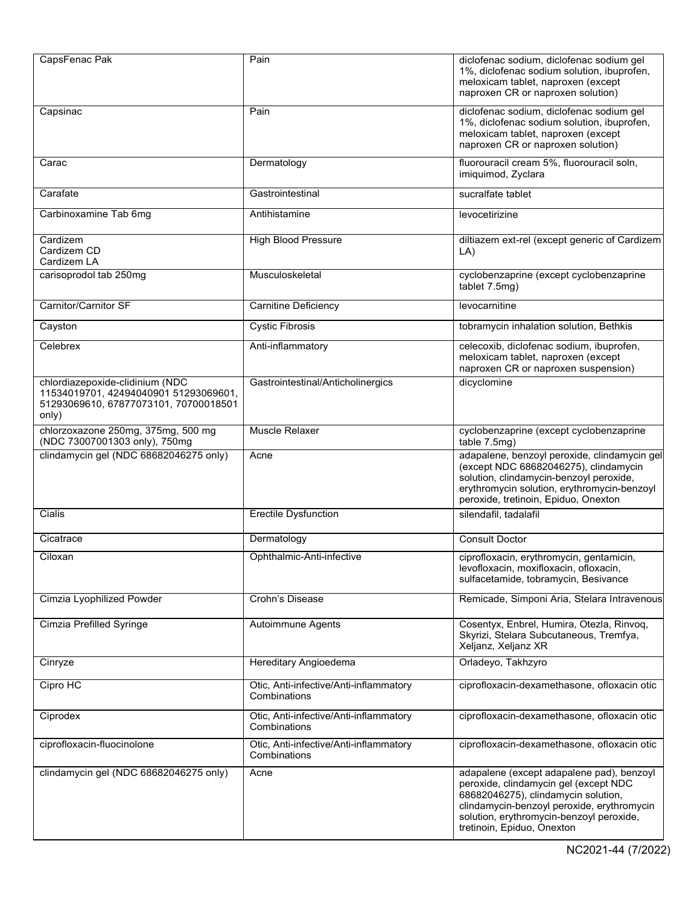| CapsFenac Pak                                                                                                              | Pain                                                   | diclofenac sodium, diclofenac sodium gel<br>1%, diclofenac sodium solution, ibuprofen,<br>meloxicam tablet, naproxen (except<br>naproxen CR or naproxen solution)                                                                                 |
|----------------------------------------------------------------------------------------------------------------------------|--------------------------------------------------------|---------------------------------------------------------------------------------------------------------------------------------------------------------------------------------------------------------------------------------------------------|
| Capsinac                                                                                                                   | Pain                                                   | diclofenac sodium, diclofenac sodium gel<br>1%, diclofenac sodium solution, ibuprofen,<br>meloxicam tablet, naproxen (except<br>naproxen CR or naproxen solution)                                                                                 |
| Carac                                                                                                                      | Dermatology                                            | fluorouracil cream 5%, fluorouracil soln,<br>imiquimod, Zyclara                                                                                                                                                                                   |
| Carafate                                                                                                                   | Gastrointestinal                                       | sucralfate tablet                                                                                                                                                                                                                                 |
| Carbinoxamine Tab 6mg                                                                                                      | Antihistamine                                          | levocetirizine                                                                                                                                                                                                                                    |
| Cardizem<br>Cardizem CD<br>Cardizem LA                                                                                     | <b>High Blood Pressure</b>                             | diltiazem ext-rel (except generic of Cardizem<br>LA)                                                                                                                                                                                              |
| carisoprodol tab 250mg                                                                                                     | Musculoskeletal                                        | cyclobenzaprine (except cyclobenzaprine<br>tablet 7.5mg)                                                                                                                                                                                          |
| Carnitor/Carnitor SF                                                                                                       | Carnitine Deficiency                                   | levocarnitine                                                                                                                                                                                                                                     |
| Cayston                                                                                                                    | <b>Cystic Fibrosis</b>                                 | tobramycin inhalation solution, Bethkis                                                                                                                                                                                                           |
| Celebrex                                                                                                                   | Anti-inflammatory                                      | celecoxib, diclofenac sodium, ibuprofen,<br>meloxicam tablet, naproxen (except<br>naproxen CR or naproxen suspension)                                                                                                                             |
| chlordiazepoxide-clidinium (NDC<br>11534019701, 42494040901 51293069601,<br>51293069610, 67877073101, 70700018501<br>only) | Gastrointestinal/Anticholinergics                      | dicyclomine                                                                                                                                                                                                                                       |
| chlorzoxazone 250mg, 375mg, 500 mg<br>(NDC 73007001303 only), 750mg                                                        | Muscle Relaxer                                         | cyclobenzaprine (except cyclobenzaprine<br>table 7.5mg)                                                                                                                                                                                           |
| clindamycin gel (NDC 68682046275 only)                                                                                     | Acne                                                   | adapalene, benzoyl peroxide, clindamycin gel<br>(except NDC 68682046275), clindamycin<br>solution, clindamycin-benzoyl peroxide,<br>erythromycin solution, erythromycin-benzoyl<br>peroxide, tretinoin, Epiduo, Onexton                           |
| Cialis                                                                                                                     | <b>Erectile Dysfunction</b>                            | silendafil, tadalafil                                                                                                                                                                                                                             |
| Cicatrace                                                                                                                  | Dermatology                                            | <b>Consult Doctor</b>                                                                                                                                                                                                                             |
| Ciloxan                                                                                                                    | Ophthalmic-Anti-infective                              | ciprofloxacin, erythromycin, gentamicin,<br>levofloxacin, moxifloxacin, ofloxacin,<br>sulfacetamide, tobramycin, Besivance                                                                                                                        |
| Cimzia Lyophilized Powder                                                                                                  | Crohn's Disease                                        | Remicade, Simponi Aria, Stelara Intravenous                                                                                                                                                                                                       |
| Cimzia Prefilled Syringe                                                                                                   | Autoimmune Agents                                      | Cosentyx, Enbrel, Humira, Otezla, Rinvoq,<br>Skyrizi, Stelara Subcutaneous, Tremfya,<br>Xeljanz, Xeljanz XR                                                                                                                                       |
| Cinryze                                                                                                                    | <b>Hereditary Angioedema</b>                           | Orladeyo, Takhzyro                                                                                                                                                                                                                                |
| Cipro HC                                                                                                                   | Otic, Anti-infective/Anti-inflammatory<br>Combinations | ciprofloxacin-dexamethasone, ofloxacin otic                                                                                                                                                                                                       |
| Ciprodex                                                                                                                   | Otic, Anti-infective/Anti-inflammatory<br>Combinations | ciprofloxacin-dexamethasone, ofloxacin otic                                                                                                                                                                                                       |
| ciprofloxacin-fluocinolone                                                                                                 | Otic, Anti-infective/Anti-inflammatory<br>Combinations | ciprofloxacin-dexamethasone, ofloxacin otic                                                                                                                                                                                                       |
| clindamycin gel (NDC 68682046275 only)                                                                                     | Acne                                                   | adapalene (except adapalene pad), benzoyl<br>peroxide, clindamycin gel (except NDC<br>68682046275), clindamycin solution,<br>clindamycin-benzoyl peroxide, erythromycin<br>solution, erythromycin-benzoyl peroxide,<br>tretinoin, Epiduo, Onexton |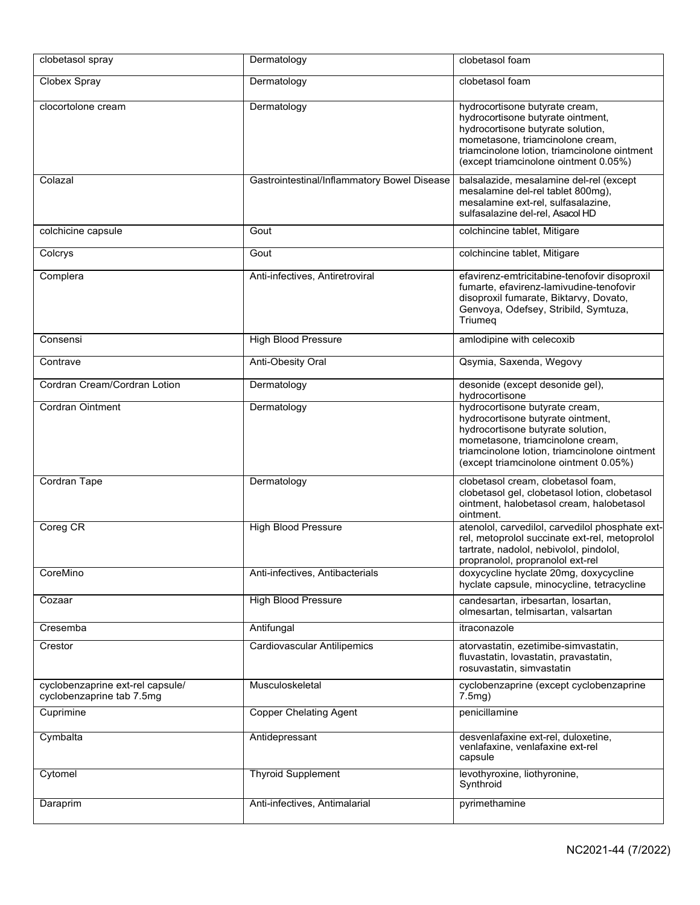| clobetasol spray                                              | Dermatology                                 | clobetasol foam                                                                                                                                                                                                                       |
|---------------------------------------------------------------|---------------------------------------------|---------------------------------------------------------------------------------------------------------------------------------------------------------------------------------------------------------------------------------------|
| Clobex Spray                                                  | Dermatology                                 | clobetasol foam                                                                                                                                                                                                                       |
| clocortolone cream                                            | Dermatology                                 | hydrocortisone butyrate cream,<br>hydrocortisone butyrate ointment,<br>hydrocortisone butyrate solution,<br>mometasone, triamcinolone cream,<br>triamcinolone lotion, triamcinolone ointment<br>(except triamcinolone ointment 0.05%) |
| Colazal                                                       | Gastrointestinal/Inflammatory Bowel Disease | balsalazide, mesalamine del-rel (except<br>mesalamine del-rel tablet 800mg),<br>mesalamine ext-rel, sulfasalazine,<br>sulfasalazine del-rel, Asacol HD                                                                                |
| colchicine capsule                                            | Gout                                        | colchincine tablet, Mitigare                                                                                                                                                                                                          |
| Colcrys                                                       | Gout                                        | colchincine tablet, Mitigare                                                                                                                                                                                                          |
| Complera                                                      | Anti-infectives, Antiretroviral             | efavirenz-emtricitabine-tenofovir disoproxil<br>fumarte, efavirenz-lamivudine-tenofovir<br>disoproxil fumarate, Biktarvy, Dovato,<br>Genvoya, Odefsey, Stribild, Symtuza,<br>Triumeq                                                  |
| Consensi                                                      | <b>High Blood Pressure</b>                  | amlodipine with celecoxib                                                                                                                                                                                                             |
| Contrave                                                      | Anti-Obesity Oral                           | Qsymia, Saxenda, Wegovy                                                                                                                                                                                                               |
| Cordran Cream/Cordran Lotion                                  | Dermatology                                 | desonide (except desonide gel),<br>hydrocortisone                                                                                                                                                                                     |
| Cordran Ointment                                              | Dermatology                                 | hydrocortisone butyrate cream,<br>hydrocortisone butyrate ointment,<br>hydrocortisone butyrate solution,<br>mometasone, triamcinolone cream,<br>triamcinolone lotion, triamcinolone ointment<br>(except triamcinolone ointment 0.05%) |
| Cordran Tape                                                  | Dermatology                                 | clobetasol cream, clobetasol foam,<br>clobetasol gel, clobetasol lotion, clobetasol<br>ointment, halobetasol cream, halobetasol<br>ointment.                                                                                          |
| Coreg CR                                                      | <b>High Blood Pressure</b>                  | atenolol, carvedilol, carvedilol phosphate ext-<br>rel, metoprolol succinate ext-rel, metoprolol<br>tartrate, nadolol, nebivolol, pindolol,<br>propranolol, propranolol ext-rel                                                       |
| CoreMino                                                      | Anti-infectives, Antibacterials             | doxycycline hyclate 20mg, doxycycline<br>hyclate capsule, minocycline, tetracycline                                                                                                                                                   |
| Cozaar                                                        | <b>High Blood Pressure</b>                  | candesartan, irbesartan, losartan,<br>olmesartan, telmisartan, valsartan                                                                                                                                                              |
| Cresemba                                                      | Antifungal                                  | itraconazole                                                                                                                                                                                                                          |
| Crestor                                                       | <b>Cardiovascular Antilipemics</b>          | atorvastatin, ezetimibe-simvastatin,<br>fluvastatin, lovastatin, pravastatin,<br>rosuvastatin, simvastatin                                                                                                                            |
| cyclobenzaprine ext-rel capsule/<br>cyclobenzaprine tab 7.5mg | Musculoskeletal                             | cyclobenzaprine (except cyclobenzaprine<br>7.5 <sub>mq</sub>                                                                                                                                                                          |
| Cuprimine                                                     | <b>Copper Chelating Agent</b>               | penicillamine                                                                                                                                                                                                                         |
| Cymbalta                                                      | Antidepressant                              | desvenlafaxine ext-rel, duloxetine,<br>venlafaxine, venlafaxine ext-rel<br>capsule                                                                                                                                                    |
| Cytomel                                                       | <b>Thyroid Supplement</b>                   | levothyroxine, liothyronine,<br>Synthroid                                                                                                                                                                                             |
| Daraprim                                                      | Anti-infectives, Antimalarial               | pyrimethamine                                                                                                                                                                                                                         |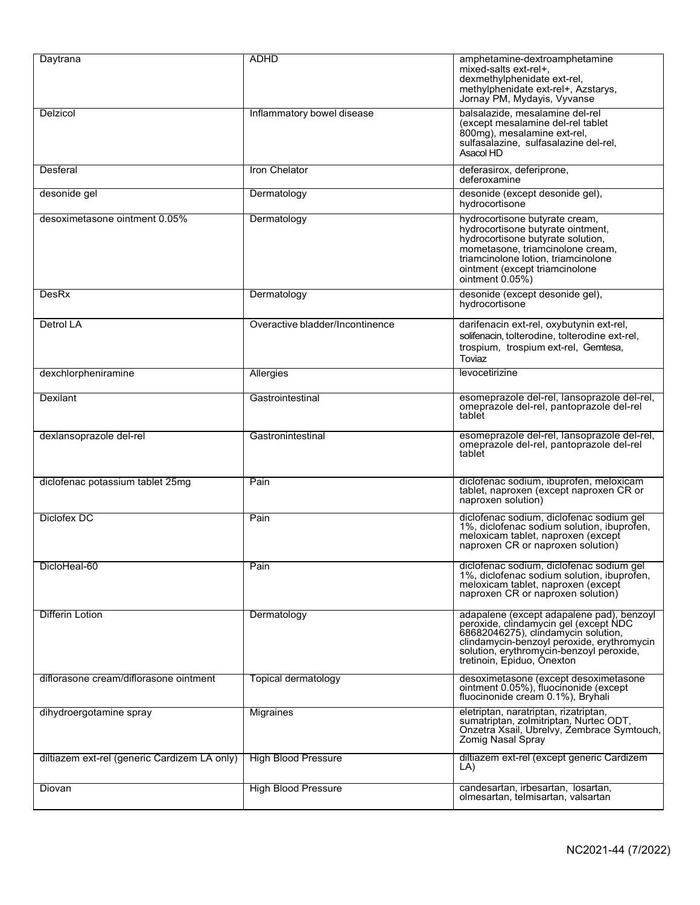| Daytrana                                     | <b>ADHD</b>                     | amphetamine-dextroamphetamine<br>mixed-salts ext-rel+,<br>dexmethylphenidate ext-rel,<br>methylphenidate ext-rel+, Azstarys,<br>Jornay PM, Mydayis, Vyvanse                                                                                       |
|----------------------------------------------|---------------------------------|---------------------------------------------------------------------------------------------------------------------------------------------------------------------------------------------------------------------------------------------------|
| Delzicol                                     | Inflammatory bowel disease      | balsalazide, mesalamine del-rel<br>(except mesalamine del-rel tablet<br>800mg), mesalamine ext-rel,<br>sulfasalazine, sulfasalazine del-rel,<br>Asacol HD                                                                                         |
| Desferal                                     | Iron Chelator                   | deferasirox, deferiprone,<br>deferoxamine                                                                                                                                                                                                         |
| desonide gel                                 | Dermatology                     | desonide (except desonide gel),<br>hydrocortisone                                                                                                                                                                                                 |
| desoximetasone ointment 0.05%                | Dermatology                     | hydrocortisone butyrate cream,<br>hydrocortisone butyrate ointment,<br>hydrocortisone butyrate solution,<br>mometasone, triamcinolone cream,<br>triamcinolone lotion, triamcinolone<br>ointment (except triamcinolone<br>ointment $0.05\%$ )      |
| DesRx                                        | Dermatology                     | desonide (except desonide gel),<br>hydrocortisone                                                                                                                                                                                                 |
| Detrol LA                                    | Overactive bladder/Incontinence | darifenacin ext-rel, oxybutynin ext-rel,<br>solifenacin, tolterodine, tolterodine ext-rel,<br>trospium, trospium ext-rel, Gemtesa,<br>Toviaz                                                                                                      |
| dexchlorpheniramine                          | Allergies                       | levocetirizine                                                                                                                                                                                                                                    |
| Dexilant                                     | Gastrointestinal                | esomeprazole del-rel, lansoprazole del-rel,<br>omeprazole del-rel, pantoprazole del-rel<br>tablet                                                                                                                                                 |
| dexlansoprazole del-rel                      | Gastronintestinal               | esomeprazole del-rel, lansoprazole del-rel,<br>omeprazole del-rel, pantoprazole del-rel<br>tablet                                                                                                                                                 |
| diclofenac potassium tablet 25mg             | Pain                            | diclofenac sodium, ibuprofen, meloxicam<br>tablet, naproxen (except naproxen CR or<br>naproxen solution)                                                                                                                                          |
| Diclofex DC                                  | Pain                            | diclofenac sodium, diclofenac sodium gel<br>1%, diclofenac sodium solution, ibuprofen,<br>meloxicam tablet, naproxen (except<br>naproxen CR or naproxen solution)                                                                                 |
| DicloHeal-60                                 | Pain                            | diclofenac sodium, diclofenac sodium gel<br>1%, diclofenac sodium solution, ibuprofen,<br>meloxicam tablet, naproxen (except<br>naproxen CR or naproxen solution)                                                                                 |
| <b>Differin Lotion</b>                       | Dermatology                     | adapalene (except adapalene pad), benzoyl<br>peroxide, clindamycin gel (except NDC<br>68682046275), clindamycin solution,<br>clindamycin-bénzoyl peroxide, erythromycin<br>solution, erythromycin-benzoyl peroxide,<br>tretinoin, Epiduo, Ónexton |
| diflorasone cream/diflorasone ointment       | Topical dermatology             | desoximetasone (except desoximetasone<br>ointment 0.05%), fluocinonide (except<br>fluocinonide cream 0.1%), Bryhali                                                                                                                               |
| dihydroergotamine spray                      | Migraines                       | eletriptan, naratriptan, rizatriptan,<br>sumatriptan, zolmitriptan, Nurtec ODT,<br>Onzetra Xsail, Ubrelvy, Zembrace Symtouch,<br><b>Zomig Nasal Spray</b>                                                                                         |
| diltiazem ext-rel (generic Cardizem LA only) | <b>High Blood Pressure</b>      | diltiazem ext-rel (except generic Cardizem<br>LA)                                                                                                                                                                                                 |
| Diovan                                       | <b>High Blood Pressure</b>      | candesartan, irbesartan, losartan,<br>olmesartan, telmisartan, valsartan                                                                                                                                                                          |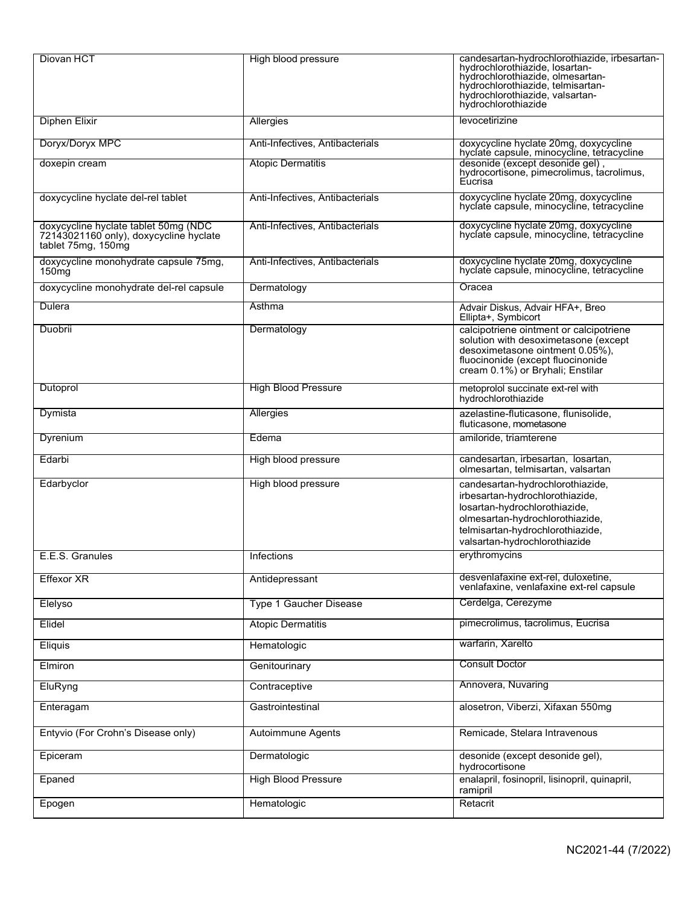| Diovan HCT                                                                                           | High blood pressure             | candesartan-hydrochlorothiazide, irbesartan-<br>hydrochlorothiazide, losartan-<br>hydrochlorothiazide, olmesartan-<br>hydrochlorothiazide, telmisartan-<br>hydrochlorothiazide, valsartan-<br>hydrochlorothiazide<br>levocetirizine |
|------------------------------------------------------------------------------------------------------|---------------------------------|-------------------------------------------------------------------------------------------------------------------------------------------------------------------------------------------------------------------------------------|
| <b>Diphen Elixir</b>                                                                                 | Allergies                       | doxycycline hyclate 20mg, doxycycline                                                                                                                                                                                               |
| Doryx/Doryx MPC                                                                                      | Anti-Infectives, Antibacterials | hyclate capsule, minocycline, tetracycline                                                                                                                                                                                          |
| doxepin cream                                                                                        | <b>Atopic Dermatitis</b>        | desonide (except desonide gel),<br>hydrocortisone, pimecrolimus, tacrolimus,<br>Eucrisa                                                                                                                                             |
| doxycycline hyclate del-rel tablet                                                                   | Anti-Infectives, Antibacterials | doxycycline hyclate 20mg, doxycycline<br>hyclate capsule, minocycline, tetracycline                                                                                                                                                 |
| doxycycline hyclate tablet 50mg (NDC<br>72143021160 only), doxycycline hyclate<br>tablet 75mg, 150mg | Anti-Infectives, Antibacterials | doxycycline hyclate 20mg, doxycycline<br>hyclate capsule, minocycline, tetracycline                                                                                                                                                 |
| doxycycline monohydrate capsule 75mg,<br>150 <sub>mg</sub>                                           | Anti-Infectives, Antibacterials | doxycycline hyclate 20mg, doxycycline<br>hyclate capsule, minocycline, tetracycline                                                                                                                                                 |
| doxycycline monohydrate del-rel capsule                                                              | Dermatology                     | Oracea                                                                                                                                                                                                                              |
| Dulera                                                                                               | Asthma                          | Advair Diskus, Advair HFA+, Breo<br>Ellipta+, Symbicort                                                                                                                                                                             |
| Duobrii                                                                                              | Dermatology                     | calcipotriene ointment or calcipotriene<br>solution with desoximetasone (except<br>desoximetasone ointment 0.05%),<br>fluocinonide (except fluocinonide<br>cream 0.1%) or Bryhali; Enstilar                                         |
| Dutoprol                                                                                             | <b>High Blood Pressure</b>      | metoprolol succinate ext-rel with<br>hydrochlorothiazide                                                                                                                                                                            |
| Dymista                                                                                              | Allergies                       | azelastine-fluticasone, flunisolide,<br>fluticasone, mometasone                                                                                                                                                                     |
| Dyrenium                                                                                             | Edema                           | amiloride, triamterene                                                                                                                                                                                                              |
| Edarbi                                                                                               | High blood pressure             | candesartan, irbesartan, losartan,<br>olmesartan, telmisartan, valsartan                                                                                                                                                            |
| Edarbyclor                                                                                           | High blood pressure             | candesartan-hydrochlorothiazide,<br>irbesartan-hydrochlorothiazide,<br>losartan-hydrochlorothiazide,<br>olmesartan-hydrochlorothiazide,<br>telmisartan-hydrochlorothiazide,<br>valsartan-hydrochlorothiazide                        |
| E.E.S. Granules                                                                                      | Infections                      | erythromycins                                                                                                                                                                                                                       |
| <b>Effexor XR</b>                                                                                    | Antidepressant                  | desvenlafaxine ext-rel, duloxetine,<br>venlafaxine, venlafaxine ext-rel capsule                                                                                                                                                     |
| Elelyso                                                                                              | Type 1 Gaucher Disease          | Cerdelga, Cerezyme                                                                                                                                                                                                                  |
| Elidel                                                                                               | <b>Atopic Dermatitis</b>        | pimecrolimus, tacrolimus, Eucrisa                                                                                                                                                                                                   |
| Eliquis                                                                                              | Hematologic                     | warfarin, Xarelto                                                                                                                                                                                                                   |
| Elmiron                                                                                              | Genitourinary                   | <b>Consult Doctor</b>                                                                                                                                                                                                               |
| EluRyng                                                                                              | Contraceptive                   | Annovera, Nuvaring                                                                                                                                                                                                                  |
| Enteragam                                                                                            | Gastrointestinal                | alosetron, Viberzi, Xifaxan 550mg                                                                                                                                                                                                   |
| Entyvio (For Crohn's Disease only)                                                                   | Autoimmune Agents               | Remicade, Stelara Intravenous                                                                                                                                                                                                       |
| Epiceram                                                                                             | Dermatologic                    | desonide (except desonide gel),<br>hydrocortisone                                                                                                                                                                                   |
| Epaned                                                                                               | <b>High Blood Pressure</b>      | enalapril, fosinopril, lisinopril, quinapril,<br>ramipril                                                                                                                                                                           |
| Epogen                                                                                               | Hematologic                     | Retacrit                                                                                                                                                                                                                            |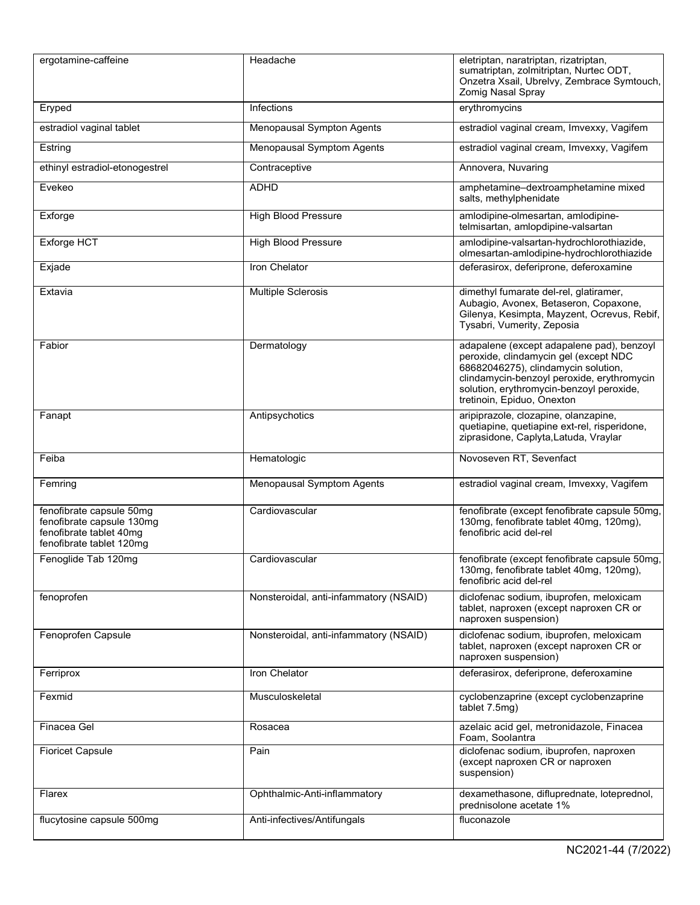| ergotamine-caffeine                                                                                          | Headache                               | eletriptan, naratriptan, rizatriptan,<br>sumatriptan, zolmitriptan, Nurtec ODT,<br>Onzetra Xsail, Ubrelvy, Zembrace Symtouch,<br>Zomig Nasal Spray                                                                                                |
|--------------------------------------------------------------------------------------------------------------|----------------------------------------|---------------------------------------------------------------------------------------------------------------------------------------------------------------------------------------------------------------------------------------------------|
| Eryped                                                                                                       | Infections                             | erythromycins                                                                                                                                                                                                                                     |
| estradiol vaginal tablet                                                                                     | Menopausal Sympton Agents              | estradiol vaginal cream, Imvexxy, Vagifem                                                                                                                                                                                                         |
| Estring                                                                                                      | Menopausal Symptom Agents              | estradiol vaginal cream, Imvexxy, Vagifem                                                                                                                                                                                                         |
| ethinyl estradiol-etonogestrel                                                                               | Contraceptive                          | Annovera, Nuvaring                                                                                                                                                                                                                                |
| Evekeo                                                                                                       | <b>ADHD</b>                            | amphetamine-dextroamphetamine mixed<br>salts, methylphenidate                                                                                                                                                                                     |
| Exforge                                                                                                      | <b>High Blood Pressure</b>             | amlodipine-olmesartan, amlodipine-<br>telmisartan, amlopdipine-valsartan                                                                                                                                                                          |
| Exforge HCT                                                                                                  | <b>High Blood Pressure</b>             | amlodipine-valsartan-hydrochlorothiazide,<br>olmesartan-amlodipine-hydrochlorothiazide                                                                                                                                                            |
| Exjade                                                                                                       | Iron Chelator                          | deferasirox, deferiprone, deferoxamine                                                                                                                                                                                                            |
| Extavia                                                                                                      | <b>Multiple Sclerosis</b>              | dimethyl fumarate del-rel, glatiramer,<br>Aubagio, Avonex, Betaseron, Copaxone,<br>Gilenya, Kesimpta, Mayzent, Ocrevus, Rebif,<br>Tysabri, Vumerity, Zeposia                                                                                      |
| Fabior                                                                                                       | Dermatology                            | adapalene (except adapalene pad), benzoyl<br>peroxide, clindamycin gel (except NDC<br>68682046275), clindamycin solution,<br>clindamycin-benzoyl peroxide, erythromycin<br>solution, erythromycin-benzoyl peroxide,<br>tretinoin, Epiduo, Onexton |
| Fanapt                                                                                                       | Antipsychotics                         | aripiprazole, clozapine, olanzapine,<br>quetiapine, quetiapine ext-rel, risperidone,<br>ziprasidone, Caplyta, Latuda, Vraylar                                                                                                                     |
| Feiba                                                                                                        | Hematologic                            | Novoseven RT, Sevenfact                                                                                                                                                                                                                           |
| Femring                                                                                                      | Menopausal Symptom Agents              | estradiol vaginal cream, Imvexxy, Vagifem                                                                                                                                                                                                         |
| fenofibrate capsule 50mg<br>fenofibrate capsule 130mg<br>fenofibrate tablet 40mg<br>fenofibrate tablet 120mg | Cardiovascular                         | fenofibrate (except fenofibrate capsule 50mg,<br>130mg, fenofibrate tablet 40mg, 120mg),<br>fenofibric acid del-rel                                                                                                                               |
| Fenoglide Tab 120mg                                                                                          | Cardiovascular                         | fenofibrate (except fenofibrate capsule 50mg,<br>130mg, fenofibrate tablet 40mg, 120mg),<br>fenofibric acid del-rel                                                                                                                               |
| fenoprofen                                                                                                   | Nonsteroidal, anti-infammatory (NSAID) | diclofenac sodium, ibuprofen, meloxicam<br>tablet, naproxen (except naproxen CR or<br>naproxen suspension)                                                                                                                                        |
| Fenoprofen Capsule                                                                                           | Nonsteroidal, anti-infammatory (NSAID) | diclofenac sodium, ibuprofen, meloxicam<br>tablet, naproxen (except naproxen CR or<br>naproxen suspension)                                                                                                                                        |
| Ferriprox                                                                                                    | Iron Chelator                          | deferasirox, deferiprone, deferoxamine                                                                                                                                                                                                            |
| Fexmid                                                                                                       | Musculoskeletal                        | cyclobenzaprine (except cyclobenzaprine<br>tablet 7.5mg)                                                                                                                                                                                          |
| Finacea Gel                                                                                                  | Rosacea                                | azelaic acid gel, metronidazole, Finacea<br>Foam, Soolantra                                                                                                                                                                                       |
| <b>Fioricet Capsule</b>                                                                                      | Pain                                   | diclofenac sodium, ibuprofen, naproxen<br>(except naproxen CR or naproxen<br>suspension)                                                                                                                                                          |
| Flarex                                                                                                       | Ophthalmic-Anti-inflammatory           | dexamethasone, difluprednate, loteprednol,<br>prednisolone acetate 1%                                                                                                                                                                             |
| flucytosine capsule 500mg                                                                                    | Anti-infectives/Antifungals            | fluconazole                                                                                                                                                                                                                                       |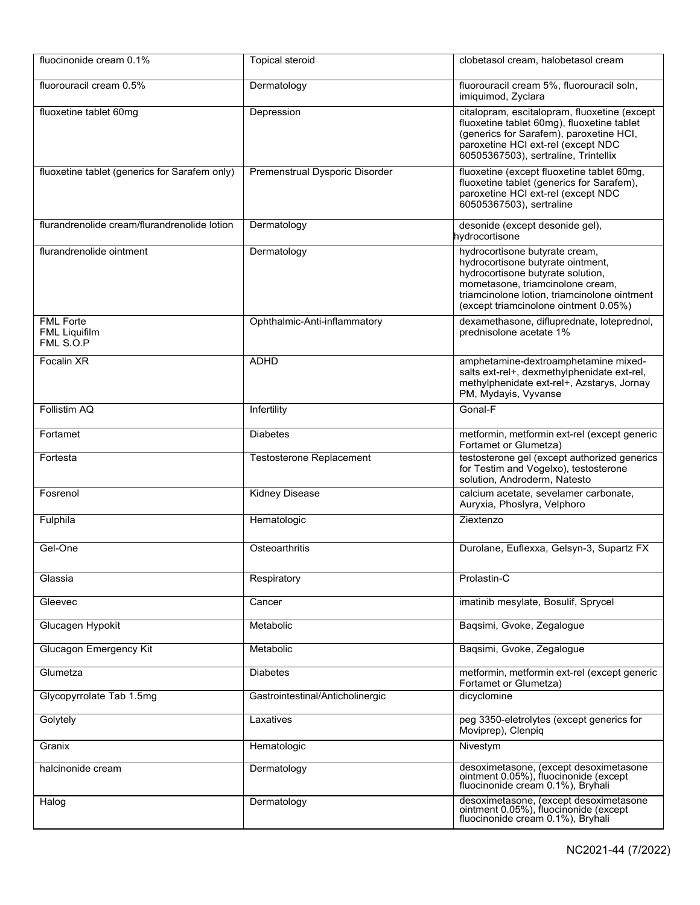| fluocinonide cream 0.1%                               | <b>Topical steroid</b>           | clobetasol cream, halobetasol cream                                                                                                                                                                                                   |
|-------------------------------------------------------|----------------------------------|---------------------------------------------------------------------------------------------------------------------------------------------------------------------------------------------------------------------------------------|
| fluorouracil cream 0.5%                               | Dermatology                      | fluorouracil cream 5%, fluorouracil soln,<br>imiquimod, Zyclara                                                                                                                                                                       |
| fluoxetine tablet 60mg                                | Depression                       | citalopram, escitalopram, fluoxetine (except<br>fluoxetine tablet 60mg), fluoxetine tablet<br>(generics for Sarafem), paroxetine HCI,<br>paroxetine HCI ext-rel (except NDC<br>60505367503), sertraline, Trintellix                   |
| fluoxetine tablet (generics for Sarafem only)         | Premenstrual Dysporic Disorder   | fluoxetine (except fluoxetine tablet 60mg,<br>fluoxetine tablet (generics for Sarafem),<br>paroxetine HCI ext-rel (except NDC<br>60505367503), sertraline                                                                             |
| flurandrenolide cream/flurandrenolide lotion          | Dermatology                      | desonide (except desonide gel),<br>hydrocortisone                                                                                                                                                                                     |
| flurandrenolide ointment                              | Dermatology                      | hydrocortisone butyrate cream,<br>hydrocortisone butyrate ointment,<br>hydrocortisone butyrate solution,<br>mometasone, triamcinolone cream,<br>triamcinolone lotion, triamcinolone ointment<br>(except triamcinolone ointment 0.05%) |
| <b>FML Forte</b><br><b>FML Liquifilm</b><br>FML S.O.P | Ophthalmic-Anti-inflammatory     | dexamethasone, difluprednate, loteprednol,<br>prednisolone acetate 1%                                                                                                                                                                 |
| Focalin XR                                            | <b>ADHD</b>                      | amphetamine-dextroamphetamine mixed-<br>salts ext-rel+, dexmethylphenidate ext-rel,<br>methylphenidate ext-rel+, Azstarys, Jornay<br>PM, Mydayis, Vyvanse                                                                             |
| Follistim AQ                                          | Infertility                      | Gonal-F                                                                                                                                                                                                                               |
| Fortamet                                              | <b>Diabetes</b>                  | metformin, metformin ext-rel (except generic<br>Fortamet or Glumetza)                                                                                                                                                                 |
| Fortesta                                              | Testosterone Replacement         | testosterone gel (except authorized generics<br>for Testim and Vogelxo), testosterone<br>solution, Androderm, Natesto                                                                                                                 |
| Fosrenol                                              | <b>Kidney Disease</b>            | calcium acetate, sevelamer carbonate,<br>Auryxia, Phoslyra, Velphoro                                                                                                                                                                  |
| Fulphila                                              | Hematologic                      | Ziextenzo                                                                                                                                                                                                                             |
| Gel-One                                               | Osteoarthritis                   | Durolane, Euflexxa, Gelsyn-3, Supartz FX                                                                                                                                                                                              |
| Glassia                                               | Respiratory                      | Prolastin-C                                                                                                                                                                                                                           |
| Gleevec                                               | Cancer                           | imatinib mesylate, Bosulif, Sprycel                                                                                                                                                                                                   |
| Glucagen Hypokit                                      | Metabolic                        | Baqsimi, Gvoke, Zegalogue                                                                                                                                                                                                             |
| Glucagon Emergency Kit                                | Metabolic                        | Baqsimi, Gvoke, Zegalogue                                                                                                                                                                                                             |
| Glumetza                                              | <b>Diabetes</b>                  | metformin, metformin ext-rel (except generic<br>Fortamet or Glumetza)                                                                                                                                                                 |
| Glycopyrrolate Tab 1.5mg                              | Gastrointestinal/Anticholinergic | dicyclomine                                                                                                                                                                                                                           |
| Golytely                                              | Laxatives                        | peg 3350-eletrolytes (except generics for<br>Moviprep), Clenpiq                                                                                                                                                                       |
| Granix                                                | Hematologic                      | Nivestym                                                                                                                                                                                                                              |
| halcinonide cream                                     | Dermatology                      | desoximetasone, (except desoximetasone<br>ointment 0.05%), fluocinonide (except<br>fluocinonide cream 0.1%), Bryhali                                                                                                                  |
| Halog                                                 | Dermatology                      | desoximetasone, (except desoximetasone<br>ointment 0.05%), fluocinonide (except<br>fluocinonide cream 0.1%), Bryhali                                                                                                                  |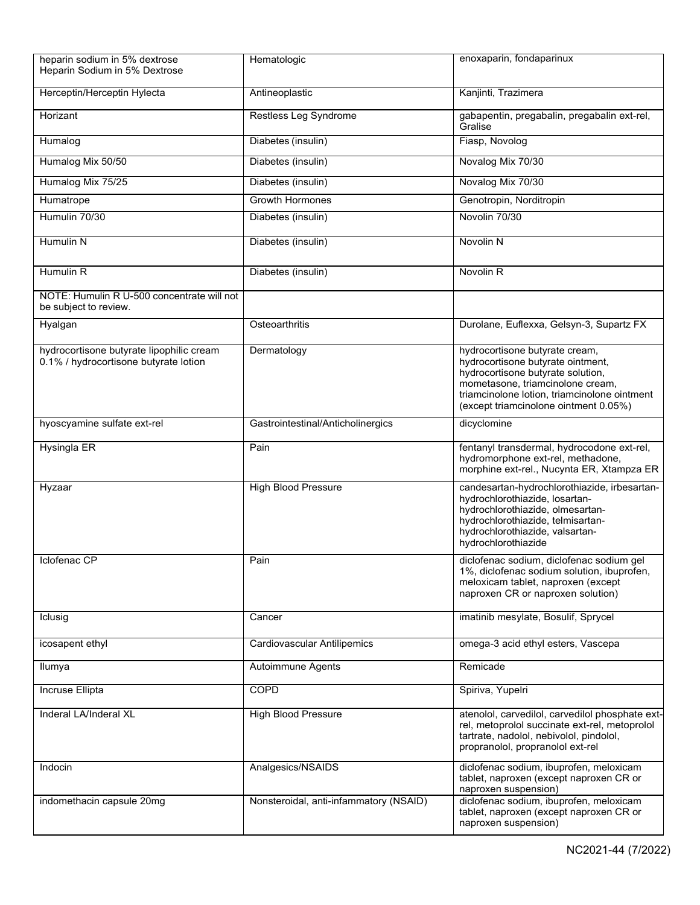| heparin sodium in 5% dextrose<br>Heparin Sodium in 5% Dextrose                    | Hematologic                            | enoxaparin, fondaparinux                                                                                                                                                                                                              |
|-----------------------------------------------------------------------------------|----------------------------------------|---------------------------------------------------------------------------------------------------------------------------------------------------------------------------------------------------------------------------------------|
| Herceptin/Herceptin Hylecta                                                       | Antineoplastic                         | Kanjinti, Trazimera                                                                                                                                                                                                                   |
| Horizant                                                                          | Restless Leg Syndrome                  | gabapentin, pregabalin, pregabalin ext-rel,<br>Gralise                                                                                                                                                                                |
| Humalog                                                                           | Diabetes (insulin)                     | Fiasp, Novolog                                                                                                                                                                                                                        |
| Humalog Mix 50/50                                                                 | Diabetes (insulin)                     | Novalog Mix 70/30                                                                                                                                                                                                                     |
| Humalog Mix 75/25                                                                 | Diabetes (insulin)                     | Novalog Mix 70/30                                                                                                                                                                                                                     |
| Humatrope                                                                         | <b>Growth Hormones</b>                 | Genotropin, Norditropin                                                                                                                                                                                                               |
| Humulin 70/30                                                                     | Diabetes (insulin)                     | Novolin 70/30                                                                                                                                                                                                                         |
| Humulin N                                                                         | Diabetes (insulin)                     | Novolin N                                                                                                                                                                                                                             |
| Humulin R                                                                         | Diabetes (insulin)                     | Novolin <sub>R</sub>                                                                                                                                                                                                                  |
| NOTE: Humulin R U-500 concentrate will not<br>be subject to review.               |                                        |                                                                                                                                                                                                                                       |
| Hyalgan                                                                           | Osteoarthritis                         | Durolane, Euflexxa, Gelsyn-3, Supartz FX                                                                                                                                                                                              |
| hydrocortisone butyrate lipophilic cream<br>0.1% / hydrocortisone butyrate lotion | Dermatology                            | hydrocortisone butyrate cream,<br>hydrocortisone butyrate ointment,<br>hydrocortisone butyrate solution,<br>mometasone, triamcinolone cream,<br>triamcinolone lotion, triamcinolone ointment<br>(except triamcinolone ointment 0.05%) |
| hyoscyamine sulfate ext-rel                                                       | Gastrointestinal/Anticholinergics      | dicyclomine                                                                                                                                                                                                                           |
| <b>Hysingla ER</b>                                                                | Pain                                   | fentanyl transdermal, hydrocodone ext-rel,<br>hydromorphone ext-rel, methadone,<br>morphine ext-rel., Nucynta ER, Xtampza ER                                                                                                          |
| Hyzaar                                                                            | <b>High Blood Pressure</b>             | candesartan-hydrochlorothiazide, irbesartan-<br>hydrochlorothiazide, losartan-<br>hydrochlorothiazide, olmesartan-<br>hydrochlorothiazide, telmisartan-<br>hydrochlorothiazide, valsartan-<br>hydrochlorothiazide                     |
| Iclofenac CP                                                                      | Pain                                   | diclofenac sodium, diclofenac sodium gel<br>1%, diclofenac sodium solution, ibuprofen,<br>meloxicam tablet, naproxen (except<br>naproxen CR or naproxen solution)                                                                     |
| Iclusig                                                                           | Cancer                                 | imatinib mesylate, Bosulif, Sprycel                                                                                                                                                                                                   |
| icosapent ethyl                                                                   | <b>Cardiovascular Antilipemics</b>     | omega-3 acid ethyl esters, Vascepa                                                                                                                                                                                                    |
| Ilumya                                                                            | Autoimmune Agents                      | Remicade                                                                                                                                                                                                                              |
| Incruse Ellipta                                                                   | COPD                                   | Spiriva, Yupelri                                                                                                                                                                                                                      |
| Inderal LA/Inderal XL                                                             | <b>High Blood Pressure</b>             | atenolol, carvedilol, carvedilol phosphate ext-<br>rel, metoprolol succinate ext-rel, metoprolol<br>tartrate, nadolol, nebivolol, pindolol,<br>propranolol, propranolol ext-rel                                                       |
| Indocin                                                                           | Analgesics/NSAIDS                      | diclofenac sodium, ibuprofen, meloxicam<br>tablet, naproxen (except naproxen CR or<br>naproxen suspension)                                                                                                                            |
| indomethacin capsule 20mg                                                         | Nonsteroidal, anti-infammatory (NSAID) | diclofenac sodium, ibuprofen, meloxicam<br>tablet, naproxen (except naproxen CR or<br>naproxen suspension)                                                                                                                            |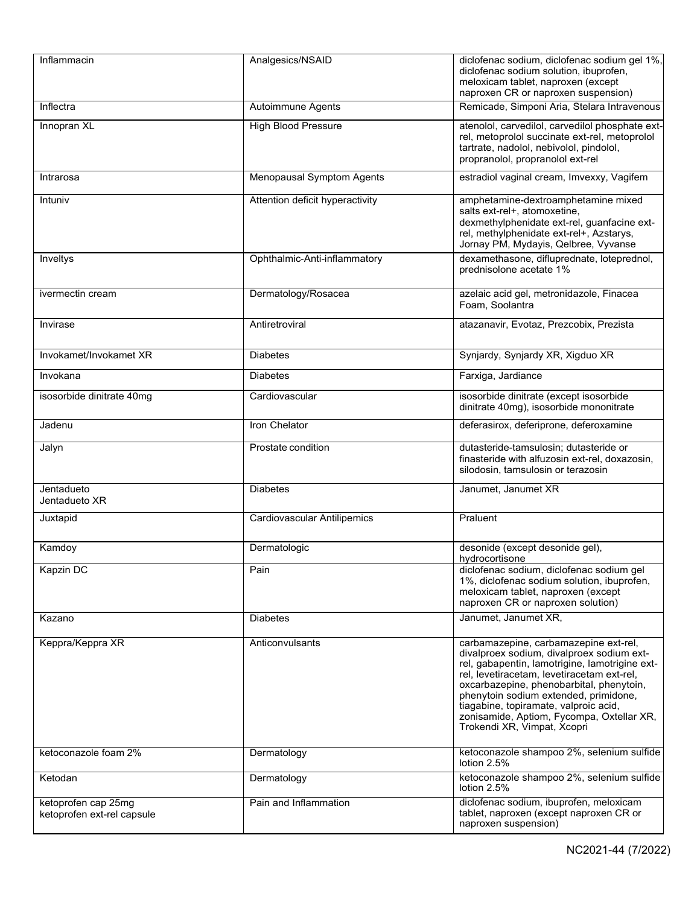| Inflammacin                                       | Analgesics/NSAID                   | diclofenac sodium, diclofenac sodium gel 1%,<br>diclofenac sodium solution, ibuprofen,<br>meloxicam tablet, naproxen (except<br>naproxen CR or naproxen suspension)                                                                                                                                                                                                                          |
|---------------------------------------------------|------------------------------------|----------------------------------------------------------------------------------------------------------------------------------------------------------------------------------------------------------------------------------------------------------------------------------------------------------------------------------------------------------------------------------------------|
| Inflectra                                         | Autoimmune Agents                  | Remicade, Simponi Aria, Stelara Intravenous                                                                                                                                                                                                                                                                                                                                                  |
| Innopran XL                                       | <b>High Blood Pressure</b>         | atenolol, carvedilol, carvedilol phosphate ext-<br>rel, metoprolol succinate ext-rel, metoprolol<br>tartrate, nadolol, nebivolol, pindolol,<br>propranolol, propranolol ext-rel                                                                                                                                                                                                              |
| Intrarosa                                         | <b>Menopausal Symptom Agents</b>   | estradiol vaginal cream, Imvexxy, Vagifem                                                                                                                                                                                                                                                                                                                                                    |
| Intuniv                                           | Attention deficit hyperactivity    | amphetamine-dextroamphetamine mixed<br>salts ext-rel+, atomoxetine,<br>dexmethylphenidate ext-rel, guanfacine ext-<br>rel, methylphenidate ext-rel+, Azstarys,<br>Jornay PM, Mydayis, Qelbree, Vyvanse                                                                                                                                                                                       |
| Inveltys                                          | Ophthalmic-Anti-inflammatory       | dexamethasone, difluprednate, loteprednol,<br>prednisolone acetate 1%                                                                                                                                                                                                                                                                                                                        |
| ivermectin cream                                  | Dermatology/Rosacea                | azelaic acid gel, metronidazole, Finacea<br>Foam, Soolantra                                                                                                                                                                                                                                                                                                                                  |
| Invirase                                          | Antiretroviral                     | atazanavir, Evotaz, Prezcobix, Prezista                                                                                                                                                                                                                                                                                                                                                      |
| Invokamet/Invokamet XR                            | <b>Diabetes</b>                    | Synjardy, Synjardy XR, Xigduo XR                                                                                                                                                                                                                                                                                                                                                             |
| Invokana                                          | <b>Diabetes</b>                    | Farxiga, Jardiance                                                                                                                                                                                                                                                                                                                                                                           |
| isosorbide dinitrate 40mg                         | Cardiovascular                     | isosorbide dinitrate (except isosorbide<br>dinitrate 40mg), isosorbide mononitrate                                                                                                                                                                                                                                                                                                           |
| Jadenu                                            | Iron Chelator                      | deferasirox, deferiprone, deferoxamine                                                                                                                                                                                                                                                                                                                                                       |
| Jalyn                                             | Prostate condition                 | dutasteride-tamsulosin; dutasteride or<br>finasteride with alfuzosin ext-rel, doxazosin,<br>silodosin, tamsulosin or terazosin                                                                                                                                                                                                                                                               |
| Jentadueto<br>Jentadueto XR                       | <b>Diabetes</b>                    | Janumet, Janumet XR                                                                                                                                                                                                                                                                                                                                                                          |
| Juxtapid                                          | <b>Cardiovascular Antilipemics</b> | Praluent                                                                                                                                                                                                                                                                                                                                                                                     |
| Kamdoy                                            | Dermatologic                       | desonide (except desonide gel),<br>hydrocortisone                                                                                                                                                                                                                                                                                                                                            |
| Kapzin DC                                         | Pain                               | diclofenac sodium, diclofenac sodium gel<br>1%, diclofenac sodium solution, ibuprofen,<br>meloxicam tablet, naproxen (except<br>naproxen CR or naproxen solution)                                                                                                                                                                                                                            |
| Kazano                                            | <b>Diabetes</b>                    | Janumet, Janumet XR,                                                                                                                                                                                                                                                                                                                                                                         |
| Keppra/Keppra XR                                  | Anticonvulsants                    | carbamazepine, carbamazepine ext-rel,<br>divalproex sodium, divalproex sodium ext-<br>rel, gabapentin, lamotrigine, lamotrigine ext-<br>rel, levetiracetam, levetiracetam ext-rel,<br>oxcarbazepine, phenobarbital, phenytoin,<br>phenytoin sodium extended, primidone,<br>tiagabine, topiramate, valproic acid,<br>zonisamide, Aptiom, Fycompa, Oxtellar XR,<br>Trokendi XR, Vimpat, Xcopri |
| ketoconazole foam 2%                              | Dermatology                        | ketoconazole shampoo 2%, selenium sulfide<br>lotion 2.5%                                                                                                                                                                                                                                                                                                                                     |
| Ketodan                                           | Dermatology                        | ketoconazole shampoo 2%, selenium sulfide<br>lotion 2.5%                                                                                                                                                                                                                                                                                                                                     |
| ketoprofen cap 25mg<br>ketoprofen ext-rel capsule | Pain and Inflammation              | diclofenac sodium, ibuprofen, meloxicam<br>tablet, naproxen (except naproxen CR or<br>naproxen suspension)                                                                                                                                                                                                                                                                                   |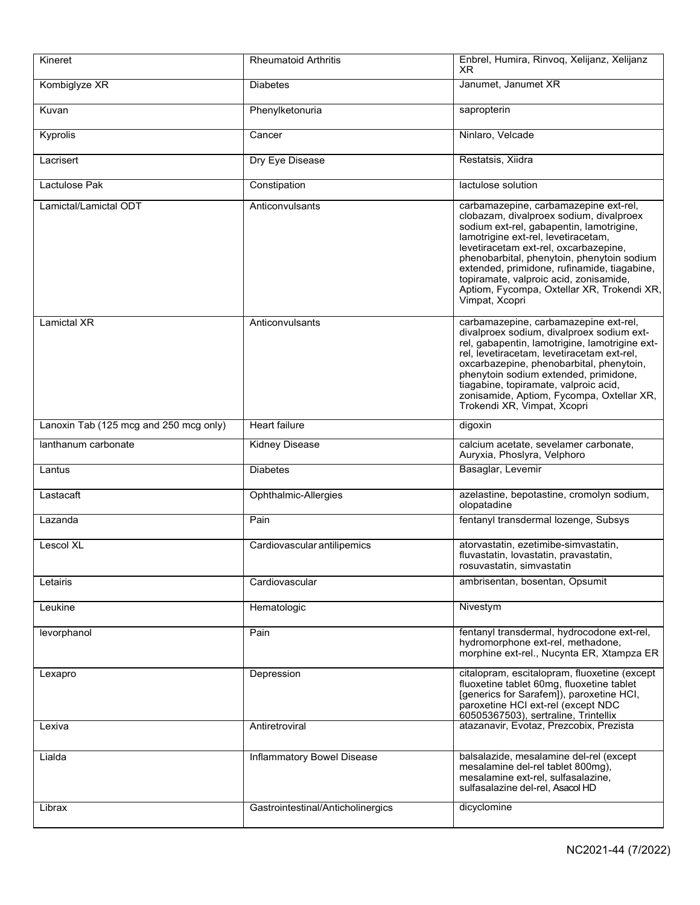| Kineret                                | <b>Rheumatoid Arthritis</b>       | Enbrel, Humira, Rinvoq, Xelijanz, Xelijanz<br>XR.                                                                                                                                                                                                                                                                                                                                                                   |
|----------------------------------------|-----------------------------------|---------------------------------------------------------------------------------------------------------------------------------------------------------------------------------------------------------------------------------------------------------------------------------------------------------------------------------------------------------------------------------------------------------------------|
| Kombiglyze XR                          | <b>Diabetes</b>                   | Janumet, Janumet XR                                                                                                                                                                                                                                                                                                                                                                                                 |
| Kuvan                                  | Phenylketonuria                   | sapropterin                                                                                                                                                                                                                                                                                                                                                                                                         |
| Kyprolis                               | Cancer                            | Ninlaro, Velcade                                                                                                                                                                                                                                                                                                                                                                                                    |
| Lacrisert                              | Dry Eye Disease                   | Restatsis, Xiidra                                                                                                                                                                                                                                                                                                                                                                                                   |
| Lactulose Pak                          | Constipation                      | lactulose solution                                                                                                                                                                                                                                                                                                                                                                                                  |
| Lamictal/Lamictal ODT                  | Anticonvulsants                   | carbamazepine, carbamazepine ext-rel,<br>clobazam, divalproex sodium, divalproex<br>sodium ext-rel, gabapentin, lamotrigine,<br>lamotrigine ext-rel, levetiracetam,<br>levetiracetam ext-rel, oxcarbazepine,<br>phenobarbital, phenytoin, phenytoin sodium<br>extended, primidone, rufinamide, tiagabine,<br>topiramate, valproic acid, zonisamide,<br>Aptiom, Fycompa, Oxtellar XR, Trokendi XR,<br>Vimpat, Xcopri |
| Lamictal XR                            | Anticonvulsants                   | carbamazepine, carbamazepine ext-rel,<br>divalproex sodium, divalproex sodium ext-<br>rel, gabapentin, lamotrigine, lamotrigine ext-<br>rel, levetiracetam, levetiracetam ext-rel,<br>oxcarbazepine, phenobarbital, phenytoin,<br>phenytoin sodium extended, primidone,<br>tiagabine, topiramate, valproic acid,<br>zonisamide, Aptiom, Fycompa, Oxtellar XR,<br>Trokendi XR, Vimpat, Xcopri                        |
| Lanoxin Tab (125 mcg and 250 mcg only) | Heart failure                     | digoxin                                                                                                                                                                                                                                                                                                                                                                                                             |
| lanthanum carbonate                    | <b>Kidney Disease</b>             | calcium acetate, sevelamer carbonate,<br>Auryxia, Phoslyra, Velphoro                                                                                                                                                                                                                                                                                                                                                |
| Lantus                                 | <b>Diabetes</b>                   | Basaglar, Levemir                                                                                                                                                                                                                                                                                                                                                                                                   |
| Lastacaft                              | Ophthalmic-Allergies              | azelastine, bepotastine, cromolyn sodium,<br>olopatadine                                                                                                                                                                                                                                                                                                                                                            |
| Lazanda                                | Pain                              | fentanyl transdermal lozenge, Subsys                                                                                                                                                                                                                                                                                                                                                                                |
| <b>Lescol XL</b>                       | Cardiovascular antilipemics       | atorvastatin, ezetimibe-simvastatin,<br>fluvastatin, lovastatin, pravastatin,<br>rosuvastatin, simvastatin                                                                                                                                                                                                                                                                                                          |
| Letairis                               | Cardiovascular                    | ambrisentan, bosentan, Opsumit                                                                                                                                                                                                                                                                                                                                                                                      |
| Leukine                                | Hematologic                       | Nivestym                                                                                                                                                                                                                                                                                                                                                                                                            |
| levorphanol                            | Pain                              | fentanyl transdermal, hydrocodone ext-rel,<br>hydromorphone ext-rel, methadone,<br>morphine ext-rel., Nucynta ER, Xtampza ER                                                                                                                                                                                                                                                                                        |
| Lexapro                                | Depression                        | citalopram, escitalopram, fluoxetine (except<br>fluoxetine tablet 60mg, fluoxetine tablet<br>[generics for Sarafem]), paroxetine HCI,<br>paroxetine HCI ext-rel (except NDC<br>60505367503), sertraline, Trintellix                                                                                                                                                                                                 |
| Lexiva                                 | Antiretroviral                    | atazanavir, Evotaz, Prezcobix, Prezista                                                                                                                                                                                                                                                                                                                                                                             |
| Lialda                                 | <b>Inflammatory Bowel Disease</b> | balsalazide, mesalamine del-rel (except<br>mesalamine del-rel tablet 800mg),<br>mesalamine ext-rel, sulfasalazine,<br>sulfasalazine del-rel, Asacol HD                                                                                                                                                                                                                                                              |
| Librax                                 | Gastrointestinal/Anticholinergics | dicyclomine                                                                                                                                                                                                                                                                                                                                                                                                         |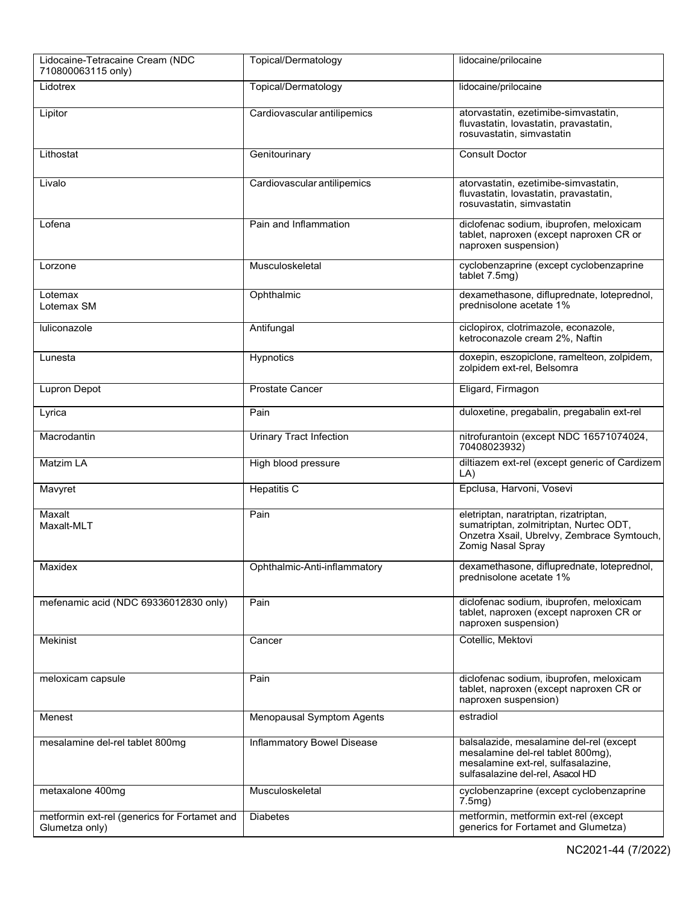| Lidocaine-Tetracaine Cream (NDC<br>710800063115 only)          | Topical/Dermatology               | lidocaine/prilocaine                                                                                                                                   |
|----------------------------------------------------------------|-----------------------------------|--------------------------------------------------------------------------------------------------------------------------------------------------------|
| Lidotrex                                                       | Topical/Dermatology               | lidocaine/prilocaine                                                                                                                                   |
| Lipitor                                                        | Cardiovascular antilipemics       | atorvastatin, ezetimibe-simvastatin,<br>fluvastatin, lovastatin, pravastatin,<br>rosuvastatin, simvastatin                                             |
| Lithostat                                                      | Genitourinary                     | <b>Consult Doctor</b>                                                                                                                                  |
| Livalo                                                         | Cardiovascular antilipemics       | atorvastatin, ezetimibe-simvastatin,<br>fluvastatin, lovastatin, pravastatin,<br>rosuvastatin, simvastatin                                             |
| Lofena                                                         | Pain and Inflammation             | diclofenac sodium, ibuprofen, meloxicam<br>tablet, naproxen (except naproxen CR or<br>naproxen suspension)                                             |
| Lorzone                                                        | Musculoskeletal                   | cyclobenzaprine (except cyclobenzaprine<br>tablet 7.5mg)                                                                                               |
| Lotemax<br>Lotemax SM                                          | Ophthalmic                        | dexamethasone, difluprednate, loteprednol,<br>prednisolone acetate 1%                                                                                  |
| luliconazole                                                   | Antifungal                        | ciclopirox, clotrimazole, econazole,<br>ketroconazole cream 2%, Naftin                                                                                 |
| Lunesta                                                        | Hypnotics                         | doxepin, eszopiclone, ramelteon, zolpidem,<br>zolpidem ext-rel, Belsomra                                                                               |
| Lupron Depot                                                   | <b>Prostate Cancer</b>            | Eligard, Firmagon                                                                                                                                      |
| Lyrica                                                         | Pain                              | duloxetine, pregabalin, pregabalin ext-rel                                                                                                             |
| Macrodantin                                                    | <b>Urinary Tract Infection</b>    | nitrofurantoin (except NDC 16571074024,<br>70408023932)                                                                                                |
| Matzim LA                                                      | High blood pressure               | diltiazem ext-rel (except generic of Cardizem<br>LA)                                                                                                   |
| Mavyret                                                        | <b>Hepatitis C</b>                | Epclusa, Harvoni, Vosevi                                                                                                                               |
| Maxalt<br>Maxalt-MLT                                           | Pain                              | eletriptan, naratriptan, rizatriptan,<br>sumatriptan, zolmitriptan, Nurtec ODT,<br>Onzetra Xsail, Ubrelvy, Zembrace Symtouch,<br>Zomig Nasal Spray     |
| Maxidex                                                        | Ophthalmic-Anti-inflammatory      | dexamethasone, difluprednate, loteprednol,<br>prednisolone acetate 1%                                                                                  |
| mefenamic acid (NDC 69336012830 only)                          | Pain                              | diclofenac sodium, ibuprofen, meloxicam<br>tablet, naproxen (except naproxen CR or<br>naproxen suspension)                                             |
| Mekinist                                                       | Cancer                            | Cotellic, Mektovi                                                                                                                                      |
| meloxicam capsule                                              | Pain                              | diclofenac sodium, ibuprofen, meloxicam<br>tablet, naproxen (except naproxen CR or<br>naproxen suspension)                                             |
| Menest                                                         | <b>Menopausal Symptom Agents</b>  | estradiol                                                                                                                                              |
| mesalamine del-rel tablet 800mg                                | <b>Inflammatory Bowel Disease</b> | balsalazide, mesalamine del-rel (except<br>mesalamine del-rel tablet 800mg),<br>mesalamine ext-rel, sulfasalazine,<br>sulfasalazine del-rel, Asacol HD |
| metaxalone 400mg                                               | Musculoskeletal                   | cyclobenzaprine (except cyclobenzaprine<br>$7.5mg$ )                                                                                                   |
| metformin ext-rel (generics for Fortamet and<br>Glumetza only) | <b>Diabetes</b>                   | metformin, metformin ext-rel (except<br>generics for Fortamet and Glumetza)                                                                            |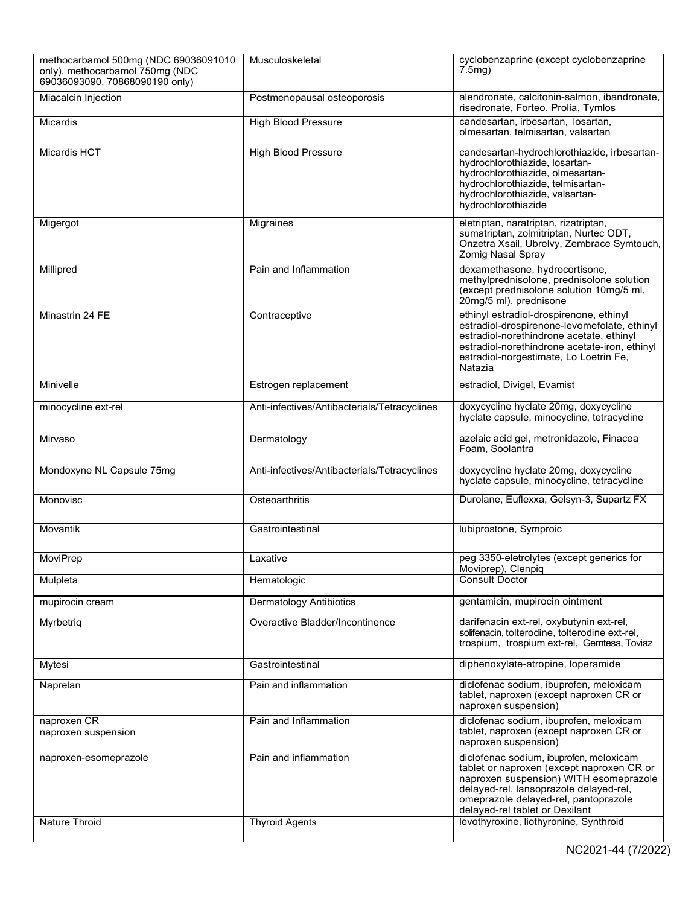| methocarbamol 500mg (NDC 69036091010<br>only), methocarbamol 750mg (NDC<br>69036093090, 70868090190 only) | Musculoskeletal                                | cyclobenzaprine (except cyclobenzaprine<br>7.5 <sub>mq</sub>                                                                                                                                                                                                                                 |
|-----------------------------------------------------------------------------------------------------------|------------------------------------------------|----------------------------------------------------------------------------------------------------------------------------------------------------------------------------------------------------------------------------------------------------------------------------------------------|
| Miacalcin Injection                                                                                       | Postmenopausal osteoporosis                    | alendronate, calcitonin-salmon, ibandronate,<br>risedronate, Forteo, Prolia, Tymlos                                                                                                                                                                                                          |
| <b>Micardis</b>                                                                                           | <b>High Blood Pressure</b>                     | candesartan, irbesartan, losartan,<br>olmesartan, telmisartan, valsartan                                                                                                                                                                                                                     |
| <b>Micardis HCT</b>                                                                                       | <b>High Blood Pressure</b>                     | candesartan-hydrochlorothiazide, irbesartan-<br>hydrochlorothiazide, losartan-<br>hydrochlorothiazide, olmesartan-<br>hydrochlorothiazide, telmisartan-<br>hydrochlorothiazide, valsartan-<br>hydrochlorothiazide                                                                            |
| Migergot                                                                                                  | Migraines                                      | eletriptan, naratriptan, rizatriptan,<br>sumatriptan, zolmitriptan, Nurtec ODT,<br>Onzetra Xsail, Ubrelvy, Zembrace Symtouch,<br>Zomig Nasal Spray                                                                                                                                           |
| Millipred                                                                                                 | Pain and Inflammation                          | dexamethasone, hydrocortisone,<br>methylprednisolone, prednisolone solution<br>(except prednisolone solution 10mg/5 ml,<br>20mg/5 ml), prednisone                                                                                                                                            |
| Minastrin 24 FE                                                                                           | Contraceptive                                  | ethinyl estradiol-drospirenone, ethinyl<br>estradiol-drospirenone-levomefolate, ethinyl<br>estradiol-norethindrone acetate, ethinyl<br>estradiol-norethindrone acetate-iron, ethinyl<br>estradiol-norgestimate, Lo Loetrin Fe,<br>Natazia                                                    |
| Minivelle                                                                                                 | Estrogen replacement                           | estradiol, Divigel, Evamist                                                                                                                                                                                                                                                                  |
| minocycline ext-rel                                                                                       | Anti-infectives/Antibacterials/Tetracyclines   | doxycycline hyclate 20mg, doxycycline<br>hyclate capsule, minocycline, tetracycline                                                                                                                                                                                                          |
| Mirvaso                                                                                                   | Dermatology                                    | azelaic acid gel, metronidazole, Finacea<br>Foam, Soolantra                                                                                                                                                                                                                                  |
| Mondoxyne NL Capsule 75mg                                                                                 | Anti-infectives/Antibacterials/Tetracyclines   | doxycycline hyclate 20mg, doxycycline<br>hyclate capsule, minocycline, tetracycline                                                                                                                                                                                                          |
| Monovisc                                                                                                  | Osteoarthritis                                 | Durolane, Euflexxa, Gelsyn-3, Supartz FX                                                                                                                                                                                                                                                     |
| Movantik                                                                                                  | Gastrointestinal                               | lubiprostone, Symproic                                                                                                                                                                                                                                                                       |
| <b>MoviPrep</b>                                                                                           | Laxative                                       | peg 3350-eletrolytes (except generics for<br>Moviprep), Clenpiq                                                                                                                                                                                                                              |
| Mulpleta                                                                                                  | Hematologic                                    | <b>Consult Doctor</b>                                                                                                                                                                                                                                                                        |
| mupirocin cream                                                                                           | <b>Dermatology Antibiotics</b>                 | gentamicin, mupirocin ointment                                                                                                                                                                                                                                                               |
| Myrbetriq                                                                                                 | Overactive Bladder/Incontinence                | darifenacin ext-rel, oxybutynin ext-rel,<br>solifenacin, tolterodine, tolterodine ext-rel,<br>trospium, trospium ext-rel, Gemtesa, Toviaz                                                                                                                                                    |
| Mytesi                                                                                                    | Gastrointestinal                               | diphenoxylate-atropine, loperamide                                                                                                                                                                                                                                                           |
| Naprelan                                                                                                  | Pain and inflammation                          | diclofenac sodium, ibuprofen, meloxicam<br>tablet, naproxen (except naproxen CR or<br>naproxen suspension)                                                                                                                                                                                   |
| naproxen CR<br>naproxen suspension                                                                        | Pain and Inflammation                          | diclofenac sodium, ibuprofen, meloxicam<br>tablet, naproxen (except naproxen CR or<br>naproxen suspension)                                                                                                                                                                                   |
| naproxen-esomeprazole<br>Nature Throid                                                                    | Pain and inflammation<br><b>Thyroid Agents</b> | diclofenac sodium, ibuprofen, meloxicam<br>tablet or naproxen (except naproxen CR or<br>naproxen suspension) WITH esomeprazole<br>delayed-rel, lansoprazole delayed-rel,<br>omeprazole delayed-rel, pantoprazole<br>delayed-rel tablet or Dexilant<br>levothyroxine, liothyronine, Synthroid |
|                                                                                                           |                                                |                                                                                                                                                                                                                                                                                              |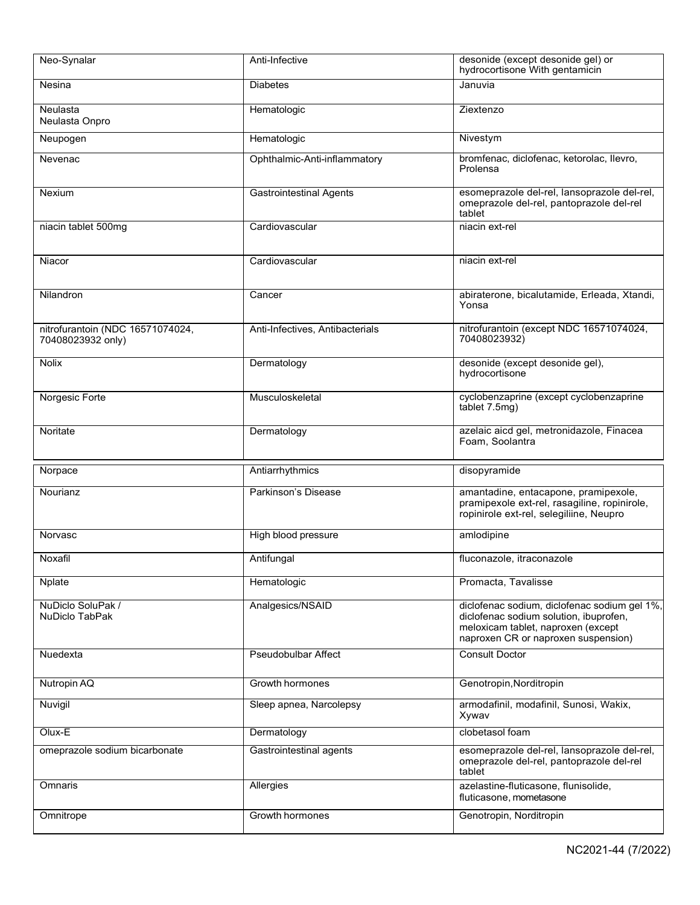| Neo-Synalar                                           | Anti-Infective                  | desonide (except desonide gel) or<br>hydrocortisone With gentamicin                                                                                                 |
|-------------------------------------------------------|---------------------------------|---------------------------------------------------------------------------------------------------------------------------------------------------------------------|
| Nesina                                                | <b>Diabetes</b>                 | Januvia                                                                                                                                                             |
| Neulasta<br>Neulasta Onpro                            | Hematologic                     | Ziextenzo                                                                                                                                                           |
| Neupogen                                              | Hematologic                     | Nivestym                                                                                                                                                            |
| Nevenac                                               | Ophthalmic-Anti-inflammatory    | bromfenac, diclofenac, ketorolac, llevro,<br>Prolensa                                                                                                               |
| Nexium                                                | <b>Gastrointestinal Agents</b>  | esomeprazole del-rel, lansoprazole del-rel,<br>omeprazole del-rel, pantoprazole del-rel<br>tablet                                                                   |
| niacin tablet 500mg                                   | Cardiovascular                  | niacin ext-rel                                                                                                                                                      |
| Niacor                                                | Cardiovascular                  | niacin ext-rel                                                                                                                                                      |
| Nilandron                                             | Cancer                          | abiraterone, bicalutamide, Erleada, Xtandi,<br>Yonsa                                                                                                                |
| nitrofurantoin (NDC 16571074024,<br>70408023932 only) | Anti-Infectives, Antibacterials | nitrofurantoin (except NDC 16571074024,<br>70408023932)                                                                                                             |
| <b>Nolix</b>                                          | Dermatology                     | desonide (except desonide gel),<br>hydrocortisone                                                                                                                   |
| Norgesic Forte                                        | Musculoskeletal                 | cyclobenzaprine (except cyclobenzaprine<br>tablet 7.5mg)                                                                                                            |
| Noritate                                              | Dermatology                     | azelaic aicd gel, metronidazole, Finacea<br>Foam, Soolantra                                                                                                         |
|                                                       |                                 |                                                                                                                                                                     |
| Norpace                                               | Antiarrhythmics                 | disopyramide                                                                                                                                                        |
| Nourianz                                              | Parkinson's Disease             | amantadine, entacapone, pramipexole,<br>pramipexole ext-rel, rasagiline, ropinirole,<br>ropinirole ext-rel, selegiliine, Neupro                                     |
| Norvasc                                               | High blood pressure             | amlodipine                                                                                                                                                          |
| Noxafil                                               | Antifungal                      | fluconazole, itraconazole                                                                                                                                           |
| Nplate                                                | Hematologic                     | Promacta, Tavalisse                                                                                                                                                 |
| NuDiclo SoluPak /<br>NuDiclo TabPak                   | Analgesics/NSAID                | diclofenac sodium, diclofenac sodium gel 1%,<br>diclofenac sodium solution, ibuprofen,<br>meloxicam tablet, naproxen (except<br>naproxen CR or naproxen suspension) |
| Nuedexta                                              | <b>Pseudobulbar Affect</b>      | <b>Consult Doctor</b>                                                                                                                                               |
| Nutropin AQ                                           | Growth hormones                 | Genotropin, Norditropin                                                                                                                                             |
| Nuvigil                                               | Sleep apnea, Narcolepsy         | armodafinil, modafinil, Sunosi, Wakix,<br>Xywav                                                                                                                     |
| Olux-E                                                | Dermatology                     | clobetasol foam                                                                                                                                                     |
| omeprazole sodium bicarbonate                         | Gastrointestinal agents         | esomeprazole del-rel, lansoprazole del-rel,<br>omeprazole del-rel, pantoprazole del-rel<br>tablet                                                                   |
| Omnaris                                               | Allergies                       | azelastine-fluticasone, flunisolide,<br>fluticasone, mometasone                                                                                                     |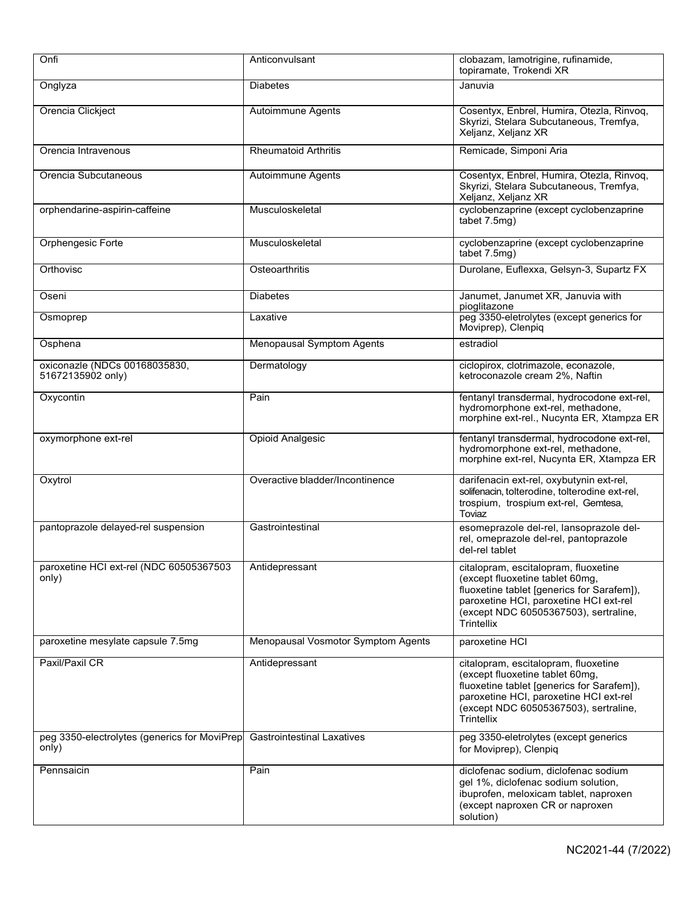| Onfi                                                  | Anticonvulsant                     | clobazam, lamotrigine, rufinamide,<br>topiramate, Trokendi XR                                                                                                                                                          |
|-------------------------------------------------------|------------------------------------|------------------------------------------------------------------------------------------------------------------------------------------------------------------------------------------------------------------------|
| Onglyza                                               | <b>Diabetes</b>                    | Januvia                                                                                                                                                                                                                |
| Orencia Clickject                                     | <b>Autoimmune Agents</b>           | Cosentyx, Enbrel, Humira, Otezla, Rinvoq,<br>Skyrizi, Stelara Subcutaneous, Tremfya,<br>Xeljanz, Xeljanz XR                                                                                                            |
| Orencia Intravenous                                   | <b>Rheumatoid Arthritis</b>        | Remicade, Simponi Aria                                                                                                                                                                                                 |
| Orencia Subcutaneous                                  | Autoimmune Agents                  | Cosentyx, Enbrel, Humira, Otezla, Rinvoq,<br>Skyrizi, Stelara Subcutaneous, Tremfya,<br>Xeljanz, Xeljanz XR                                                                                                            |
| orphendarine-aspirin-caffeine                         | Musculoskeletal                    | cyclobenzaprine (except cyclobenzaprine<br>tabet 7.5mg)                                                                                                                                                                |
| Orphengesic Forte                                     | Musculoskeletal                    | cyclobenzaprine (except cyclobenzaprine<br>tabet 7.5mg)                                                                                                                                                                |
| Orthovisc                                             | Osteoarthritis                     | Durolane, Euflexxa, Gelsyn-3, Supartz FX                                                                                                                                                                               |
| Oseni                                                 | <b>Diabetes</b>                    | Janumet, Janumet XR, Januvia with<br>pioglitazone                                                                                                                                                                      |
| Osmoprep                                              | Laxative                           | peg 3350-eletrolytes (except generics for<br>Moviprep), Clenpiq                                                                                                                                                        |
| Osphena                                               | <b>Menopausal Symptom Agents</b>   | estradiol                                                                                                                                                                                                              |
| oxiconazle (NDCs 00168035830,<br>51672135902 only)    | Dermatology                        | ciclopirox, clotrimazole, econazole,<br>ketroconazole cream 2%, Naftin                                                                                                                                                 |
| Oxycontin                                             | Pain                               | fentanyl transdermal, hydrocodone ext-rel,<br>hydromorphone ext-rel, methadone,<br>morphine ext-rel., Nucynta ER, Xtampza ER                                                                                           |
| oxymorphone ext-rel                                   | <b>Opioid Analgesic</b>            | fentanyl transdermal, hydrocodone ext-rel,<br>hydromorphone ext-rel, methadone,<br>morphine ext-rel, Nucynta ER, Xtampza ER                                                                                            |
| Oxytrol                                               | Overactive bladder/Incontinence    | darifenacin ext-rel, oxybutynin ext-rel,<br>solifenacin, tolterodine, tolterodine ext-rel,<br>trospium, trospium ext-rel, Gemtesa,<br>Toviaz                                                                           |
| pantoprazole delayed-rel suspension                   | Gastrointestinal                   | esomeprazole del-rel, lansoprazole del-<br>rel, omeprazole del-rel, pantoprazole<br>del-rel tablet                                                                                                                     |
| paroxetine HCI ext-rel (NDC 60505367503<br>only)      | Antidepressant                     | citalopram, escitalopram, fluoxetine<br>(except fluoxetine tablet 60mg,<br>fluoxetine tablet [generics for Sarafem]),<br>paroxetine HCI, paroxetine HCI ext-rel<br>(except NDC 60505367503), sertraline,<br>Trintellix |
| paroxetine mesylate capsule 7.5mg                     | Menopausal Vosmotor Symptom Agents | paroxetine HCI                                                                                                                                                                                                         |
| Paxil/Paxil CR                                        | Antidepressant                     | citalopram, escitalopram, fluoxetine<br>(except fluoxetine tablet 60mg,<br>fluoxetine tablet [generics for Sarafem]),<br>paroxetine HCI, paroxetine HCI ext-rel<br>(except NDC 60505367503), sertraline,<br>Trintellix |
| peg 3350-electrolytes (generics for MoviPrep<br>only) | <b>Gastrointestinal Laxatives</b>  | peg 3350-eletrolytes (except generics<br>for Moviprep), Clenpiq                                                                                                                                                        |
| Pennsaicin                                            | Pain                               | diclofenac sodium, diclofenac sodium<br>gel 1%, diclofenac sodium solution,<br>ibuprofen, meloxicam tablet, naproxen<br>(except naproxen CR or naproxen<br>solution)                                                   |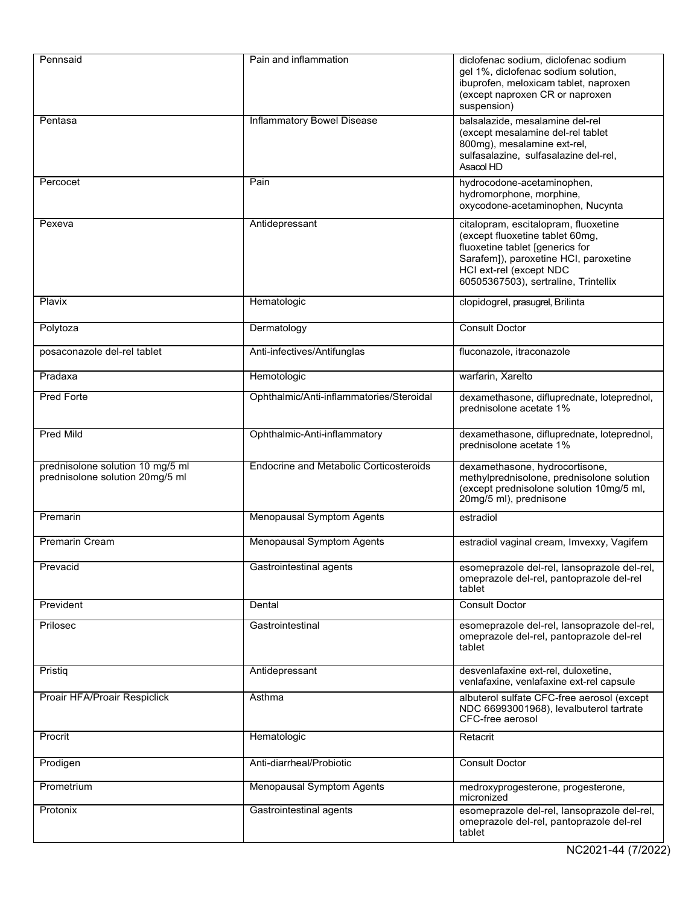| Pennsaid                                                            | Pain and inflammation                    | diclofenac sodium, diclofenac sodium<br>gel 1%, diclofenac sodium solution,<br>ibuprofen, meloxicam tablet, naproxen<br>(except naproxen CR or naproxen<br>suspension)                                                 |
|---------------------------------------------------------------------|------------------------------------------|------------------------------------------------------------------------------------------------------------------------------------------------------------------------------------------------------------------------|
| Pentasa                                                             | <b>Inflammatory Bowel Disease</b>        | balsalazide, mesalamine del-rel<br>(except mesalamine del-rel tablet<br>800mg), mesalamine ext-rel,<br>sulfasalazine, sulfasalazine del-rel,<br>Asacol HD                                                              |
| Percocet                                                            | Pain                                     | hydrocodone-acetaminophen,<br>hydromorphone, morphine,<br>oxycodone-acetaminophen, Nucynta                                                                                                                             |
| Pexeva                                                              | Antidepressant                           | citalopram, escitalopram, fluoxetine<br>(except fluoxetine tablet 60mg,<br>fluoxetine tablet [generics for<br>Sarafem]), paroxetine HCI, paroxetine<br>HCI ext-rel (except NDC<br>60505367503), sertraline, Trintellix |
| Plavix                                                              | Hematologic                              | clopidogrel, prasugrel, Brilinta                                                                                                                                                                                       |
| Polytoza                                                            | Dermatology                              | <b>Consult Doctor</b>                                                                                                                                                                                                  |
| posaconazole del-rel tablet                                         | Anti-infectives/Antifunglas              | fluconazole, itraconazole                                                                                                                                                                                              |
| Pradaxa                                                             | Hemotologic                              | warfarin, Xarelto                                                                                                                                                                                                      |
| <b>Pred Forte</b>                                                   | Ophthalmic/Anti-inflammatories/Steroidal | dexamethasone, difluprednate, loteprednol,<br>prednisolone acetate 1%                                                                                                                                                  |
| <b>Pred Mild</b>                                                    | Ophthalmic-Anti-inflammatory             | dexamethasone, difluprednate, loteprednol,<br>prednisolone acetate 1%                                                                                                                                                  |
| prednisolone solution 10 mg/5 ml<br>prednisolone solution 20mg/5 ml | Endocrine and Metabolic Corticosteroids  | dexamethasone, hydrocortisone,<br>methylprednisolone, prednisolone solution<br>(except prednisolone solution 10mg/5 ml,<br>20mg/5 ml), prednisone                                                                      |
| Premarin                                                            | <b>Menopausal Symptom Agents</b>         | estradiol                                                                                                                                                                                                              |
| Premarin Cream                                                      | <b>Menopausal Symptom Agents</b>         | estradiol vaginal cream, Imvexxy, Vagifem                                                                                                                                                                              |
| Prevacid                                                            | Gastrointestinal agents                  | esomeprazole del-rel, lansoprazole del-rel,<br>omeprazole del-rel, pantoprazole del-rel<br>tablet                                                                                                                      |
| Prevident                                                           | Dental                                   | <b>Consult Doctor</b>                                                                                                                                                                                                  |
| Prilosec                                                            | Gastrointestinal                         | esomeprazole del-rel, lansoprazole del-rel,<br>omeprazole del-rel, pantoprazole del-rel<br>tablet                                                                                                                      |
| Pristig                                                             | Antidepressant                           | desvenlafaxine ext-rel, duloxetine,<br>venlafaxine, venlafaxine ext-rel capsule                                                                                                                                        |
| Proair HFA/Proair Respiclick                                        | Asthma                                   | albuterol sulfate CFC-free aerosol (except<br>NDC 66993001968), levalbuterol tartrate<br>CFC-free aerosol                                                                                                              |
| Procrit                                                             | Hematologic                              | Retacrit                                                                                                                                                                                                               |
| Prodigen                                                            | Anti-diarrheal/Probiotic                 | <b>Consult Doctor</b>                                                                                                                                                                                                  |
| Prometrium                                                          | <b>Menopausal Symptom Agents</b>         | medroxyprogesterone, progesterone,<br>micronized                                                                                                                                                                       |
| Protonix                                                            | Gastrointestinal agents                  | esomeprazole del-rel, lansoprazole del-rel,<br>omeprazole del-rel, pantoprazole del-rel<br>tablet                                                                                                                      |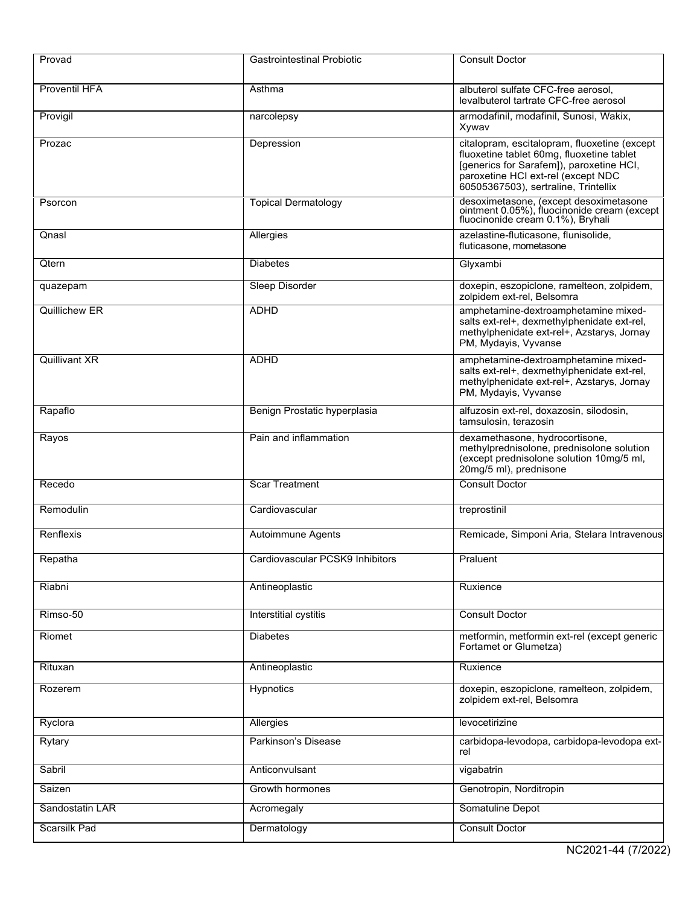| Provad               | <b>Gastrointestinal Probiotic</b> | <b>Consult Doctor</b>                                                                                                                                                                                               |
|----------------------|-----------------------------------|---------------------------------------------------------------------------------------------------------------------------------------------------------------------------------------------------------------------|
| <b>Proventil HFA</b> | Asthma                            | albuterol sulfate CFC-free aerosol,<br>levalbuterol tartrate CFC-free aerosol                                                                                                                                       |
| Provigil             | narcolepsy                        | armodafinil, modafinil, Sunosi, Wakix,<br>Xywav                                                                                                                                                                     |
| Prozac               | Depression                        | citalopram, escitalopram, fluoxetine (except<br>fluoxetine tablet 60mg, fluoxetine tablet<br>[generics for Sarafem]), paroxetine HCI,<br>paroxetine HCI ext-rel (except NDC<br>60505367503), sertraline, Trintellix |
| Psorcon              | <b>Topical Dermatology</b>        | desoximetasone, (except desoximetasone<br>ointment 0.05%), fluocinonide cream (except<br>fluocinonide cream 0.1%), Bryhali                                                                                          |
| Qnasl                | Allergies                         | azelastine-fluticasone, flunisolide,<br>fluticasone, mometasone                                                                                                                                                     |
| Qtern                | <b>Diabetes</b>                   | Glyxambi                                                                                                                                                                                                            |
| quazepam             | Sleep Disorder                    | doxepin, eszopiclone, ramelteon, zolpidem,<br>zolpidem ext-rel, Belsomra                                                                                                                                            |
| Quillichew ER        | <b>ADHD</b>                       | amphetamine-dextroamphetamine mixed-<br>salts ext-rel+, dexmethylphenidate ext-rel,<br>methylphenidate ext-rel+, Azstarys, Jornay<br>PM, Mydayis, Vyvanse                                                           |
| <b>Quillivant XR</b> | <b>ADHD</b>                       | amphetamine-dextroamphetamine mixed-<br>salts ext-rel+, dexmethylphenidate ext-rel,<br>methylphenidate ext-rel+, Azstarys, Jornay<br>PM, Mydayis, Vyvanse                                                           |
| Rapaflo              | Benign Prostatic hyperplasia      | alfuzosin ext-rel, doxazosin, silodosin,<br>tamsulosin, terazosin                                                                                                                                                   |
| Rayos                | Pain and inflammation             | dexamethasone, hydrocortisone,<br>methylprednisolone, prednisolone solution<br>(except prednisolone solution 10mg/5 ml,<br>20mg/5 ml), prednisone                                                                   |
| Recedo               | <b>Scar Treatment</b>             | <b>Consult Doctor</b>                                                                                                                                                                                               |
| Remodulin            | Cardiovascular                    | treprostinil                                                                                                                                                                                                        |
| Renflexis            | Autoimmune Agents                 | Remicade, Simponi Aria, Stelara Intravenous                                                                                                                                                                         |
| Repatha              | Cardiovascular PCSK9 Inhibitors   | Praluent                                                                                                                                                                                                            |
| Riabni               | Antineoplastic                    | Ruxience                                                                                                                                                                                                            |
| Rimso-50             | Interstitial cystitis             | <b>Consult Doctor</b>                                                                                                                                                                                               |
| Riomet               | <b>Diabetes</b>                   | metformin, metformin ext-rel (except generic<br>Fortamet or Glumetza)                                                                                                                                               |
| Rituxan              | Antineoplastic                    | Ruxience                                                                                                                                                                                                            |
| Rozerem              | Hypnotics                         | doxepin, eszopiclone, ramelteon, zolpidem,<br>zolpidem ext-rel, Belsomra                                                                                                                                            |
| Ryclora              | Allergies                         | levocetirizine                                                                                                                                                                                                      |
| Rytary               | Parkinson's Disease               | carbidopa-levodopa, carbidopa-levodopa ext-<br>rel                                                                                                                                                                  |
| Sabril               | Anticonvulsant                    | vigabatrin                                                                                                                                                                                                          |
| Saizen               | Growth hormones                   | Genotropin, Norditropin                                                                                                                                                                                             |
| Sandostatin LAR      | Acromegaly                        | Somatuline Depot                                                                                                                                                                                                    |
| Scarsilk Pad         | Dermatology                       | <b>Consult Doctor</b>                                                                                                                                                                                               |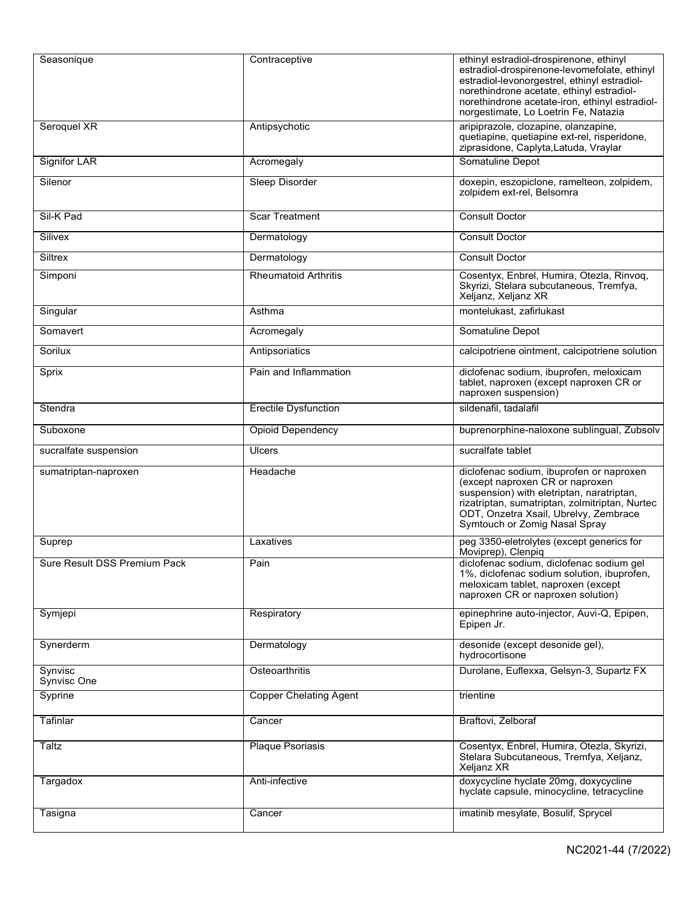| Seasonique                   | Contraceptive                 | ethinyl estradiol-drospirenone, ethinyl<br>estradiol-drospirenone-levomefolate, ethinyl<br>estradiol-levonorgestrel, ethinyl estradiol-<br>norethindrone acetate, ethinyl estradiol-<br>norethindrone acetate-iron, ethinyl estradiol-<br>norgestimate, Lo Loetrin Fe, Natazia |
|------------------------------|-------------------------------|--------------------------------------------------------------------------------------------------------------------------------------------------------------------------------------------------------------------------------------------------------------------------------|
| Seroquel XR                  | Antipsychotic                 | aripiprazole, clozapine, olanzapine,<br>quetiapine, quetiapine ext-rel, risperidone,<br>ziprasidone, Caplyta, Latuda, Vraylar                                                                                                                                                  |
| <b>Signifor LAR</b>          | Acromegaly                    | Somatuline Depot                                                                                                                                                                                                                                                               |
| Silenor                      | <b>Sleep Disorder</b>         | doxepin, eszopiclone, ramelteon, zolpidem,<br>zolpidem ext-rel, Belsomra                                                                                                                                                                                                       |
| Sil-K Pad                    | <b>Scar Treatment</b>         | <b>Consult Doctor</b>                                                                                                                                                                                                                                                          |
| Silivex                      | Dermatology                   | <b>Consult Doctor</b>                                                                                                                                                                                                                                                          |
| Siltrex                      | Dermatology                   | <b>Consult Doctor</b>                                                                                                                                                                                                                                                          |
| Simponi                      | <b>Rheumatoid Arthritis</b>   | Cosentyx, Enbrel, Humira, Otezla, Rinvoq,<br>Skyrizi, Stelara subcutaneous, Tremfya,<br>Xeljanz, Xeljanz XR                                                                                                                                                                    |
| Singular                     | Asthma                        | montelukast, zafirlukast                                                                                                                                                                                                                                                       |
| Somavert                     | Acromegaly                    | Somatuline Depot                                                                                                                                                                                                                                                               |
| Sorilux                      | Antipsoriatics                | calcipotriene ointment, calcipotriene solution                                                                                                                                                                                                                                 |
| Sprix                        | Pain and Inflammation         | diclofenac sodium, ibuprofen, meloxicam<br>tablet, naproxen (except naproxen CR or<br>naproxen suspension)                                                                                                                                                                     |
| Stendra                      | <b>Erectile Dysfunction</b>   | sildenafil, tadalafil                                                                                                                                                                                                                                                          |
| Suboxone                     | <b>Opioid Dependency</b>      | buprenorphine-naloxone sublingual, Zubsolv                                                                                                                                                                                                                                     |
|                              |                               |                                                                                                                                                                                                                                                                                |
| sucralfate suspension        | <b>Ulcers</b>                 | sucralfate tablet                                                                                                                                                                                                                                                              |
| sumatriptan-naproxen         | Headache                      | diclofenac sodium, ibuprofen or naproxen<br>(except naproxen CR or naproxen<br>suspension) with eletriptan, naratriptan,<br>rizatriptan, sumatriptan, zolmitriptan, Nurtec<br>ODT, Onzetra Xsail, Ubrelvy, Zembrace<br>Symtouch or Zomig Nasal Spray                           |
| Suprep                       | Laxatives                     | peg 3350-eletrolytes (except generics for                                                                                                                                                                                                                                      |
| Sure Result DSS Premium Pack | Pain                          | Moviprep), Clenpiq<br>diclofenac sodium, diclofenac sodium gel<br>1%, diclofenac sodium solution, ibuprofen,<br>meloxicam tablet, naproxen (except<br>naproxen CR or naproxen solution)                                                                                        |
| Symjepi                      | Respiratory                   | epinephrine auto-injector, Auvi-Q, Epipen,<br>Epipen Jr.                                                                                                                                                                                                                       |
| Synerderm                    | Dermatology                   | desonide (except desonide gel),<br>hydrocortisone                                                                                                                                                                                                                              |
| Synvisc<br>Synvisc One       | Osteoarthritis                | Durolane, Euflexxa, Gelsyn-3, Supartz FX                                                                                                                                                                                                                                       |
| Syprine                      | <b>Copper Chelating Agent</b> | trientine                                                                                                                                                                                                                                                                      |
| Tafinlar                     | Cancer                        | Braftovi, Zelboraf                                                                                                                                                                                                                                                             |
| Taltz                        | <b>Plaque Psoriasis</b>       | Cosentyx, Enbrel, Humira, Otezla, Skyrizi,<br>Stelara Subcutaneous, Tremfya, Xeljanz,<br>Xeljanz XR                                                                                                                                                                            |
| Targadox                     | Anti-infective                | doxycycline hyclate 20mg, doxycycline<br>hyclate capsule, minocycline, tetracycline                                                                                                                                                                                            |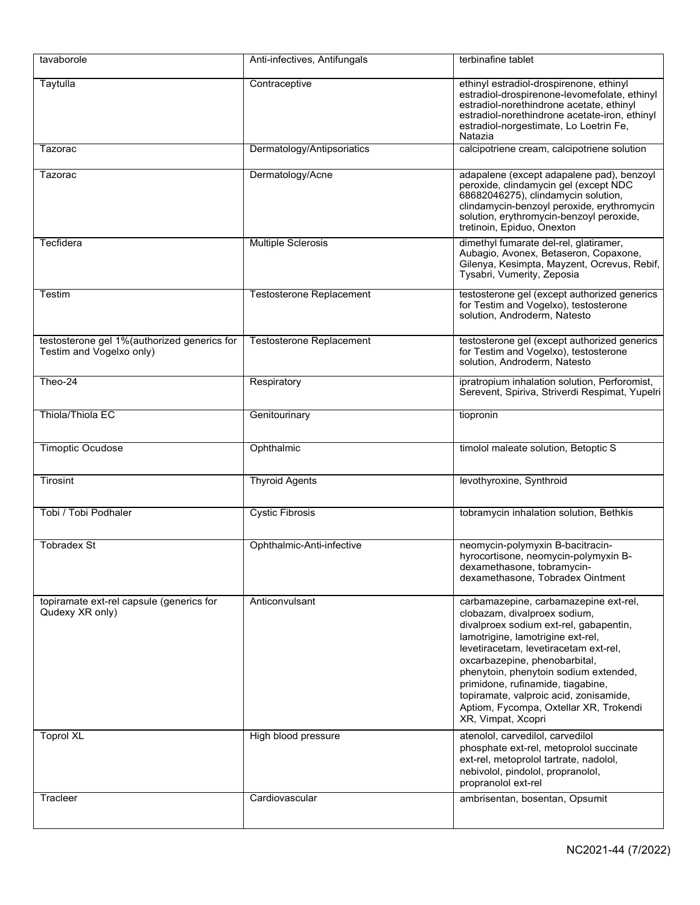| tavaborole                                                              | Anti-infectives, Antifungals    | terbinafine tablet                                                                                                                                                                                                                                                                                                                                                                                                     |
|-------------------------------------------------------------------------|---------------------------------|------------------------------------------------------------------------------------------------------------------------------------------------------------------------------------------------------------------------------------------------------------------------------------------------------------------------------------------------------------------------------------------------------------------------|
| Taytulla                                                                | Contraceptive                   | ethinyl estradiol-drospirenone, ethinyl<br>estradiol-drospirenone-levomefolate, ethinyl<br>estradiol-norethindrone acetate, ethinyl<br>estradiol-norethindrone acetate-iron, ethinyl<br>estradiol-norgestimate, Lo Loetrin Fe,<br>Natazia                                                                                                                                                                              |
| Tazorac                                                                 | Dermatology/Antipsoriatics      | calcipotriene cream, calcipotriene solution                                                                                                                                                                                                                                                                                                                                                                            |
| Tazorac                                                                 | Dermatology/Acne                | adapalene (except adapalene pad), benzoyl<br>peroxide, clindamycin gel (except NDC<br>68682046275), clindamycin solution,<br>clindamycin-benzoyl peroxide, erythromycin<br>solution, erythromycin-benzoyl peroxide,<br>tretinoin, Epiduo, Onexton                                                                                                                                                                      |
| Tecfidera                                                               | <b>Multiple Sclerosis</b>       | dimethyl fumarate del-rel, glatiramer,<br>Aubagio, Avonex, Betaseron, Copaxone,<br>Gilenya, Kesimpta, Mayzent, Ocrevus, Rebif,<br>Tysabri, Vumerity, Zeposia                                                                                                                                                                                                                                                           |
| Testim                                                                  | <b>Testosterone Replacement</b> | testosterone gel (except authorized generics<br>for Testim and Vogelxo), testosterone<br>solution, Androderm, Natesto                                                                                                                                                                                                                                                                                                  |
| testosterone gel 1%(authorized generics for<br>Testim and Vogelxo only) | Testosterone Replacement        | testosterone gel (except authorized generics<br>for Testim and Vogelxo), testosterone<br>solution, Androderm, Natesto                                                                                                                                                                                                                                                                                                  |
| Theo-24                                                                 | Respiratory                     | ipratropium inhalation solution, Perforomist,<br>Serevent, Spiriva, Striverdi Respimat, Yupelri                                                                                                                                                                                                                                                                                                                        |
| Thiola/Thiola EC                                                        | Genitourinary                   | tiopronin                                                                                                                                                                                                                                                                                                                                                                                                              |
| <b>Timoptic Ocudose</b>                                                 | Ophthalmic                      | timolol maleate solution, Betoptic S                                                                                                                                                                                                                                                                                                                                                                                   |
| Tirosint                                                                | <b>Thyroid Agents</b>           | levothyroxine, Synthroid                                                                                                                                                                                                                                                                                                                                                                                               |
| Tobi / Tobi Podhaler                                                    | <b>Cystic Fibrosis</b>          | tobramycin inhalation solution, Bethkis                                                                                                                                                                                                                                                                                                                                                                                |
| <b>Tobradex St</b>                                                      | Ophthalmic-Anti-infective       | neomycin-polymyxin B-bacitracin-<br>hyrocortisone, neomycin-polymyxin B-<br>dexamethasone, tobramycın-<br>dexamethasone, Tobradex Ointment                                                                                                                                                                                                                                                                             |
| topiramate ext-rel capsule (generics for<br>Qudexy XR only)             | Anticonvulsant                  | carbamazepine, carbamazepine ext-rel,<br>clobazam, divalproex sodium,<br>divalproex sodium ext-rel, gabapentin,<br>lamotrigine, lamotrigine ext-rel,<br>levetiracetam, levetiracetam ext-rel,<br>oxcarbazepine, phenobarbital,<br>phenytoin, phenytoin sodium extended,<br>primidone, rufinamide, tiagabine,<br>topiramate, valproic acid, zonisamide,<br>Aptiom, Fycompa, Oxtellar XR, Trokendi<br>XR, Vimpat, Xcopri |
| <b>Toprol XL</b>                                                        | High blood pressure             | atenolol, carvedilol, carvedilol<br>phosphate ext-rel, metoprolol succinate<br>ext-rel, metoprolol tartrate, nadolol,<br>nebivolol, pindolol, propranolol,<br>propranolol ext-rel                                                                                                                                                                                                                                      |
| Tracleer                                                                | Cardiovascular                  | ambrisentan, bosentan, Opsumit                                                                                                                                                                                                                                                                                                                                                                                         |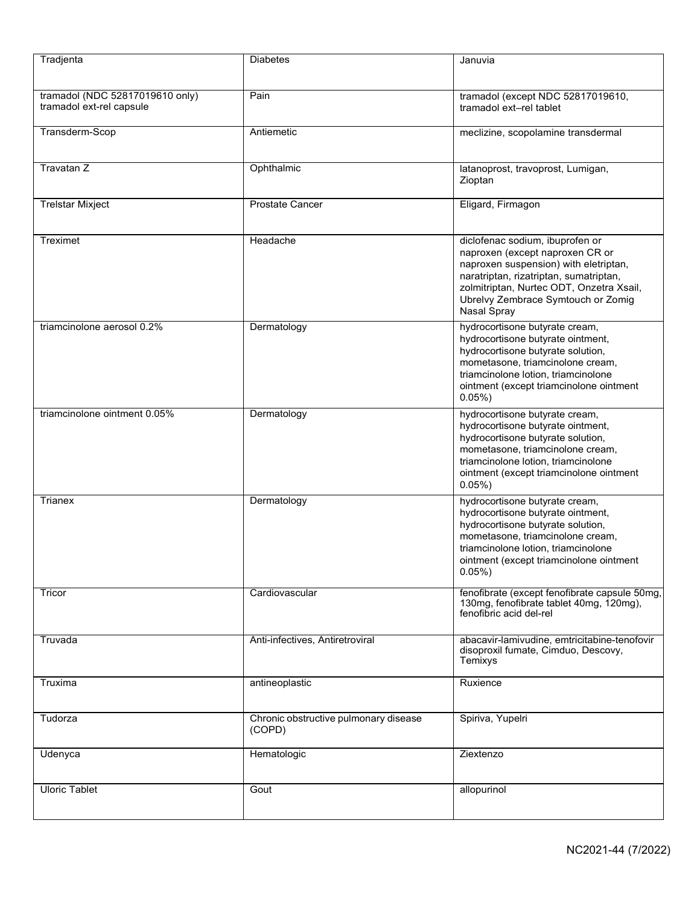| Tradjenta                                                   | <b>Diabetes</b>                                 | Januvia                                                                                                                                                                                                                                                |
|-------------------------------------------------------------|-------------------------------------------------|--------------------------------------------------------------------------------------------------------------------------------------------------------------------------------------------------------------------------------------------------------|
| tramadol (NDC 52817019610 only)<br>tramadol ext-rel capsule | Pain                                            | tramadol (except NDC 52817019610,<br>tramadol ext-rel tablet                                                                                                                                                                                           |
| Transderm-Scop                                              | Antiemetic                                      | meclizine, scopolamine transdermal                                                                                                                                                                                                                     |
| Travatan Z                                                  | Ophthalmic                                      | latanoprost, travoprost, Lumigan,<br>Zioptan                                                                                                                                                                                                           |
| <b>Trelstar Mixject</b>                                     | <b>Prostate Cancer</b>                          | Eligard, Firmagon                                                                                                                                                                                                                                      |
| Treximet                                                    | Headache                                        | diclofenac sodium, ibuprofen or<br>naproxen (except naproxen CR or<br>naproxen suspension) with eletriptan,<br>naratriptan, rizatriptan, sumatriptan,<br>zolmitriptan, Nurtec ODT, Onzetra Xsail,<br>Ubrelvy Zembrace Symtouch or Zomig<br>Nasal Spray |
| triamcinolone aerosol 0.2%                                  | Dermatology                                     | hydrocortisone butyrate cream,<br>hydrocortisone butyrate ointment,<br>hydrocortisone butyrate solution,<br>mometasone, triamcinolone cream,<br>triamcinolone lotion, triamcinolone<br>ointment (except triamcinolone ointment<br>0.05%                |
| triamcinolone ointment 0.05%                                | Dermatology                                     | hydrocortisone butyrate cream,<br>hydrocortisone butyrate ointment,<br>hydrocortisone butyrate solution,<br>mometasone, triamcinolone cream,<br>triamcinolone lotion, triamcinolone<br>ointment (except triamcinolone ointment<br>$0.05\%$             |
| Trianex                                                     | Dermatology                                     | hydrocortisone butyrate cream,<br>hydrocortisone butyrate ointment,<br>hydrocortisone butyrate solution,<br>mometasone, triamcinolone cream,<br>triamcinolone lotion, triamcinolone<br>ointment (except triamcinolone ointment<br>$0.05\%$ )           |
| Tricor                                                      | Cardiovascular                                  | fenofibrate (except fenofibrate capsule 50mg,<br>130mg, fenofibrate tablet 40mg, 120mg),<br>fenofibric acid del-rel                                                                                                                                    |
| Truvada                                                     | Anti-infectives, Antiretroviral                 | abacavir-lamivudine, emtricitabine-tenofovir<br>disoproxil fumate, Cimduo, Descovy,<br>Temixys                                                                                                                                                         |
| Truxima                                                     | antineoplastic                                  | Ruxience                                                                                                                                                                                                                                               |
| Tudorza                                                     | Chronic obstructive pulmonary disease<br>(COPD) | Spiriva, Yupelri                                                                                                                                                                                                                                       |
| Udenyca                                                     | Hematologic                                     | Ziextenzo                                                                                                                                                                                                                                              |
| <b>Uloric Tablet</b>                                        | Gout                                            | allopurinol                                                                                                                                                                                                                                            |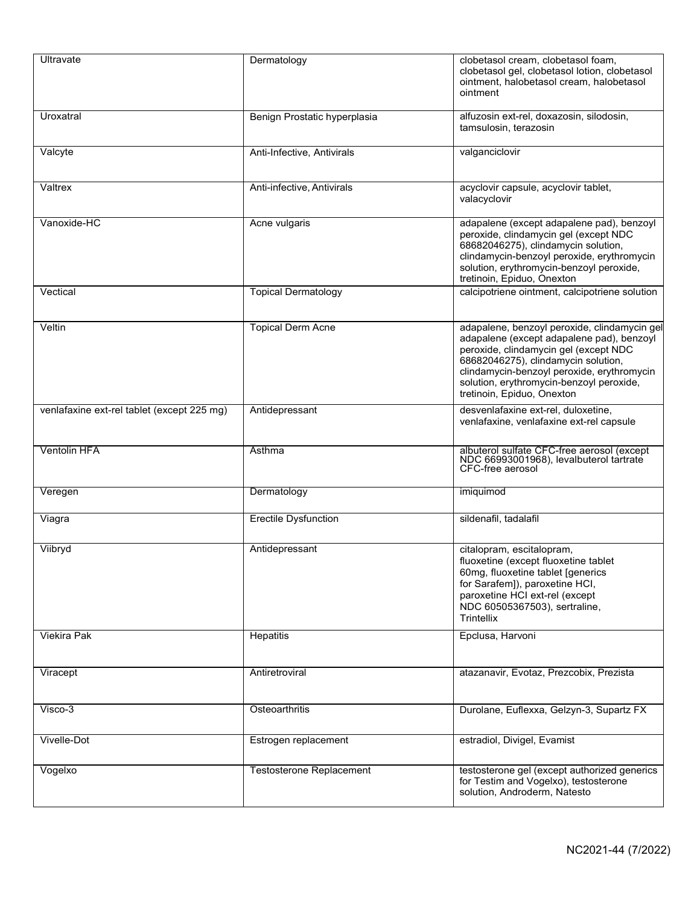| Ultravate                                  | Dermatology                  | clobetasol cream, clobetasol foam,<br>clobetasol gel, clobetasol lotion, clobetasol<br>ointment, halobetasol cream, halobetasol<br>ointment                                                                                                                                                       |
|--------------------------------------------|------------------------------|---------------------------------------------------------------------------------------------------------------------------------------------------------------------------------------------------------------------------------------------------------------------------------------------------|
| Uroxatral                                  | Benign Prostatic hyperplasia | alfuzosin ext-rel, doxazosin, silodosin,<br>tamsulosin, terazosin                                                                                                                                                                                                                                 |
| Valcyte                                    | Anti-Infective, Antivirals   | valganciclovir                                                                                                                                                                                                                                                                                    |
| Valtrex                                    | Anti-infective, Antivirals   | acyclovir capsule, acyclovir tablet,<br>valacyclovir                                                                                                                                                                                                                                              |
| Vanoxide-HC                                | Acne vulgaris                | adapalene (except adapalene pad), benzoyl<br>peroxide, clindamycin gel (except NDC<br>68682046275), clindamycin solution,<br>clindamycin-benzoyl peroxide, erythromycin<br>solution, erythromycin-benzoyl peroxide,<br>tretinoin, Epiduo, Onexton                                                 |
| Vectical                                   | <b>Topical Dermatology</b>   | calcipotriene ointment, calcipotriene solution                                                                                                                                                                                                                                                    |
| Veltin                                     | <b>Topical Derm Acne</b>     | adapalene, benzoyl peroxide, clindamycin gel<br>adapalene (except adapalene pad), benzoyl<br>peroxide, clindamycin gel (except NDC<br>68682046275), clindamycin solution,<br>clindamycin-benzoyl peroxide, erythromycin<br>solution, erythromycin-benzoyl peroxide,<br>tretinoin, Epiduo, Onexton |
| venlafaxine ext-rel tablet (except 225 mg) | Antidepressant               | desvenlafaxine ext-rel, duloxetine,<br>venlafaxine, venlafaxine ext-rel capsule                                                                                                                                                                                                                   |
| <b>Ventolin HFA</b>                        | Asthma                       | albuterol sulfate CFC-free aerosol (except<br>NDC 66993001968), levalbuterol tartrate<br>CFC-free aerosol                                                                                                                                                                                         |
| Veregen                                    | Dermatology                  | imiquimod                                                                                                                                                                                                                                                                                         |
| Viagra                                     | <b>Erectile Dysfunction</b>  | sildenafil, tadalafil                                                                                                                                                                                                                                                                             |
| Viibryd                                    | Antidepressant               | citalopram, escitalopram,<br>fluoxetine (except fluoxetine tablet<br>60mg, fluoxetine tablet [generics<br>for Sarafem]), paroxetine HCI,<br>paroxetine HCI ext-rel (except<br>NDC 60505367503), sertraline,<br>Trintellix                                                                         |
| <b>Viekira Pak</b>                         | Hepatitis                    | Epclusa, Harvoni                                                                                                                                                                                                                                                                                  |
| Viracept                                   | Antiretroviral               | atazanavir, Evotaz, Prezcobix, Prezista                                                                                                                                                                                                                                                           |
| Visco-3                                    | Osteoarthritis               | Durolane, Euflexxa, Gelzyn-3, Supartz FX                                                                                                                                                                                                                                                          |
| Vivelle-Dot                                | Estrogen replacement         | estradiol, Divigel, Evamist                                                                                                                                                                                                                                                                       |
| Vogelxo                                    | Testosterone Replacement     | testosterone gel (except authorized generics<br>for Testim and Vogelxo), testosterone<br>solution, Androderm, Natesto                                                                                                                                                                             |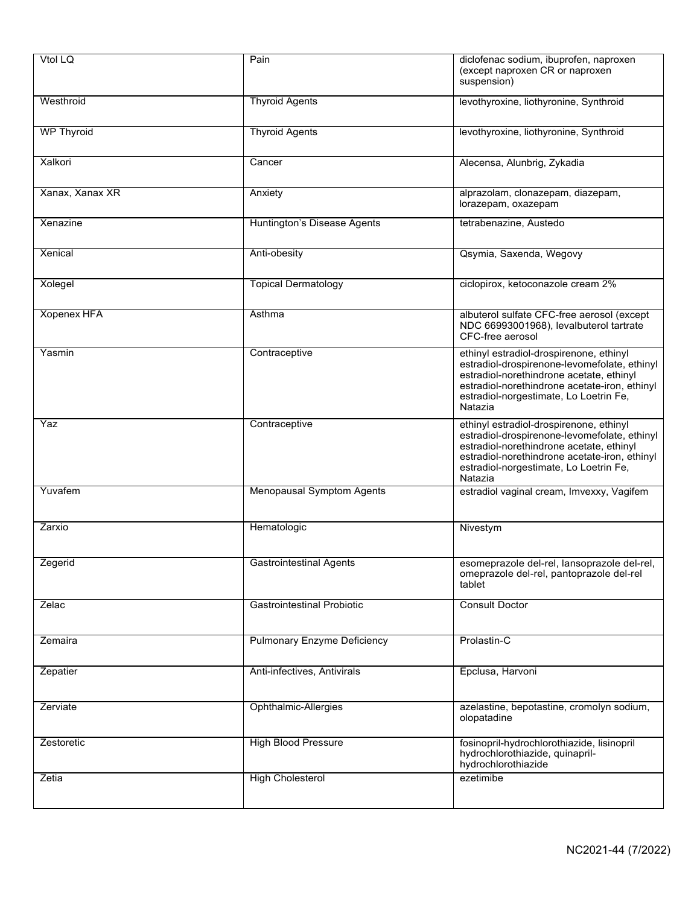| Vtol LQ            | Pain                               | diclofenac sodium, ibuprofen, naproxen<br>(except naproxen CR or naproxen<br>suspension)                                                                                                                                                  |
|--------------------|------------------------------------|-------------------------------------------------------------------------------------------------------------------------------------------------------------------------------------------------------------------------------------------|
| Westhroid          | <b>Thyroid Agents</b>              | levothyroxine, liothyronine, Synthroid                                                                                                                                                                                                    |
| <b>WP Thyroid</b>  | <b>Thyroid Agents</b>              | levothyroxine, liothyronine, Synthroid                                                                                                                                                                                                    |
| Xalkori            | Cancer                             | Alecensa, Alunbrig, Zykadia                                                                                                                                                                                                               |
| Xanax, Xanax XR    | Anxiety                            | alprazolam, clonazepam, diazepam,<br>lorazepam, oxazepam                                                                                                                                                                                  |
| Xenazine           | Huntington's Disease Agents        | tetrabenazine, Austedo                                                                                                                                                                                                                    |
| Xenical            | Anti-obesity                       | Qsymia, Saxenda, Wegovy                                                                                                                                                                                                                   |
| Xolegel            | <b>Topical Dermatology</b>         | ciclopirox, ketoconazole cream 2%                                                                                                                                                                                                         |
| <b>Xopenex HFA</b> | Asthma                             | albuterol sulfate CFC-free aerosol (except<br>NDC 66993001968), levalbuterol tartrate<br>CFC-free aerosol                                                                                                                                 |
| Yasmin             | Contraceptive                      | ethinyl estradiol-drospirenone, ethinyl<br>estradiol-drospirenone-levomefolate, ethinyl<br>estradiol-norethindrone acetate, ethinyl<br>estradiol-norethindrone acetate-iron, ethinyl<br>estradiol-norgestimate, Lo Loetrin Fe,<br>Natazia |
| Yaz                | Contraceptive                      | ethinyl estradiol-drospirenone, ethinyl<br>estradiol-drospirenone-levomefolate, ethinyl<br>estradiol-norethindrone acetate, ethinyl<br>estradiol-norethindrone acetate-iron, ethinyl<br>estradiol-norgestimate, Lo Loetrin Fe,<br>Natazia |
| Yuvafem            | <b>Menopausal Symptom Agents</b>   | estradiol vaginal cream, Imvexxy, Vagifem                                                                                                                                                                                                 |
| Zarxio             | Hematologic                        | Nivestym                                                                                                                                                                                                                                  |
| Zegerid            | <b>Gastrointestinal Agents</b>     | esomeprazole del-rel, lansoprazole del-rel,<br>omeprazole del-rel, pantoprazole del-rel<br>tablet                                                                                                                                         |
| Zelac              | <b>Gastrointestinal Probiotic</b>  | <b>Consult Doctor</b>                                                                                                                                                                                                                     |
| Zemaira            | <b>Pulmonary Enzyme Deficiency</b> | Prolastin-C                                                                                                                                                                                                                               |
| Zepatier           | Anti-infectives, Antivirals        | Epclusa, Harvoni                                                                                                                                                                                                                          |
| Zerviate           | <b>Ophthalmic-Allergies</b>        | azelastine, bepotastine, cromolyn sodium,<br>olopatadine                                                                                                                                                                                  |
| Zestoretic         | <b>High Blood Pressure</b>         | fosinopril-hydrochlorothiazide, lisinopril<br>hydrochlorothiazide, quinapril-<br>hydrochlorothiazide                                                                                                                                      |
| Zetia              | <b>High Cholesterol</b>            | ezetimibe                                                                                                                                                                                                                                 |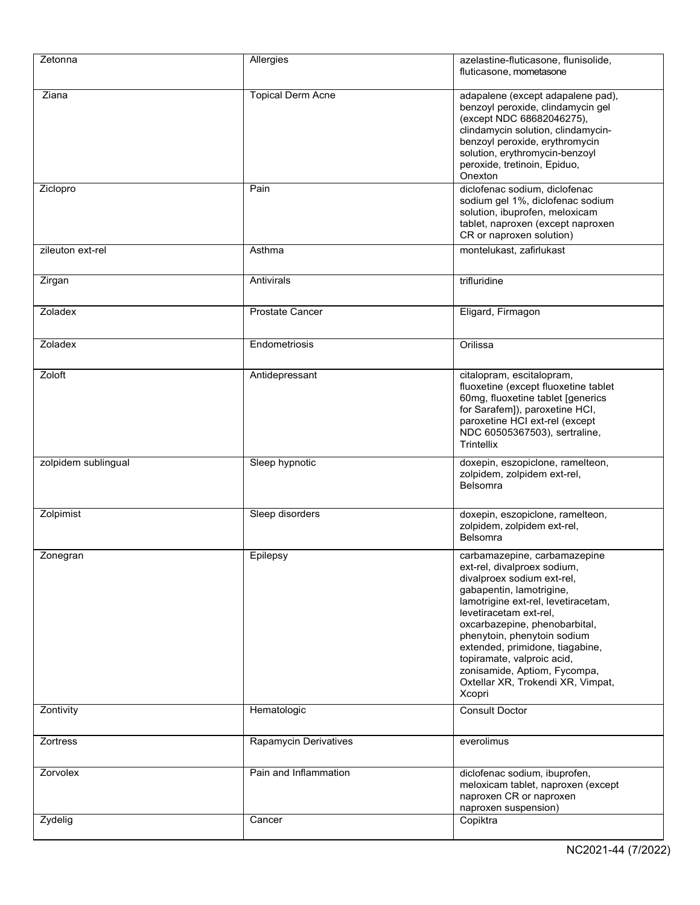| Zetonna             | Allergies                | azelastine-fluticasone, flunisolide,<br>fluticasone, mometasone                                                                                                                                                                                                                                                                                                                                        |
|---------------------|--------------------------|--------------------------------------------------------------------------------------------------------------------------------------------------------------------------------------------------------------------------------------------------------------------------------------------------------------------------------------------------------------------------------------------------------|
| Ziana               | <b>Topical Derm Acne</b> | adapalene (except adapalene pad),<br>benzoyl peroxide, clindamycin gel<br>(except NDC 68682046275),<br>clindamycin solution, clindamycin-<br>benzoyl peroxide, erythromycin<br>solution, erythromycin-benzoyl<br>peroxide, tretinoin, Epiduo,<br>Onexton                                                                                                                                               |
| Ziclopro            | Pain                     | diclofenac sodium, diclofenac<br>sodium gel 1%, diclofenac sodium<br>solution, ibuprofen, meloxicam<br>tablet, naproxen (except naproxen<br>CR or naproxen solution)                                                                                                                                                                                                                                   |
| zileuton ext-rel    | Asthma                   | montelukast, zafirlukast                                                                                                                                                                                                                                                                                                                                                                               |
| Zirgan              | Antivirals               | trifluridine                                                                                                                                                                                                                                                                                                                                                                                           |
| Zoladex             | <b>Prostate Cancer</b>   | Eligard, Firmagon                                                                                                                                                                                                                                                                                                                                                                                      |
| Zoladex             | Endometriosis            | Orilissa                                                                                                                                                                                                                                                                                                                                                                                               |
| Zoloft              | Antidepressant           | citalopram, escitalopram,<br>fluoxetine (except fluoxetine tablet<br>60mg, fluoxetine tablet [generics<br>for Sarafem]), paroxetine HCI,<br>paroxetine HCI ext-rel (except<br>NDC 60505367503), sertraline,<br>Trintellix                                                                                                                                                                              |
| zolpidem sublingual | Sleep hypnotic           | doxepin, eszopiclone, ramelteon,<br>zolpidem, zolpidem ext-rel,<br><b>Belsomra</b>                                                                                                                                                                                                                                                                                                                     |
| Zolpimist           | Sleep disorders          | doxepin, eszopiclone, ramelteon,<br>zolpidem, zolpidem ext-rel,<br><b>Belsomra</b>                                                                                                                                                                                                                                                                                                                     |
| Zonegran            | Epilepsy                 | carbamazepine, carbamazepine<br>ext-rel, divalproex sodium,<br>divalproex sodium ext-rel,<br>gabapentin, lamotrigine,<br>lamotrigine ext-rel, levetiracetam,<br>levetiracetam ext-rel,<br>oxcarbazepine, phenobarbital,<br>phenytoin, phenytoin sodium<br>extended, primidone, tiagabine,<br>topiramate, valproic acid,<br>zonisamide, Aptiom, Fycompa,<br>Oxtellar XR, Trokendi XR, Vimpat,<br>Xcopri |
| Zontivity           | Hematologic              | <b>Consult Doctor</b>                                                                                                                                                                                                                                                                                                                                                                                  |
| <b>Zortress</b>     | Rapamycin Derivatives    | everolimus                                                                                                                                                                                                                                                                                                                                                                                             |
| Zorvolex            | Pain and Inflammation    | diclofenac sodium, ibuprofen,<br>meloxicam tablet, naproxen (except<br>naproxen CR or naproxen<br>naproxen suspension)                                                                                                                                                                                                                                                                                 |
| Zydelig             | Cancer                   | Copiktra                                                                                                                                                                                                                                                                                                                                                                                               |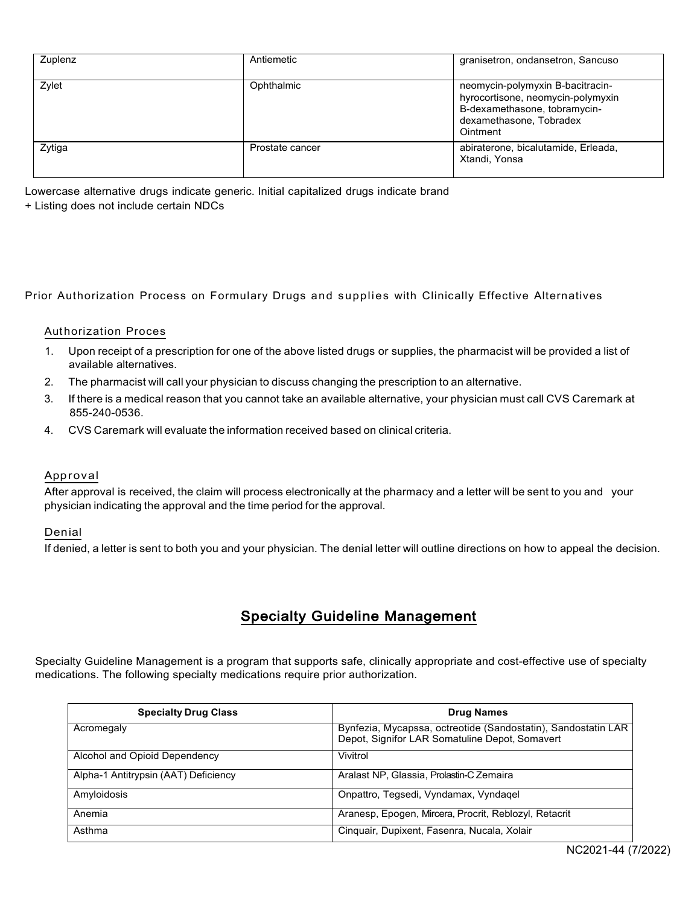| Zuplenz | Antiemetic      | granisetron, ondansetron, Sancuso                                                                                                            |
|---------|-----------------|----------------------------------------------------------------------------------------------------------------------------------------------|
| Zylet   | Ophthalmic      | neomycin-polymyxin B-bacitracin-<br>hyrocortisone, neomycin-polymyxin<br>B-dexamethasone, tobramycin-<br>dexamethasone, Tobradex<br>Ointment |
| Zytiga  | Prostate cancer | abiraterone, bicalutamide, Erleada,<br>Xtandi, Yonsa                                                                                         |

Lowercase alternative drugs indicate generic. Initial capitalized drugs indicate brand + Listing does not include certain NDCs

Prior Authorization Process on Formulary Drugs and supplies with Clinically Effective Alternatives

#### Authorization Proces

- 1. Upon receipt of a prescription for one of the above listed drugs or supplies, the pharmacist will be provided a list of available alternatives.
- 2. The pharmacist will call your physician to discuss changing the prescription to an alternative.
- 3. If there is a medical reason that you cannot take an available alternative, your physician must call CVS Caremark at 855-240-0536.
- 4. CVS Caremark will evaluate the information received based on clinical criteria.

#### Approval

After approval is received, the claim will process electronically at the pharmacy and a letter will be sent to you and your physician indicating the approval and the time period for the approval.

#### Denial

If denied, a letter is sent to both you and your physician. The denial letter will outline directions on how to appeal the decision.

## Specialty Guideline Management

Specialty Guideline Management is a program that supports safe, clinically appropriate and cost-effective use of specialty medications. The following specialty medications require prior authorization.

| <b>Specialty Drug Class</b>          | <b>Drug Names</b>                                                                                               |
|--------------------------------------|-----------------------------------------------------------------------------------------------------------------|
| Acromegaly                           | Bynfezia, Mycapssa, octreotide (Sandostatin), Sandostatin LAR<br>Depot, Signifor LAR Somatuline Depot, Somavert |
| Alcohol and Opioid Dependency        | Vivitrol                                                                                                        |
| Alpha-1 Antitrypsin (AAT) Deficiency | Aralast NP, Glassia, Prolastin-C Zemaira                                                                        |
| Amyloidosis                          | Onpattro, Tegsedi, Vyndamax, Vyndagel                                                                           |
| Anemia                               | Aranesp, Epogen, Mircera, Procrit, Reblozyl, Retacrit                                                           |
| Asthma                               | Cinquair, Dupixent, Fasenra, Nucala, Xolair                                                                     |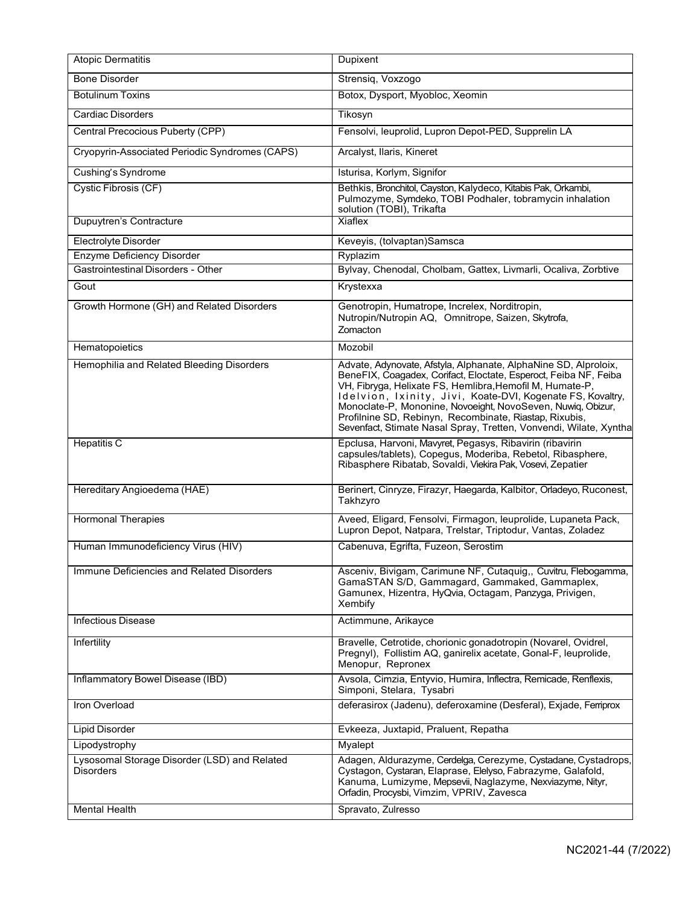| <b>Atopic Dermatitis</b>                                         | Dupixent                                                                                                                                                                                                                                                                                                                                                                                                                                                    |
|------------------------------------------------------------------|-------------------------------------------------------------------------------------------------------------------------------------------------------------------------------------------------------------------------------------------------------------------------------------------------------------------------------------------------------------------------------------------------------------------------------------------------------------|
| <b>Bone Disorder</b>                                             | Strensiq, Voxzogo                                                                                                                                                                                                                                                                                                                                                                                                                                           |
| <b>Botulinum Toxins</b>                                          | Botox, Dysport, Myobloc, Xeomin                                                                                                                                                                                                                                                                                                                                                                                                                             |
| <b>Cardiac Disorders</b>                                         | Tikosyn                                                                                                                                                                                                                                                                                                                                                                                                                                                     |
| Central Precocious Puberty (CPP)                                 | Fensolvi, leuprolid, Lupron Depot-PED, Supprelin LA                                                                                                                                                                                                                                                                                                                                                                                                         |
| Cryopyrin-Associated Periodic Syndromes (CAPS)                   | Arcalyst, Ilaris, Kineret                                                                                                                                                                                                                                                                                                                                                                                                                                   |
| Cushing's Syndrome                                               | Isturisa, Korlym, Signifor                                                                                                                                                                                                                                                                                                                                                                                                                                  |
| Cystic Fibrosis (CF)                                             | Bethkis, Bronchitol, Cayston, Kalydeco, Kitabis Pak, Orkambi,<br>Pulmozyme, Symdeko, TOBI Podhaler, tobramycin inhalation<br>solution (TOBI), Trikafta                                                                                                                                                                                                                                                                                                      |
| Dupuytren's Contracture                                          | <b>Xiaflex</b>                                                                                                                                                                                                                                                                                                                                                                                                                                              |
| Electrolyte Disorder                                             | Keveyis, (tolvaptan)Samsca                                                                                                                                                                                                                                                                                                                                                                                                                                  |
| <b>Enzyme Deficiency Disorder</b>                                | Ryplazim                                                                                                                                                                                                                                                                                                                                                                                                                                                    |
| Gastrointestinal Disorders - Other                               | Bylvay, Chenodal, Cholbam, Gattex, Livmarli, Ocaliva, Zorbtive                                                                                                                                                                                                                                                                                                                                                                                              |
| Gout                                                             | Krystexxa                                                                                                                                                                                                                                                                                                                                                                                                                                                   |
| Growth Hormone (GH) and Related Disorders                        | Genotropin, Humatrope, Increlex, Norditropin,<br>Nutropin/Nutropin AQ, Omnitrope, Saizen, Skytrofa,<br>Zomacton                                                                                                                                                                                                                                                                                                                                             |
| Hematopoietics                                                   | Mozobil                                                                                                                                                                                                                                                                                                                                                                                                                                                     |
| Hemophilia and Related Bleeding Disorders                        | Advate, Adynovate, Afstyla, Alphanate, AlphaNine SD, Alproloix,<br>BeneFIX, Coagadex, Corifact, Eloctate, Esperoct, Feiba NF, Feiba<br>VH, Fibryga, Helixate FS, Hemlibra, Hemofil M, Humate-P,<br>Idelvion, Ixinity, Jivi, Koate-DVI, Kogenate FS, Kovaltry,<br>Monoclate-P, Mononine, Novoeight, NovoSeven, Nuwiq, Obizur,<br>Profilnine SD, Rebinyn, Recombinate, Riastap, Rixubis,<br>Sevenfact, Stimate Nasal Spray, Tretten, Vonvendi, Wilate, Xyntha |
| <b>Hepatitis C</b>                                               | Epclusa, Harvoni, Mavyret, Pegasys, Ribavirin (ribavirin<br>capsules/tablets), Copegus, Moderiba, Rebetol, Ribasphere,<br>Ribasphere Ribatab, Sovaldi, Viekira Pak, Vosevi, Zepatier                                                                                                                                                                                                                                                                        |
| Hereditary Angioedema (HAE)                                      | Berinert, Cinryze, Firazyr, Haegarda, Kalbitor, Orladeyo, Ruconest,<br>Takhzyro                                                                                                                                                                                                                                                                                                                                                                             |
| <b>Hormonal Therapies</b>                                        | Aveed, Eligard, Fensolvi, Firmagon, leuprolide, Lupaneta Pack,<br>Lupron Depot, Natpara, Trelstar, Triptodur, Vantas, Zoladez                                                                                                                                                                                                                                                                                                                               |
|                                                                  |                                                                                                                                                                                                                                                                                                                                                                                                                                                             |
| Human Immunodeficiency Virus (HIV)                               | Cabenuva, Egrifta, Fuzeon, Serostim                                                                                                                                                                                                                                                                                                                                                                                                                         |
| Immune Deficiencies and Related Disorders                        | Asceniv, Bivigam, Carimune NF, Cutaquig,, Cuvitru, Flebogamma,<br>GamaSTAN S/D, Gammagard, Gammaked, Gammaplex,<br>Gamunex, Hizentra, HyQvia, Octagam, Panzyga, Privigen,<br>Xembify                                                                                                                                                                                                                                                                        |
| <b>Infectious Disease</b>                                        | Actimmune, Arikayce                                                                                                                                                                                                                                                                                                                                                                                                                                         |
| Infertility                                                      | Bravelle, Cetrotide, chorionic gonadotropin (Novarel, Ovidrel,<br>Pregnyl), Follistim AQ, ganirelix acetate, Gonal-F, leuprolide,<br>Menopur, Repronex                                                                                                                                                                                                                                                                                                      |
| Inflammatory Bowel Disease (IBD)                                 | Avsola, Cimzia, Entyvio, Humira, Inflectra, Remicade, Renflexis,<br>Simponi, Stelara, Tysabri                                                                                                                                                                                                                                                                                                                                                               |
| Iron Overload                                                    | deferasirox (Jadenu), deferoxamine (Desferal), Exjade, Ferriprox                                                                                                                                                                                                                                                                                                                                                                                            |
| <b>Lipid Disorder</b>                                            | Evkeeza, Juxtapid, Praluent, Repatha                                                                                                                                                                                                                                                                                                                                                                                                                        |
| Lipodystrophy                                                    | Myalept                                                                                                                                                                                                                                                                                                                                                                                                                                                     |
| Lysosomal Storage Disorder (LSD) and Related<br><b>Disorders</b> | Adagen, Aldurazyme, Cerdelga, Cerezyme, Cystadane, Cystadrops,<br>Cystagon, Cystaran, Elaprase, Elelyso, Fabrazyme, Galafold,<br>Kanuma, Lumizyme, Mepsevii, Naglazyme, Nexviazyme, Nityr,<br>Orfadin, Procysbi, Vimzim, VPRIV, Zavesca                                                                                                                                                                                                                     |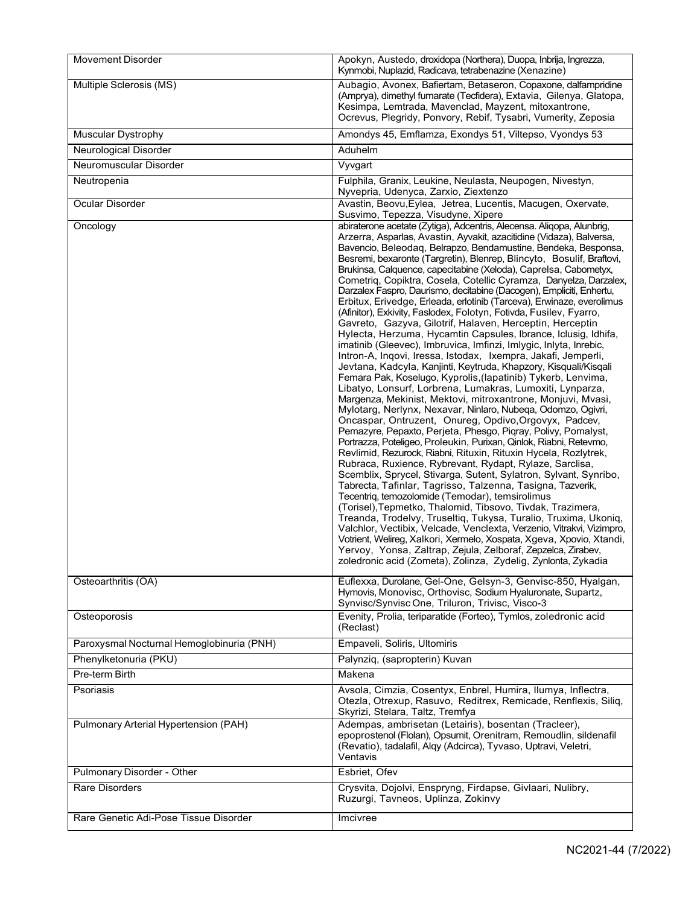| <b>Movement Disorder</b>                  | Apokyn, Austedo, droxidopa (Northera), Duopa, Inbrija, Ingrezza,<br>Kynmobi, Nuplazid, Radicava, tetrabenazine (Xenazine)                                                                                                                                                                                                                                                                                                                                                                                                                                                                                                                                                                                                                                                                                                                                                                                                                                                                                                                                                                                                                                                                                                                                                                                                                                                                                                                                                                                                                                                                                                                                                                                                                                                                                                                                                                                                                                                                                                                                                                                                                                                                          |
|-------------------------------------------|----------------------------------------------------------------------------------------------------------------------------------------------------------------------------------------------------------------------------------------------------------------------------------------------------------------------------------------------------------------------------------------------------------------------------------------------------------------------------------------------------------------------------------------------------------------------------------------------------------------------------------------------------------------------------------------------------------------------------------------------------------------------------------------------------------------------------------------------------------------------------------------------------------------------------------------------------------------------------------------------------------------------------------------------------------------------------------------------------------------------------------------------------------------------------------------------------------------------------------------------------------------------------------------------------------------------------------------------------------------------------------------------------------------------------------------------------------------------------------------------------------------------------------------------------------------------------------------------------------------------------------------------------------------------------------------------------------------------------------------------------------------------------------------------------------------------------------------------------------------------------------------------------------------------------------------------------------------------------------------------------------------------------------------------------------------------------------------------------------------------------------------------------------------------------------------------------|
| Multiple Sclerosis (MS)                   | Aubagio, Avonex, Bafiertam, Betaseron, Copaxone, dalfampridine<br>(Amprya), dimethyl fumarate (Tecfidera), Extavia, Gilenya, Glatopa,<br>Kesimpa, Lemtrada, Mavenclad, Mayzent, mitoxantrone,<br>Ocrevus, Plegridy, Ponvory, Rebif, Tysabri, Vumerity, Zeposia                                                                                                                                                                                                                                                                                                                                                                                                                                                                                                                                                                                                                                                                                                                                                                                                                                                                                                                                                                                                                                                                                                                                                                                                                                                                                                                                                                                                                                                                                                                                                                                                                                                                                                                                                                                                                                                                                                                                     |
| <b>Muscular Dystrophy</b>                 | Amondys 45, Emflamza, Exondys 51, Viltepso, Vyondys 53                                                                                                                                                                                                                                                                                                                                                                                                                                                                                                                                                                                                                                                                                                                                                                                                                                                                                                                                                                                                                                                                                                                                                                                                                                                                                                                                                                                                                                                                                                                                                                                                                                                                                                                                                                                                                                                                                                                                                                                                                                                                                                                                             |
| Neurological Disorder                     | Aduhelm                                                                                                                                                                                                                                                                                                                                                                                                                                                                                                                                                                                                                                                                                                                                                                                                                                                                                                                                                                                                                                                                                                                                                                                                                                                                                                                                                                                                                                                                                                                                                                                                                                                                                                                                                                                                                                                                                                                                                                                                                                                                                                                                                                                            |
| Neuromuscular Disorder                    | Vyvgart                                                                                                                                                                                                                                                                                                                                                                                                                                                                                                                                                                                                                                                                                                                                                                                                                                                                                                                                                                                                                                                                                                                                                                                                                                                                                                                                                                                                                                                                                                                                                                                                                                                                                                                                                                                                                                                                                                                                                                                                                                                                                                                                                                                            |
| Neutropenia                               | Fulphila, Granix, Leukine, Neulasta, Neupogen, Nivestyn,<br>Nyvepria, Udenyca, Zarxio, Ziextenzo                                                                                                                                                                                                                                                                                                                                                                                                                                                                                                                                                                                                                                                                                                                                                                                                                                                                                                                                                                                                                                                                                                                                                                                                                                                                                                                                                                                                                                                                                                                                                                                                                                                                                                                                                                                                                                                                                                                                                                                                                                                                                                   |
| Ocular Disorder                           | Avastin, Beovu, Eylea, Jetrea, Lucentis, Macugen, Oxervate,<br>Susvimo, Tepezza, Visudyne, Xipere                                                                                                                                                                                                                                                                                                                                                                                                                                                                                                                                                                                                                                                                                                                                                                                                                                                                                                                                                                                                                                                                                                                                                                                                                                                                                                                                                                                                                                                                                                                                                                                                                                                                                                                                                                                                                                                                                                                                                                                                                                                                                                  |
| Oncology                                  | abiraterone acetate (Zytiga), Adcentris, Alecensa. Aliqopa, Alunbrig,<br>Arzerra, Asparlas, Avastin, Ayvakit, azacitidine (Vidaza), Balversa,<br>Bavencio, Beleodaq, Belrapzo, Bendamustine, Bendeka, Besponsa,<br>Besremi, bexaronte (Targretin), Blenrep, Blincyto, Bosulif, Braftovi,<br>Brukinsa, Calquence, capecitabine (Xeloda), Caprelsa, Cabometyx,<br>Cometriq, Copiktra, Cosela, Cotellic Cyramza, Danyelza, Darzalex,<br>Darzalex Faspro, Daurismo, decitabine (Dacogen), Empliciti, Enhertu,<br>Erbitux, Erivedge, Erleada, erlotinib (Tarceva), Erwinaze, everolimus<br>(Afinitor), Exkivity, Faslodex, Folotyn, Fotivda, Fusilev, Fyarro,<br>Gavreto, Gazyva, Gilotrif, Halaven, Herceptin, Herceptin<br>Hylecta, Herzuma, Hycamtin Capsules, Ibrance, Iclusig, Idhifa,<br>imatinib (Gleevec), Imbruvica, Imfinzi, Imlygic, Inlyta, Inrebic,<br>Intron-A, Inqovi, Iressa, Istodax, Ixempra, Jakafi, Jemperli,<br>Jevtana, Kadcyla, Kanjinti, Keytruda, Khapzory, Kisquali/Kisqali<br>Femara Pak, Koselugo, Kyprolis, (lapatinib) Tykerb, Lenvima,<br>Libatyo, Lonsurf, Lorbrena, Lumakras, Lumoxiti, Lynparza,<br>Margenza, Mekinist, Mektovi, mitroxantrone, Monjuvi, Mvasi,<br>Mylotarg, Nerlynx, Nexavar, Ninlaro, Nubeqa, Odomzo, Ogivri,<br>Oncaspar, Ontruzent, Onureg, Opdivo, Orgovyx, Padcev,<br>Pemazyre, Pepaxto, Perjeta, Phesgo, Piqray, Polivy, Pomalyst,<br>Portrazza, Poteligeo, Proleukin, Purixan, Qinlok, Riabni, Retevmo,<br>Revlimid, Rezurock, Riabni, Rituxin, Rituxin Hycela, Rozlytrek,<br>Rubraca, Ruxience, Rybrevant, Rydapt, Rylaze, Sarclisa,<br>Scemblix, Sprycel, Stivarga, Sutent, Sylatron, Sylvant, Synribo,<br>Tabrecta, Tafinlar, Tagrisso, Talzenna, Tasigna, Tazverik,<br>Tecentriq, temozolomide (Temodar), temsirolimus<br>(Torisel), Tepmetko, Thalomid, Tibsovo, Tivdak, Trazimera,<br>Treanda, Trodelvy, Truseltiq, Tukysa, Turalio, Truxima, Ukoniq,<br>Valchlor, Vectibix, Velcade, Venclexta, Verzenio, Vitrakvi, Vizimpro,<br>Votrient, Welireg, Xalkori, Xermelo, Xospata, Xgeva, Xpovio, Xtandi,<br>Yervoy, Yonsa, Zaltrap, Zejula, Zelboraf, Zepzelca, Zirabev,<br>zoledronic acid (Zometa), Zolinza, Zydelig, Zynlonta, Zykadia |
| Osteoarthritis (OA)                       | Euflexxa, Durolane, Gel-One, Gelsyn-3, Genvisc-850, Hyalgan,<br>Hymovis, Monovisc, Orthovisc, Sodium Hyaluronate, Supartz,<br>Synvisc/Synvisc One, Triluron, Trivisc, Visco-3                                                                                                                                                                                                                                                                                                                                                                                                                                                                                                                                                                                                                                                                                                                                                                                                                                                                                                                                                                                                                                                                                                                                                                                                                                                                                                                                                                                                                                                                                                                                                                                                                                                                                                                                                                                                                                                                                                                                                                                                                      |
| Osteoporosis                              | Evenity, Prolia, teriparatide (Forteo), Tymlos, zoledronic acid<br>(Reclast)                                                                                                                                                                                                                                                                                                                                                                                                                                                                                                                                                                                                                                                                                                                                                                                                                                                                                                                                                                                                                                                                                                                                                                                                                                                                                                                                                                                                                                                                                                                                                                                                                                                                                                                                                                                                                                                                                                                                                                                                                                                                                                                       |
| Paroxysmal Nocturnal Hemoglobinuria (PNH) | Empaveli, Soliris, Ultomiris                                                                                                                                                                                                                                                                                                                                                                                                                                                                                                                                                                                                                                                                                                                                                                                                                                                                                                                                                                                                                                                                                                                                                                                                                                                                                                                                                                                                                                                                                                                                                                                                                                                                                                                                                                                                                                                                                                                                                                                                                                                                                                                                                                       |
| Phenylketonuria (PKU)                     | Palynziq, (sapropterin) Kuvan                                                                                                                                                                                                                                                                                                                                                                                                                                                                                                                                                                                                                                                                                                                                                                                                                                                                                                                                                                                                                                                                                                                                                                                                                                                                                                                                                                                                                                                                                                                                                                                                                                                                                                                                                                                                                                                                                                                                                                                                                                                                                                                                                                      |
| Pre-term Birth                            | Makena                                                                                                                                                                                                                                                                                                                                                                                                                                                                                                                                                                                                                                                                                                                                                                                                                                                                                                                                                                                                                                                                                                                                                                                                                                                                                                                                                                                                                                                                                                                                                                                                                                                                                                                                                                                                                                                                                                                                                                                                                                                                                                                                                                                             |
| Psoriasis                                 | Avsola, Cimzia, Cosentyx, Enbrel, Humira, Ilumya, Inflectra,<br>Otezla, Otrexup, Rasuvo, Reditrex, Remicade, Renflexis, Siliq,<br>Skyrizi, Stelara, Taltz, Tremfya                                                                                                                                                                                                                                                                                                                                                                                                                                                                                                                                                                                                                                                                                                                                                                                                                                                                                                                                                                                                                                                                                                                                                                                                                                                                                                                                                                                                                                                                                                                                                                                                                                                                                                                                                                                                                                                                                                                                                                                                                                 |
| Pulmonary Arterial Hypertension (PAH)     | Adempas, ambrisetan (Letairis), bosentan (Tracleer),<br>epoprostenol (Flolan), Opsumit, Orenitram, Remoudlin, sildenafil<br>(Revatio), tadalafil, Alqy (Adcirca), Tyvaso, Uptravi, Veletri,<br>Ventavis                                                                                                                                                                                                                                                                                                                                                                                                                                                                                                                                                                                                                                                                                                                                                                                                                                                                                                                                                                                                                                                                                                                                                                                                                                                                                                                                                                                                                                                                                                                                                                                                                                                                                                                                                                                                                                                                                                                                                                                            |
| Pulmonary Disorder - Other                | Esbriet, Ofev                                                                                                                                                                                                                                                                                                                                                                                                                                                                                                                                                                                                                                                                                                                                                                                                                                                                                                                                                                                                                                                                                                                                                                                                                                                                                                                                                                                                                                                                                                                                                                                                                                                                                                                                                                                                                                                                                                                                                                                                                                                                                                                                                                                      |
| <b>Rare Disorders</b>                     | Crysvita, Dojolvi, Enspryng, Firdapse, Givlaari, Nulibry,<br>Ruzurgi, Tavneos, Uplinza, Zokinvy                                                                                                                                                                                                                                                                                                                                                                                                                                                                                                                                                                                                                                                                                                                                                                                                                                                                                                                                                                                                                                                                                                                                                                                                                                                                                                                                                                                                                                                                                                                                                                                                                                                                                                                                                                                                                                                                                                                                                                                                                                                                                                    |
| Rare Genetic Adi-Pose Tissue Disorder     | Imcivree                                                                                                                                                                                                                                                                                                                                                                                                                                                                                                                                                                                                                                                                                                                                                                                                                                                                                                                                                                                                                                                                                                                                                                                                                                                                                                                                                                                                                                                                                                                                                                                                                                                                                                                                                                                                                                                                                                                                                                                                                                                                                                                                                                                           |